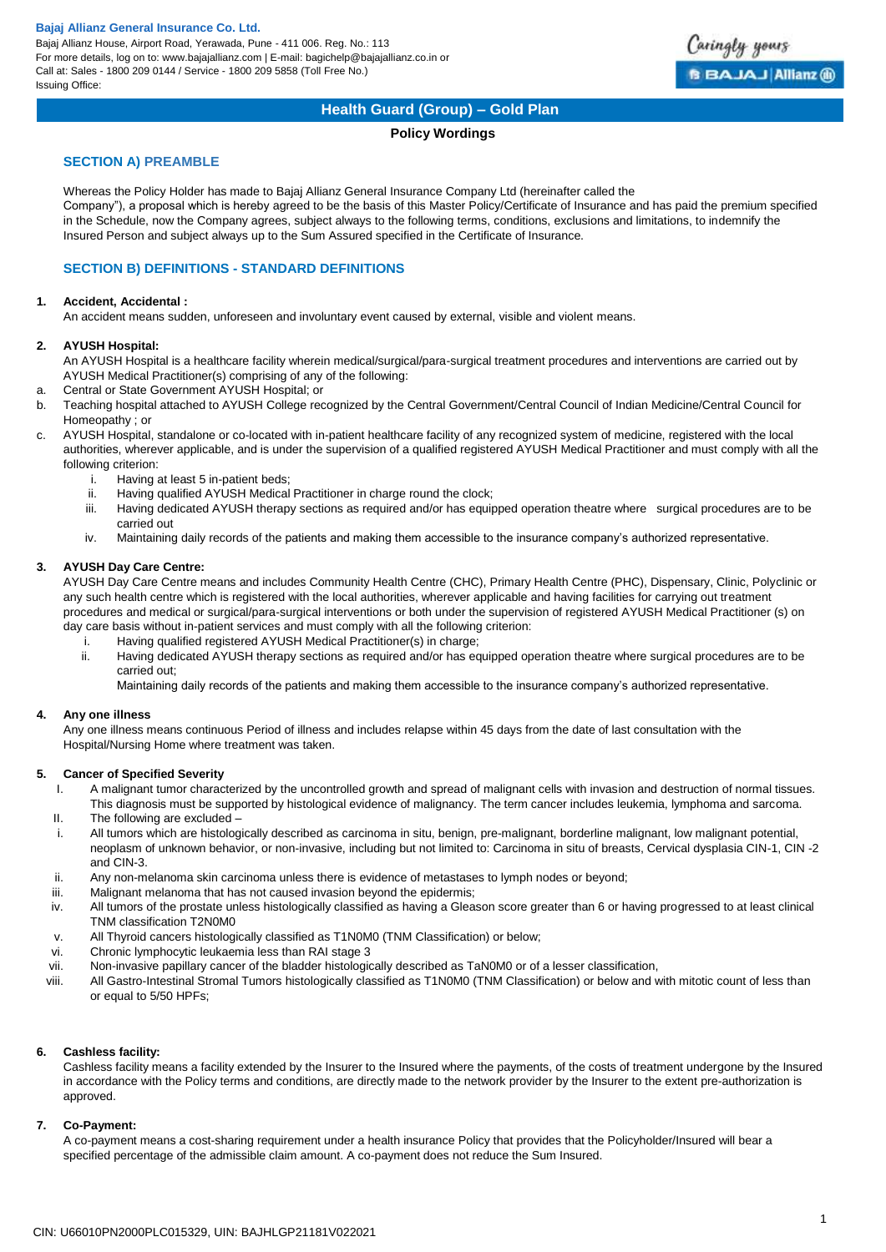Bajaj Allianz House, Airport Road, Yerawada, Pune - 411 006. Reg. No.: 113 For more details, log on to: www.bajajallianz.com | E-mail: bagichelp@bajajallianz.co.in or Call at: Sales - 1800 209 0144 / Service - 1800 209 5858 (Toll Free No.) Issuing Office:



## **Health Guard (Group) – Gold Plan**

## **Policy Wordings**

## **SECTION A) PREAMBLE**

Whereas the Policy Holder has made to Bajaj Allianz General Insurance Company Ltd (hereinafter called the Company"), a proposal which is hereby agreed to be the basis of this Master Policy/Certificate of Insurance and has paid the premium specified in the Schedule, now the Company agrees, subject always to the following terms, conditions, exclusions and limitations, to indemnify the Insured Person and subject always up to the Sum Assured specified in the Certificate of Insurance.

## **SECTION B) DEFINITIONS - STANDARD DEFINITIONS**

## **1. Accident, Accidental :**

An accident means sudden, unforeseen and involuntary event caused by external, visible and violent means.

## **2. AYUSH Hospital:**

An AYUSH Hospital is a healthcare facility wherein medical/surgical/para-surgical treatment procedures and interventions are carried out by AYUSH Medical Practitioner(s) comprising of any of the following:

- a. Central or State Government AYUSH Hospital; or
- b. Teaching hospital attached to AYUSH College recognized by the Central Government/Central Council of Indian Medicine/Central Council for Homeopathy ; or
- c. AYUSH Hospital, standalone or co-located with in-patient healthcare facility of any recognized system of medicine, registered with the local authorities, wherever applicable, and is under the supervision of a qualified registered AYUSH Medical Practitioner and must comply with all the following criterion:
	- i. Having at least 5 in-patient beds;
	- ii. Having qualified AYUSH Medical Practitioner in charge round the clock;
	- iii. Having dedicated AYUSH therapy sections as required and/or has equipped operation theatre where surgical procedures are to be carried out
	- iv. Maintaining daily records of the patients and making them accessible to the insurance company's authorized representative.

## **3. AYUSH Day Care Centre:**

AYUSH Day Care Centre means and includes Community Health Centre (CHC), Primary Health Centre (PHC), Dispensary, Clinic, Polyclinic or any such health centre which is registered with the local authorities, wherever applicable and having facilities for carrying out treatment procedures and medical or surgical/para-surgical interventions or both under the supervision of registered AYUSH Medical Practitioner (s) on day care basis without in-patient services and must comply with all the following criterion:

- i. Having qualified registered AYUSH Medical Practitioner(s) in charge;
- ii. Having dedicated AYUSH therapy sections as required and/or has equipped operation theatre where surgical procedures are to be carried out;

Maintaining daily records of the patients and making them accessible to the insurance company's authorized representative.

## **4. Any one illness**

Any one illness means continuous Period of illness and includes relapse within 45 days from the date of last consultation with the Hospital/Nursing Home where treatment was taken.

## **5. Cancer of Specified Severity**

- I. A malignant tumor characterized by the uncontrolled growth and spread of malignant cells with invasion and destruction of normal tissues. This diagnosis must be supported by histological evidence of malignancy. The term cancer includes leukemia, lymphoma and sarcoma.
- II. The following are excluded –
- i. All tumors which are histologically described as carcinoma in situ, benign, pre-malignant, borderline malignant, low malignant potential, neoplasm of unknown behavior, or non-invasive, including but not limited to: Carcinoma in situ of breasts, Cervical dysplasia CIN-1, CIN -2 and CIN-3.
- ii. Any non-melanoma skin carcinoma unless there is evidence of metastases to lymph nodes or beyond;
- iii. Malignant melanoma that has not caused invasion beyond the epidermis;
- iv. All tumors of the prostate unless histologically classified as having a Gleason score greater than 6 or having progressed to at least clinical TNM classification T2N0M0
- v. All Thyroid cancers histologically classified as T1N0M0 (TNM Classification) or below;
- vi. Chronic lymphocytic leukaemia less than RAI stage 3
- vii. Non-invasive papillary cancer of the bladder histologically described as TaN0M0 or of a lesser classification,
- viii. All Gastro-Intestinal Stromal Tumors histologically classified as T1N0M0 (TNM Classification) or below and with mitotic count of less than or equal to 5/50 HPFs;

## **6. Cashless facility:**

Cashless facility means a facility extended by the Insurer to the Insured where the payments, of the costs of treatment undergone by the Insured in accordance with the Policy terms and conditions, are directly made to the network provider by the Insurer to the extent pre-authorization is approved.

## **7. Co-Payment:**

A co-payment means a cost-sharing requirement under a health insurance Policy that provides that the Policyholder/Insured will bear a specified percentage of the admissible claim amount. A co-payment does not reduce the Sum Insured.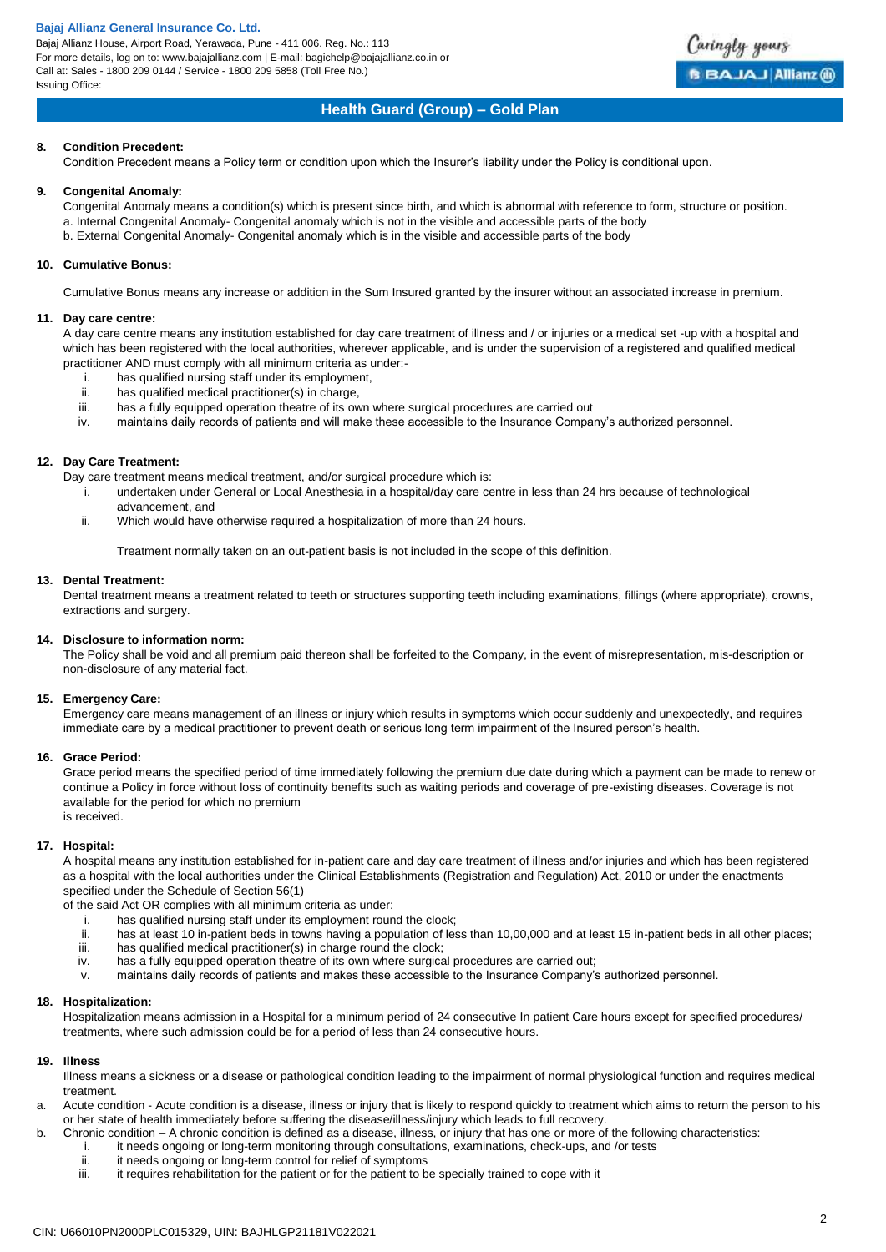Bajaj Allianz House, Airport Road, Yerawada, Pune - 411 006. Reg. No.: 113 For more details, log on to: www.bajajallianz.com | E-mail: bagichelp@bajajallianz.co.in or Call at: Sales - 1800 209 0144 / Service - 1800 209 5858 (Toll Free No.) Issuing Office:



## **Health Guard (Group) – Gold Plan**

## **8. Condition Precedent:**

Condition Precedent means a Policy term or condition upon which the Insurer's liability under the Policy is conditional upon.

## **9. Congenital Anomaly:**

Congenital Anomaly means a condition(s) which is present since birth, and which is abnormal with reference to form, structure or position. a. Internal Congenital Anomaly- Congenital anomaly which is not in the visible and accessible parts of the body b. External Congenital Anomaly- Congenital anomaly which is in the visible and accessible parts of the body

## **10. Cumulative Bonus:**

Cumulative Bonus means any increase or addition in the Sum Insured granted by the insurer without an associated increase in premium.

### **11. Day care centre:**

A day care centre means any institution established for day care treatment of illness and / or injuries or a medical set -up with a hospital and which has been registered with the local authorities, wherever applicable, and is under the supervision of a registered and qualified medical practitioner AND must comply with all minimum criteria as under:-

- i. has qualified nursing staff under its employment,
- ii. has qualified medical practitioner(s) in charge,
- iii. has a fully equipped operation theatre of its own where surgical procedures are carried out
- iv. maintains daily records of patients and will make these accessible to the Insurance Company's authorized personnel.

## **12. Day Care Treatment:**

Day care treatment means medical treatment, and/or surgical procedure which is:

- i. undertaken under General or Local Anesthesia in a hospital/day care centre in less than 24 hrs because of technological advancement, and
- ii. Which would have otherwise required a hospitalization of more than 24 hours.

Treatment normally taken on an out-patient basis is not included in the scope of this definition.

## **13. Dental Treatment:**

Dental treatment means a treatment related to teeth or structures supporting teeth including examinations, fillings (where appropriate), crowns, extractions and surgery.

## **14. Disclosure to information norm:**

The Policy shall be void and all premium paid thereon shall be forfeited to the Company, in the event of misrepresentation, mis-description or non-disclosure of any material fact.

## **15. Emergency Care:**

Emergency care means management of an illness or injury which results in symptoms which occur suddenly and unexpectedly, and requires immediate care by a medical practitioner to prevent death or serious long term impairment of the Insured person's health.

## **16. Grace Period:**

Grace period means the specified period of time immediately following the premium due date during which a payment can be made to renew or continue a Policy in force without loss of continuity benefits such as waiting periods and coverage of pre-existing diseases. Coverage is not available for the period for which no premium is received.

## **17. Hospital:**

A hospital means any institution established for in-patient care and day care treatment of illness and/or injuries and which has been registered as a hospital with the local authorities under the Clinical Establishments (Registration and Regulation) Act, 2010 or under the enactments specified under the Schedule of Section 56(1)

of the said Act OR complies with all minimum criteria as under:

- i. has qualified nursing staff under its employment round the clock;<br>ii. has at least 10 in-patient beds in towns having a population of les
- has at least 10 in-patient beds in towns having a population of less than 10,00,000 and at least 15 in-patient beds in all other places; iii. has qualified medical practitioner(s) in charge round the clock;
- iv. has a fully equipped operation theatre of its own where surgical procedures are carried out;
- v. maintains daily records of patients and makes these accessible to the Insurance Company's authorized personnel.

## **18. Hospitalization:**

Hospitalization means admission in a Hospital for a minimum period of 24 consecutive In patient Care hours except for specified procedures/ treatments, where such admission could be for a period of less than 24 consecutive hours.

## **19. Illness**

Illness means a sickness or a disease or pathological condition leading to the impairment of normal physiological function and requires medical treatment.

- a. Acute condition Acute condition is a disease, illness or injury that is likely to respond quickly to treatment which aims to return the person to his or her state of health immediately before suffering the disease/illness/injury which leads to full recovery.
- b. Chronic condition A chronic condition is defined as a disease, illness, or injury that has one or more of the following characteristics:
	- i. it needs ongoing or long-term monitoring through consultations, examinations, check-ups, and /or tests<br>ii. it needs ongoing or long-term control for relief of symptoms
	- ii. it needs ongoing or long-term control for relief of symptoms<br>iii. it requires rehabilitation for the patient or for the patient to b
	- it requires rehabilitation for the patient or for the patient to be specially trained to cope with it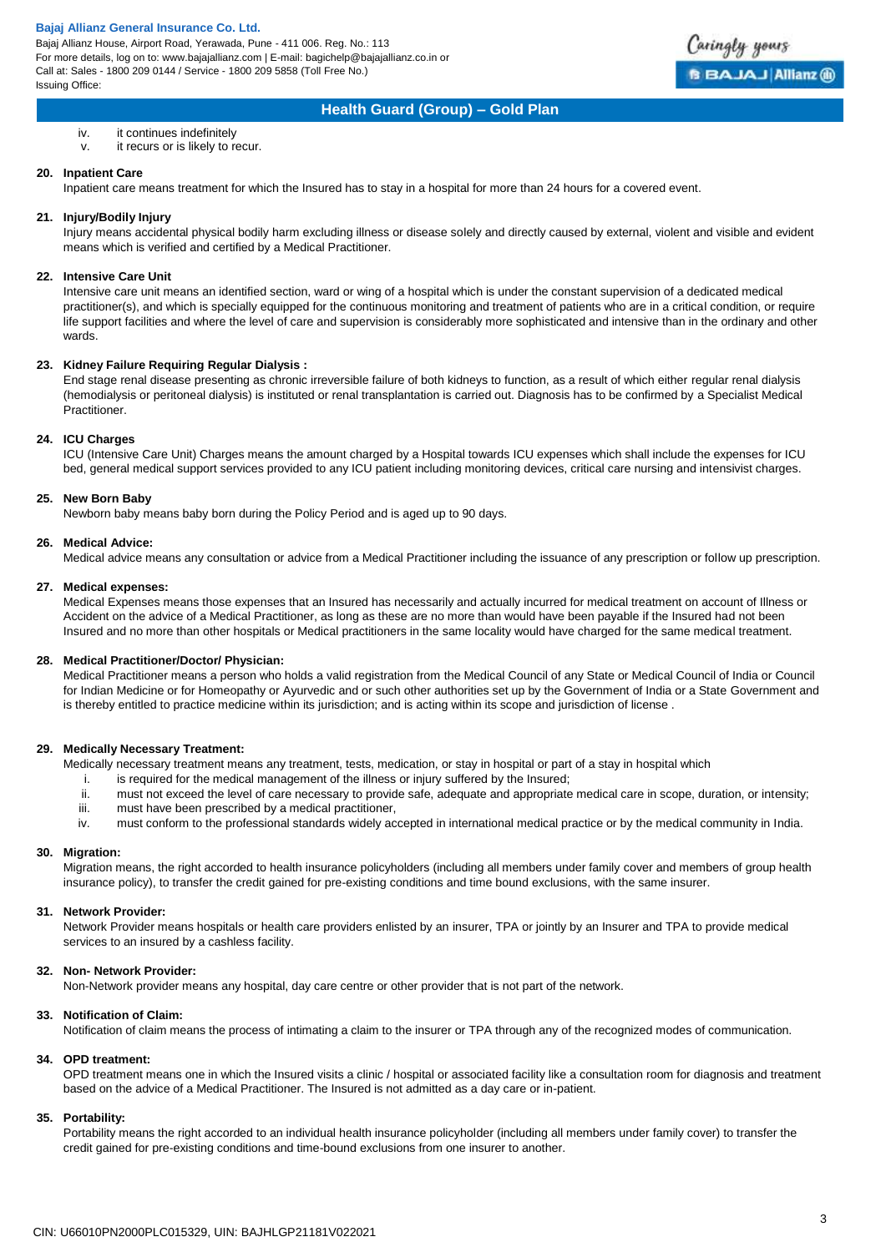Bajaj Allianz House, Airport Road, Yerawada, Pune - 411 006. Reg. No.: 113 For more details, log on to: www.bajajallianz.com | E-mail: bagichelp@bajajallianz.co.in or Call at: Sales - 1800 209 0144 / Service - 1800 209 5858 (Toll Free No.) Issuing Office:



## **Health Guard (Group) – Gold Plan**

- iv. it continues indefinitely
- v. it recurs or is likely to recur.

### **20. Inpatient Care**

Inpatient care means treatment for which the Insured has to stay in a hospital for more than 24 hours for a covered event.

## **21. Injury/Bodily Injury**

Injury means accidental physical bodily harm excluding illness or disease solely and directly caused by external, violent and visible and evident means which is verified and certified by a Medical Practitioner.

#### **22. Intensive Care Unit**

Intensive care unit means an identified section, ward or wing of a hospital which is under the constant supervision of a dedicated medical practitioner(s), and which is specially equipped for the continuous monitoring and treatment of patients who are in a critical condition, or require life support facilities and where the level of care and supervision is considerably more sophisticated and intensive than in the ordinary and other wards.

#### **23. Kidney Failure Requiring Regular Dialysis :**

End stage renal disease presenting as chronic irreversible failure of both kidneys to function, as a result of which either regular renal dialysis (hemodialysis or peritoneal dialysis) is instituted or renal transplantation is carried out. Diagnosis has to be confirmed by a Specialist Medical Practitioner.

#### **24. ICU Charges**

ICU (Intensive Care Unit) Charges means the amount charged by a Hospital towards ICU expenses which shall include the expenses for ICU bed, general medical support services provided to any ICU patient including monitoring devices, critical care nursing and intensivist charges.

#### **25. New Born Baby**

Newborn baby means baby born during the Policy Period and is aged up to 90 days.

#### **26. Medical Advice:**

Medical advice means any consultation or advice from a Medical Practitioner including the issuance of any prescription or follow up prescription.

#### **27. Medical expenses:**

Medical Expenses means those expenses that an Insured has necessarily and actually incurred for medical treatment on account of Illness or Accident on the advice of a Medical Practitioner, as long as these are no more than would have been payable if the Insured had not been Insured and no more than other hospitals or Medical practitioners in the same locality would have charged for the same medical treatment.

## **28. Medical Practitioner/Doctor/ Physician:**

Medical Practitioner means a person who holds a valid registration from the Medical Council of any State or Medical Council of India or Council for Indian Medicine or for Homeopathy or Ayurvedic and or such other authorities set up by the Government of India or a State Government and is thereby entitled to practice medicine within its jurisdiction; and is acting within its scope and jurisdiction of license .

## **29. Medically Necessary Treatment:**

Medically necessary treatment means any treatment, tests, medication, or stay in hospital or part of a stay in hospital which

- i. is required for the medical management of the illness or injury suffered by the Insured;
- ii. must not exceed the level of care necessary to provide safe, adequate and appropriate medical care in scope, duration, or intensity;
- iii. must have been prescribed by a medical practitioner,<br>iv. must conform to the professional standards widely ac
- must conform to the professional standards widely accepted in international medical practice or by the medical community in India.

## **30. Migration:**

Migration means, the right accorded to health insurance policyholders (including all members under family cover and members of group health insurance policy), to transfer the credit gained for pre-existing conditions and time bound exclusions, with the same insurer.

#### **31. Network Provider:**

Network Provider means hospitals or health care providers enlisted by an insurer, TPA or jointly by an Insurer and TPA to provide medical services to an insured by a cashless facility.

## **32. Non- Network Provider:**

Non-Network provider means any hospital, day care centre or other provider that is not part of the network.

## **33. Notification of Claim:**

Notification of claim means the process of intimating a claim to the insurer or TPA through any of the recognized modes of communication.

## **34. OPD treatment:**

OPD treatment means one in which the Insured visits a clinic / hospital or associated facility like a consultation room for diagnosis and treatment based on the advice of a Medical Practitioner. The Insured is not admitted as a day care or in-patient.

#### **35. Portability:**

Portability means the right accorded to an individual health insurance policyholder (including all members under family cover) to transfer the credit gained for pre-existing conditions and time-bound exclusions from one insurer to another.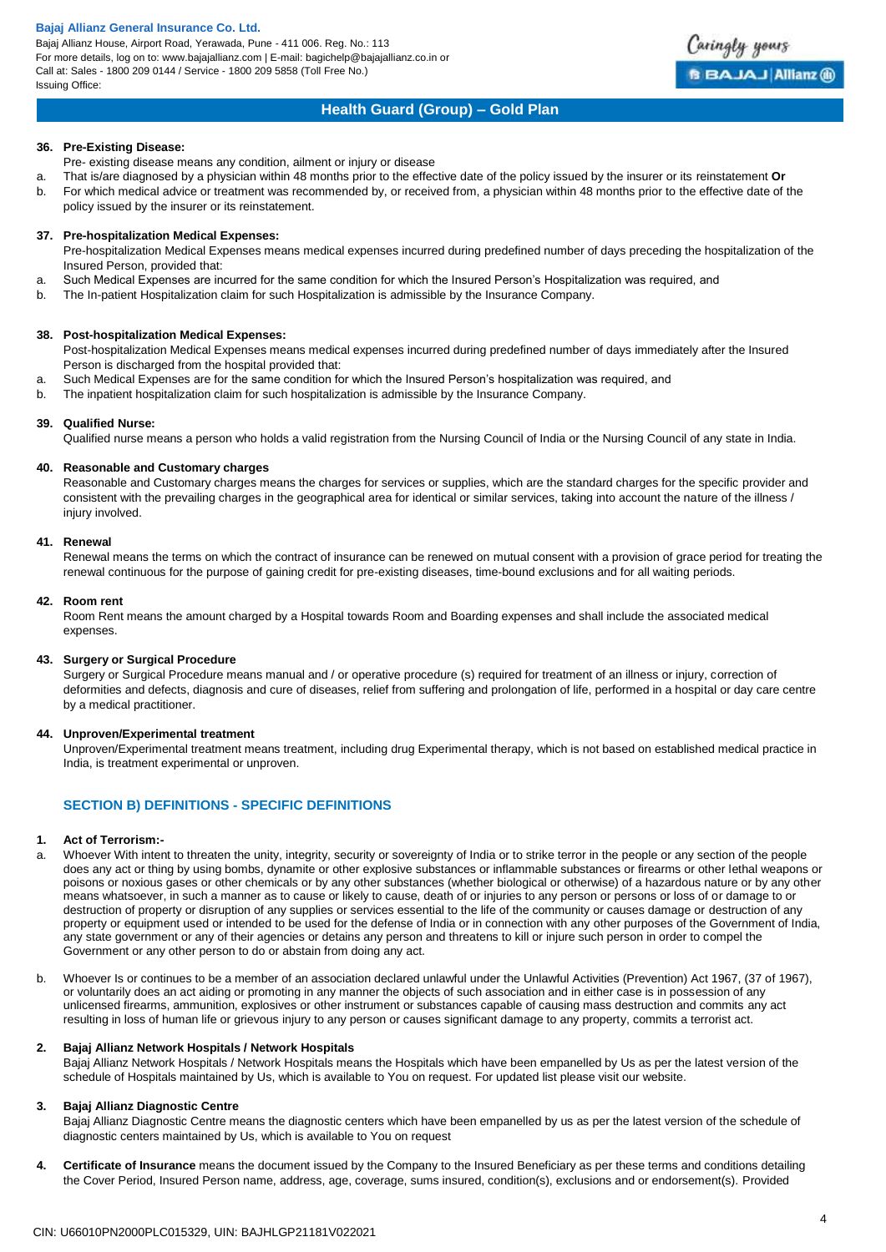Bajaj Allianz House, Airport Road, Yerawada, Pune - 411 006. Reg. No.: 113 For more details, log on to: www.bajajallianz.com | E-mail: bagichelp@bajajallianz.co.in or Call at: Sales - 1800 209 0144 / Service - 1800 209 5858 (Toll Free No.) Issuing Office:



## **Health Guard (Group) – Gold Plan**

### **36. Pre-Existing Disease:**

Pre- existing disease means any condition, ailment or injury or disease

- a. That is/are diagnosed by a physician within 48 months prior to the effective date of the policy issued by the insurer or its reinstatement **Or** b. For which medical advice or treatment was recommended by, or received from, a physician within 48 months prior to the effective date of the
- policy issued by the insurer or its reinstatement.

## **37. Pre-hospitalization Medical Expenses:**

Pre-hospitalization Medical Expenses means medical expenses incurred during predefined number of days preceding the hospitalization of the Insured Person, provided that:

- a. Such Medical Expenses are incurred for the same condition for which the Insured Person's Hospitalization was required, and
- b. The In-patient Hospitalization claim for such Hospitalization is admissible by the Insurance Company.

## **38. Post-hospitalization Medical Expenses:**

Post-hospitalization Medical Expenses means medical expenses incurred during predefined number of days immediately after the Insured Person is discharged from the hospital provided that:

- a. Such Medical Expenses are for the same condition for which the Insured Person's hospitalization was required, and
- b. The inpatient hospitalization claim for such hospitalization is admissible by the Insurance Company.

## **39. Qualified Nurse:**

Qualified nurse means a person who holds a valid registration from the Nursing Council of India or the Nursing Council of any state in India.

## **40. Reasonable and Customary charges**

Reasonable and Customary charges means the charges for services or supplies, which are the standard charges for the specific provider and consistent with the prevailing charges in the geographical area for identical or similar services, taking into account the nature of the illness / injury involved.

## **41. Renewal**

Renewal means the terms on which the contract of insurance can be renewed on mutual consent with a provision of grace period for treating the renewal continuous for the purpose of gaining credit for pre-existing diseases, time-bound exclusions and for all waiting periods.

#### **42. Room rent**

Room Rent means the amount charged by a Hospital towards Room and Boarding expenses and shall include the associated medical expenses.

## **43. Surgery or Surgical Procedure**

Surgery or Surgical Procedure means manual and / or operative procedure (s) required for treatment of an illness or injury, correction of deformities and defects, diagnosis and cure of diseases, relief from suffering and prolongation of life, performed in a hospital or day care centre by a medical practitioner.

## **44. Unproven/Experimental treatment**

Unproven/Experimental treatment means treatment, including drug Experimental therapy, which is not based on established medical practice in India, is treatment experimental or unproven.

## **SECTION B) DEFINITIONS - SPECIFIC DEFINITIONS**

## **1. Act of Terrorism:-**

- a. Whoever With intent to threaten the unity, integrity, security or sovereignty of India or to strike terror in the people or any section of the people does any act or thing by using bombs, dynamite or other explosive substances or inflammable substances or firearms or other lethal weapons or poisons or noxious gases or other chemicals or by any other substances (whether biological or otherwise) of a hazardous nature or by any other means whatsoever, in such a manner as to cause or likely to cause, death of or injuries to any person or persons or loss of or damage to or destruction of property or disruption of any supplies or services essential to the life of the community or causes damage or destruction of any property or equipment used or intended to be used for the defense of India or in connection with any other purposes of the Government of India, any state government or any of their agencies or detains any person and threatens to kill or injure such person in order to compel the Government or any other person to do or abstain from doing any act.
- b. Whoever Is or continues to be a member of an association declared unlawful under the Unlawful Activities (Prevention) Act 1967, (37 of 1967), or voluntarily does an act aiding or promoting in any manner the objects of such association and in either case is in possession of any unlicensed firearms, ammunition, explosives or other instrument or substances capable of causing mass destruction and commits any act resulting in loss of human life or grievous injury to any person or causes significant damage to any property, commits a terrorist act.

## **2. Bajaj Allianz Network Hospitals / Network Hospitals**

Bajaj Allianz Network Hospitals / Network Hospitals means the Hospitals which have been empanelled by Us as per the latest version of the schedule of Hospitals maintained by Us, which is available to You on request. For updated list please visit our website.

## **3. Bajaj Allianz Diagnostic Centre**

Bajaj Allianz Diagnostic Centre means the diagnostic centers which have been empanelled by us as per the latest version of the schedule of diagnostic centers maintained by Us, which is available to You on request

**4. Certificate of Insurance** means the document issued by the Company to the Insured Beneficiary as per these terms and conditions detailing the Cover Period, Insured Person name, address, age, coverage, sums insured, condition(s), exclusions and or endorsement(s). Provided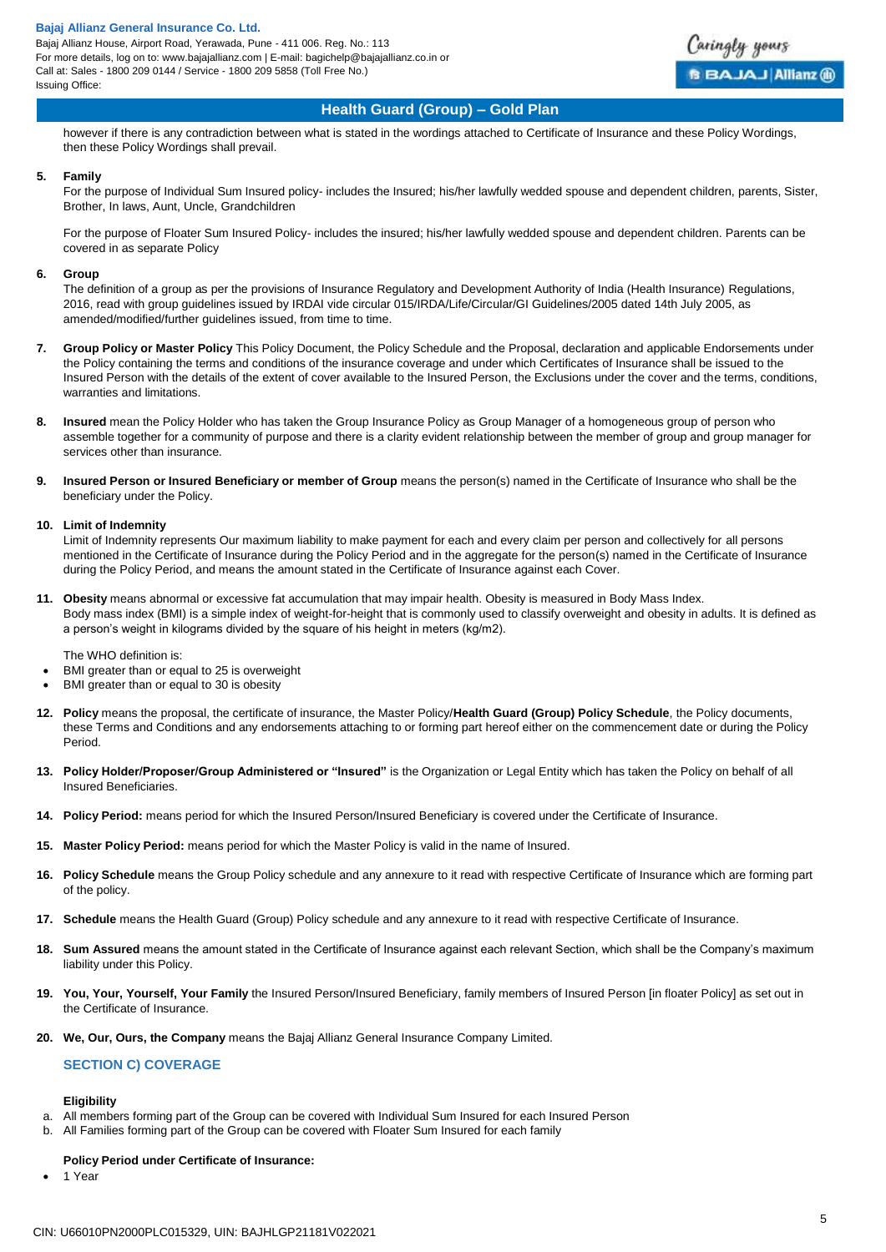Bajaj Allianz House, Airport Road, Yerawada, Pune - 411 006. Reg. No.: 113 For more details, log on to: www.bajajallianz.com | E-mail: bagichelp@bajajallianz.co.in or Call at: Sales - 1800 209 0144 / Service - 1800 209 5858 (Toll Free No.) Issuing Office:



## **Health Guard (Group) – Gold Plan**

however if there is any contradiction between what is stated in the wordings attached to Certificate of Insurance and these Policy Wordings, then these Policy Wordings shall prevail.

#### **5. Family**

For the purpose of Individual Sum Insured policy- includes the Insured; his/her lawfully wedded spouse and dependent children, parents, Sister, Brother, In laws, Aunt, Uncle, Grandchildren

For the purpose of Floater Sum Insured Policy- includes the insured; his/her lawfully wedded spouse and dependent children. Parents can be covered in as separate Policy

#### **6. Group**

The definition of a group as per the provisions of Insurance Regulatory and Development Authority of India (Health Insurance) Regulations, 2016, read with group guidelines issued by IRDAI vide circular 015/IRDA/Life/Circular/GI Guidelines/2005 dated 14th July 2005, as amended/modified/further guidelines issued, from time to time.

- **7. Group Policy or Master Policy** This Policy Document, the Policy Schedule and the Proposal, declaration and applicable Endorsements under the Policy containing the terms and conditions of the insurance coverage and under which Certificates of Insurance shall be issued to the Insured Person with the details of the extent of cover available to the Insured Person, the Exclusions under the cover and the terms, conditions, warranties and limitations.
- **8. Insured** mean the Policy Holder who has taken the Group Insurance Policy as Group Manager of a homogeneous group of person who assemble together for a community of purpose and there is a clarity evident relationship between the member of group and group manager for services other than insurance.
- **9. Insured Person or Insured Beneficiary or member of Group** means the person(s) named in the Certificate of Insurance who shall be the beneficiary under the Policy.

#### **10. Limit of Indemnity**

Limit of Indemnity represents Our maximum liability to make payment for each and every claim per person and collectively for all persons mentioned in the Certificate of Insurance during the Policy Period and in the aggregate for the person(s) named in the Certificate of Insurance during the Policy Period, and means the amount stated in the Certificate of Insurance against each Cover.

**11. Obesity** means abnormal or excessive fat accumulation that may impair health. Obesity is measured in Body Mass Index. Body mass index (BMI) is a simple index of weight-for-height that is commonly used to classify overweight and obesity in adults. It is defined as a person's weight in kilograms divided by the square of his height in meters (kg/m2).

The WHO definition is:

- BMI greater than or equal to 25 is overweight
- BMI greater than or equal to 30 is obesity
- **12. Policy** means the proposal, the certificate of insurance, the Master Policy/**Health Guard (Group) Policy Schedule**, the Policy documents, these Terms and Conditions and any endorsements attaching to or forming part hereof either on the commencement date or during the Policy Period.
- **13. Policy Holder/Proposer/Group Administered or "Insured"** is the Organization or Legal Entity which has taken the Policy on behalf of all Insured Beneficiaries.
- **14. Policy Period:** means period for which the Insured Person/Insured Beneficiary is covered under the Certificate of Insurance.
- **15. Master Policy Period:** means period for which the Master Policy is valid in the name of Insured.
- **16. Policy Schedule** means the Group Policy schedule and any annexure to it read with respective Certificate of Insurance which are forming part of the policy.
- **17. Schedule** means the Health Guard (Group) Policy schedule and any annexure to it read with respective Certificate of Insurance.
- **18. Sum Assured** means the amount stated in the Certificate of Insurance against each relevant Section, which shall be the Company's maximum liability under this Policy.
- **19. You, Your, Yourself, Your Family** the Insured Person/Insured Beneficiary, family members of Insured Person [in floater Policy] as set out in the Certificate of Insurance.
- **20. We, Our, Ours, the Company** means the Bajaj Allianz General Insurance Company Limited.

## **SECTION C) COVERAGE**

## **Eligibility**

- a. All members forming part of the Group can be covered with Individual Sum Insured for each Insured Person
- b. All Families forming part of the Group can be covered with Floater Sum Insured for each family

## **Policy Period under Certificate of Insurance:**

1 Year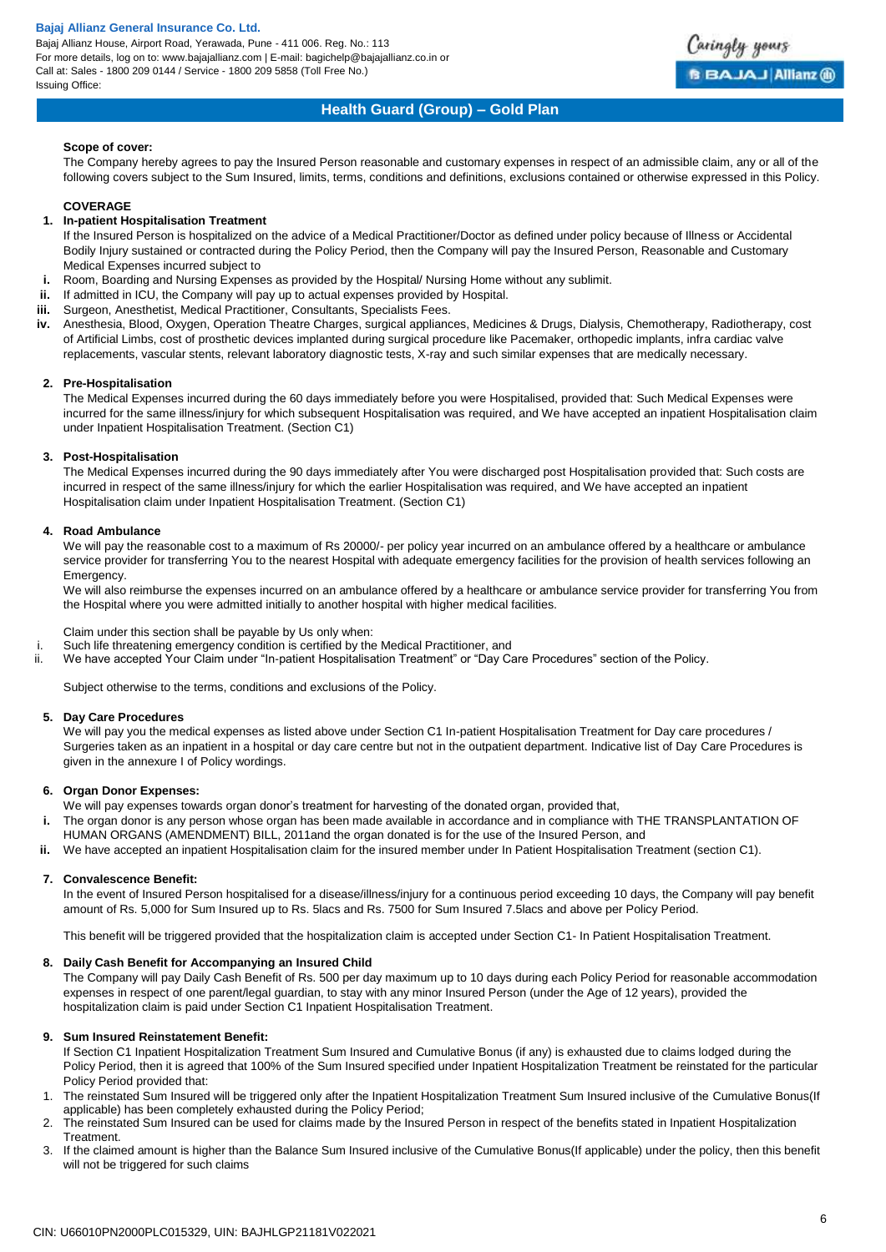Bajaj Allianz House, Airport Road, Yerawada, Pune - 411 006. Reg. No.: 113 For more details, log on to: www.bajajallianz.com | E-mail: bagichelp@bajajallianz.co.in or Call at: Sales - 1800 209 0144 / Service - 1800 209 5858 (Toll Free No.) Issuing Office:



## **Health Guard (Group) – Gold Plan**

## **Scope of cover:**

The Company hereby agrees to pay the Insured Person reasonable and customary expenses in respect of an admissible claim, any or all of the following covers subject to the Sum Insured, limits, terms, conditions and definitions, exclusions contained or otherwise expressed in this Policy.

## **COVERAGE**

## **1. In-patient Hospitalisation Treatment**

- If the Insured Person is hospitalized on the advice of a Medical Practitioner/Doctor as defined under policy because of Illness or Accidental Bodily Injury sustained or contracted during the Policy Period, then the Company will pay the Insured Person, Reasonable and Customary Medical Expenses incurred subject to
- **i.** Room, Boarding and Nursing Expenses as provided by the Hospital/ Nursing Home without any sublimit.
- **ii.** If admitted in ICU, the Company will pay up to actual expenses provided by Hospital.
- **iii.** Surgeon, Anesthetist, Medical Practitioner, Consultants, Specialists Fees.
- **iv.** Anesthesia, Blood, Oxygen, Operation Theatre Charges, surgical appliances, Medicines & Drugs, Dialysis, Chemotherapy, Radiotherapy, cost of Artificial Limbs, cost of prosthetic devices implanted during surgical procedure like Pacemaker, orthopedic implants, infra cardiac valve replacements, vascular stents, relevant laboratory diagnostic tests, X-ray and such similar expenses that are medically necessary.

### **2. Pre-Hospitalisation**

The Medical Expenses incurred during the 60 days immediately before you were Hospitalised, provided that: Such Medical Expenses were incurred for the same illness/injury for which subsequent Hospitalisation was required, and We have accepted an inpatient Hospitalisation claim under Inpatient Hospitalisation Treatment. (Section C1)

## **3. Post-Hospitalisation**

The Medical Expenses incurred during the 90 days immediately after You were discharged post Hospitalisation provided that: Such costs are incurred in respect of the same illness/injury for which the earlier Hospitalisation was required, and We have accepted an inpatient Hospitalisation claim under Inpatient Hospitalisation Treatment. (Section C1)

## **4. Road Ambulance**

We will pay the reasonable cost to a maximum of Rs 20000/- per policy year incurred on an ambulance offered by a healthcare or ambulance service provider for transferring You to the nearest Hospital with adequate emergency facilities for the provision of health services following an Emergency.

We will also reimburse the expenses incurred on an ambulance offered by a healthcare or ambulance service provider for transferring You from the Hospital where you were admitted initially to another hospital with higher medical facilities.

Claim under this section shall be payable by Us only when:

- i. Such life threatening emergency condition is certified by the Medical Practitioner, and
- ii. We have accepted Your Claim under "In-patient Hospitalisation Treatment" or "Day Care Procedures" section of the Policy.

Subject otherwise to the terms, conditions and exclusions of the Policy.

## **5. Day Care Procedures**

We will pay you the medical expenses as listed above under Section C1 In-patient Hospitalisation Treatment for Day care procedures / Surgeries taken as an inpatient in a hospital or day care centre but not in the outpatient department. Indicative list of Day Care Procedures is given in the annexure I of Policy wordings.

## **6. Organ Donor Expenses:**

We will pay expenses towards organ donor's treatment for harvesting of the donated organ, provided that,

- **i.** The organ donor is any person whose organ has been made available in accordance and in compliance with THE TRANSPLANTATION OF
- HUMAN ORGANS (AMENDMENT) BILL, 2011and the organ donated is for the use of the Insured Person, and
- **ii.** We have accepted an inpatient Hospitalisation claim for the insured member under In Patient Hospitalisation Treatment (section C1).

## **7. Convalescence Benefit:**

In the event of Insured Person hospitalised for a disease/illness/injury for a continuous period exceeding 10 days, the Company will pay benefit amount of Rs. 5,000 for Sum Insured up to Rs. 5lacs and Rs. 7500 for Sum Insured 7.5lacs and above per Policy Period.

This benefit will be triggered provided that the hospitalization claim is accepted under Section C1- In Patient Hospitalisation Treatment.

## **8. Daily Cash Benefit for Accompanying an Insured Child**

The Company will pay Daily Cash Benefit of Rs. 500 per day maximum up to 10 days during each Policy Period for reasonable accommodation expenses in respect of one parent/legal guardian, to stay with any minor Insured Person (under the Age of 12 years), provided the hospitalization claim is paid under Section C1 Inpatient Hospitalisation Treatment.

## **9. Sum Insured Reinstatement Benefit:**

- If Section C1 Inpatient Hospitalization Treatment Sum Insured and Cumulative Bonus (if any) is exhausted due to claims lodged during the Policy Period, then it is agreed that 100% of the Sum Insured specified under Inpatient Hospitalization Treatment be reinstated for the particular Policy Period provided that:
- 1. The reinstated Sum Insured will be triggered only after the Inpatient Hospitalization Treatment Sum Insured inclusive of the Cumulative Bonus(If applicable) has been completely exhausted during the Policy Period;
- 2. The reinstated Sum Insured can be used for claims made by the Insured Person in respect of the benefits stated in Inpatient Hospitalization Treatment.
- 3. If the claimed amount is higher than the Balance Sum Insured inclusive of the Cumulative Bonus(If applicable) under the policy, then this benefit will not be triggered for such claims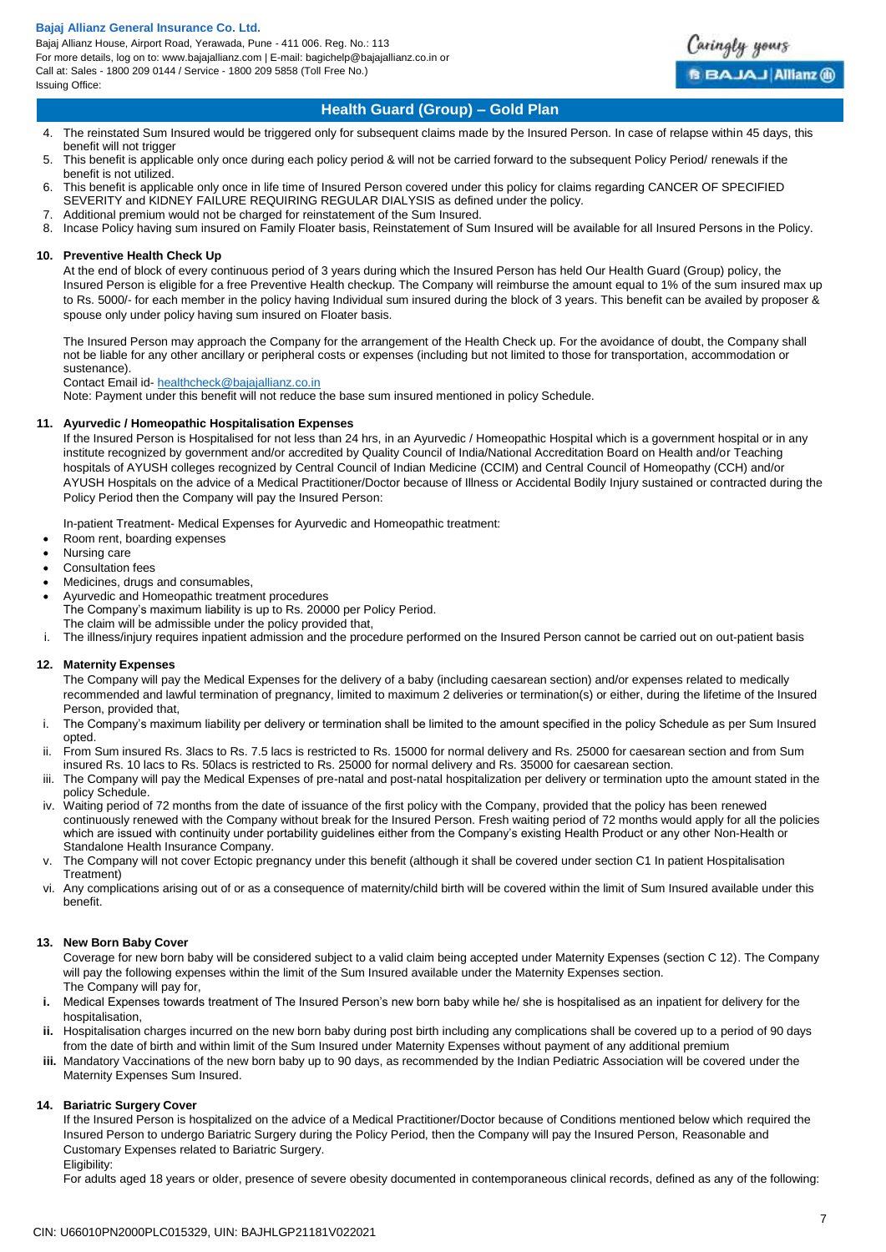Bajaj Allianz House, Airport Road, Yerawada, Pune - 411 006. Reg. No.: 113 For more details, log on to: www.bajajallianz.com | E-mail: bagichelp@bajajallianz.co.in or Call at: Sales - 1800 209 0144 / Service - 1800 209 5858 (Toll Free No.) Issuing Office:



## **Health Guard (Group) – Gold Plan**

- 4. The reinstated Sum Insured would be triggered only for subsequent claims made by the Insured Person. In case of relapse within 45 days, this benefit will not trigger
- 5. This benefit is applicable only once during each policy period & will not be carried forward to the subsequent Policy Period/ renewals if the benefit is not utilized.
- 6. This benefit is applicable only once in life time of Insured Person covered under this policy for claims regarding CANCER OF SPECIFIED SEVERITY and KIDNEY FAILURE REQUIRING REGULAR DIALYSIS as defined under the policy.
- 7. Additional premium would not be charged for reinstatement of the Sum Insured.
- 8. Incase Policy having sum insured on Family Floater basis, Reinstatement of Sum Insured will be available for all Insured Persons in the Policy.

## **10. Preventive Health Check Up**

At the end of block of every continuous period of 3 years during which the Insured Person has held Our Health Guard (Group) policy, the Insured Person is eligible for a free Preventive Health checkup. The Company will reimburse the amount equal to 1% of the sum insured max up to Rs. 5000/- for each member in the policy having Individual sum insured during the block of 3 years. This benefit can be availed by proposer & spouse only under policy having sum insured on Floater basis.

The Insured Person may approach the Company for the arrangement of the Health Check up. For the avoidance of doubt, the Company shall not be liable for any other ancillary or peripheral costs or expenses (including but not limited to those for transportation, accommodation or sustenance).

Contact Email id[- healthcheck@bajajallianz.co.in](mailto:healthcheck@bajajallianz.co.in) 

Note: Payment under this benefit will not reduce the base sum insured mentioned in policy Schedule.

## **11. Ayurvedic / Homeopathic Hospitalisation Expenses**

If the Insured Person is Hospitalised for not less than 24 hrs, in an Ayurvedic / Homeopathic Hospital which is a government hospital or in any institute recognized by government and/or accredited by Quality Council of India/National Accreditation Board on Health and/or Teaching hospitals of AYUSH colleges recognized by Central Council of Indian Medicine (CCIM) and Central Council of Homeopathy (CCH) and/or AYUSH Hospitals on the advice of a Medical Practitioner/Doctor because of Illness or Accidental Bodily Injury sustained or contracted during the Policy Period then the Company will pay the Insured Person:

In-patient Treatment- Medical Expenses for Ayurvedic and Homeopathic treatment:

- Room rent, boarding expenses
- Nursing care
- Consultation fees
- Medicines, drugs and consumables,
- Ayurvedic and Homeopathic treatment procedures The Company's maximum liability is up to Rs. 20000 per Policy Period. The claim will be admissible under the policy provided that,
- i. The illness/injury requires inpatient admission and the procedure performed on the Insured Person cannot be carried out on out-patient basis

## **12. Maternity Expenses**

The Company will pay the Medical Expenses for the delivery of a baby (including caesarean section) and/or expenses related to medically recommended and lawful termination of pregnancy, limited to maximum 2 deliveries or termination(s) or either, during the lifetime of the Insured Person, provided that,

- i. The Company's maximum liability per delivery or termination shall be limited to the amount specified in the policy Schedule as per Sum Insured opted.
- ii. From Sum insured Rs. 3lacs to Rs. 7.5 lacs is restricted to Rs. 15000 for normal delivery and Rs. 25000 for caesarean section and from Sum insured Rs. 10 lacs to Rs. 50lacs is restricted to Rs. 25000 for normal delivery and Rs. 35000 for caesarean section.
- iii. The Company will pay the Medical Expenses of pre-natal and post-natal hospitalization per delivery or termination upto the amount stated in the policy Schedule.
- iv. Waiting period of 72 months from the date of issuance of the first policy with the Company, provided that the policy has been renewed continuously renewed with the Company without break for the Insured Person. Fresh waiting period of 72 months would apply for all the policies which are issued with continuity under portability guidelines either from the Company's existing Health Product or any other Non-Health or Standalone Health Insurance Company.
- The Company will not cover Ectopic pregnancy under this benefit (although it shall be covered under section C1 In patient Hospitalisation Treatment)
- vi. Any complications arising out of or as a consequence of maternity/child birth will be covered within the limit of Sum Insured available under this benefit.

## **13. New Born Baby Cover**

Coverage for new born baby will be considered subject to a valid claim being accepted under Maternity Expenses (section C 12). The Company will pay the following expenses within the limit of the Sum Insured available under the Maternity Expenses section. The Company will pay for,

- **i.** Medical Expenses towards treatment of The Insured Person's new born baby while he/ she is hospitalised as an inpatient for delivery for the hospitalisation,
- **ii.** Hospitalisation charges incurred on the new born baby during post birth including any complications shall be covered up to a period of 90 days from the date of birth and within limit of the Sum Insured under Maternity Expenses without payment of any additional premium
- **iii.** Mandatory Vaccinations of the new born baby up to 90 days, as recommended by the Indian Pediatric Association will be covered under the Maternity Expenses Sum Insured.

## **14. Bariatric Surgery Cover**

If the Insured Person is hospitalized on the advice of a Medical Practitioner/Doctor because of Conditions mentioned below which required the Insured Person to undergo Bariatric Surgery during the Policy Period, then the Company will pay the Insured Person, Reasonable and Customary Expenses related to Bariatric Surgery.

Eligibility:

For adults aged 18 years or older, presence of severe obesity documented in contemporaneous clinical records, defined as any of the following: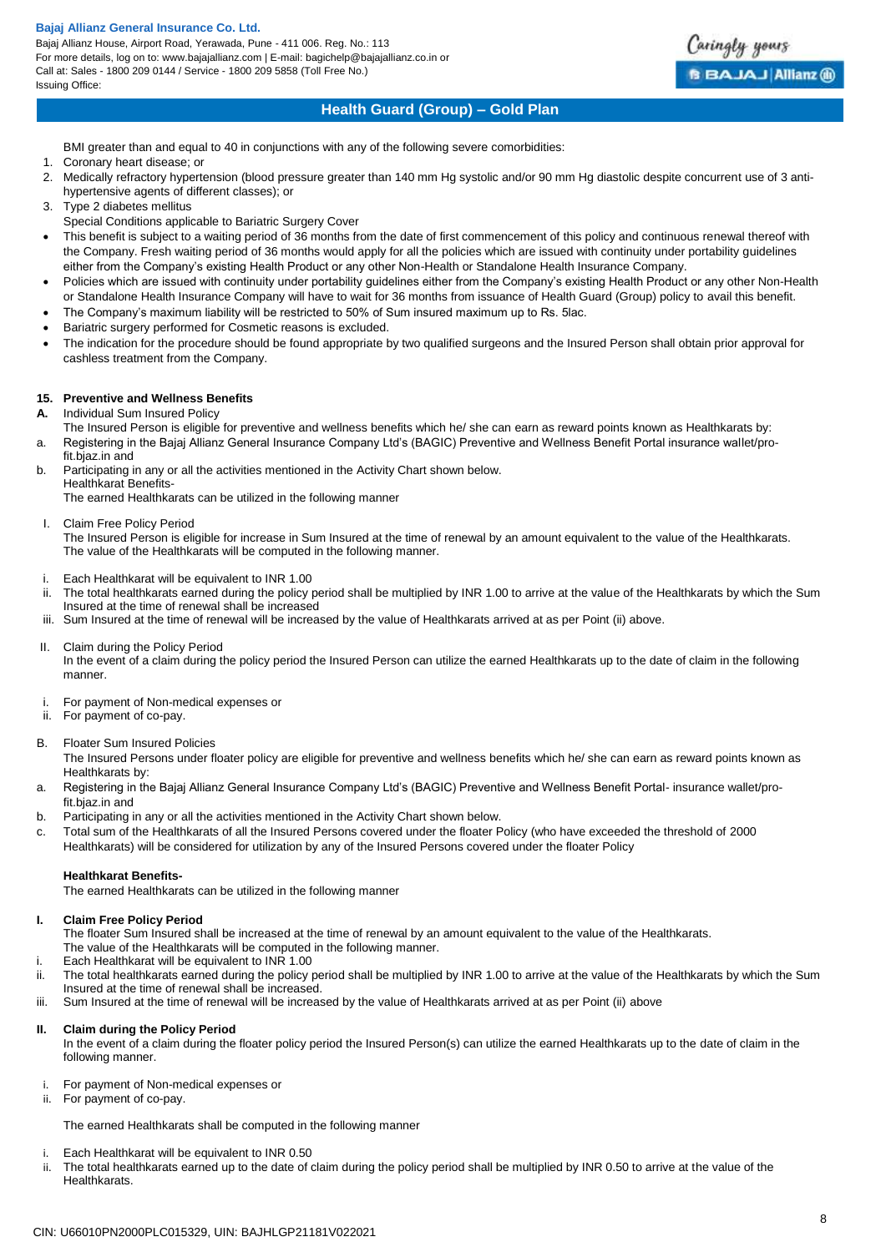Bajaj Allianz House, Airport Road, Yerawada, Pune - 411 006. Reg. No.: 113 For more details, log on to: www.bajajallianz.com | E-mail: bagichelp@bajajallianz.co.in or Call at: Sales - 1800 209 0144 / Service - 1800 209 5858 (Toll Free No.) Issuing Office:



## **Health Guard (Group) – Gold Plan**

BMI greater than and equal to 40 in conjunctions with any of the following severe comorbidities:

- 1. Coronary heart disease; or
- 2. Medically refractory hypertension (blood pressure greater than 140 mm Hg systolic and/or 90 mm Hg diastolic despite concurrent use of 3 antihypertensive agents of different classes); or
- 3. Type 2 diabetes mellitus
- Special Conditions applicable to Bariatric Surgery Cover
- This benefit is subject to a waiting period of 36 months from the date of first commencement of this policy and continuous renewal thereof with the Company. Fresh waiting period of 36 months would apply for all the policies which are issued with continuity under portability guidelines either from the Company's existing Health Product or any other Non-Health or Standalone Health Insurance Company.
- Policies which are issued with continuity under portability guidelines either from the Company's existing Health Product or any other Non-Health or Standalone Health Insurance Company will have to wait for 36 months from issuance of Health Guard (Group) policy to avail this benefit.
- The Company's maximum liability will be restricted to 50% of Sum insured maximum up to Rs. 5lac.
- Bariatric surgery performed for Cosmetic reasons is excluded.
- The indication for the procedure should be found appropriate by two qualified surgeons and the Insured Person shall obtain prior approval for cashless treatment from the Company.

## **15. Preventive and Wellness Benefits**

**A.** Individual Sum Insured Policy

- The Insured Person is eligible for preventive and wellness benefits which he/ she can earn as reward points known as Healthkarats by: a. Registering in the Bajaj Allianz General Insurance Company Ltd's (BAGIC) Preventive and Wellness Benefit Portal insurance wallet/pro-
- fit.bjaz.in and b. Participating in any or all the activities mentioned in the Activity Chart shown below.
- Healthkarat Benefits-The earned Healthkarats can be utilized in the following manner
- I. Claim Free Policy Period

The Insured Person is eligible for increase in Sum Insured at the time of renewal by an amount equivalent to the value of the Healthkarats. The value of the Healthkarats will be computed in the following manner.

- i. Each Healthkarat will be equivalent to INR 1.00
- The total healthkarats earned during the policy period shall be multiplied by INR 1.00 to arrive at the value of the Healthkarats by which the Sum Insured at the time of renewal shall be increased

iii. Sum Insured at the time of renewal will be increased by the value of Healthkarats arrived at as per Point (ii) above.

- II. Claim during the Policy Period In the event of a claim during the policy period the Insured Person can utilize the earned Healthkarats up to the date of claim in the following manner.
	- i. For payment of Non-medical expenses or
	- ii. For payment of co-pay.
- B. Floater Sum Insured Policies

The Insured Persons under floater policy are eligible for preventive and wellness benefits which he/ she can earn as reward points known as Healthkarats by:

- a. Registering in the Bajaj Allianz General Insurance Company Ltd's (BAGIC) Preventive and Wellness Benefit Portal- insurance wallet/profit.bjaz.in and
- b. Participating in any or all the activities mentioned in the Activity Chart shown below.
- c. Total sum of the Healthkarats of all the Insured Persons covered under the floater Policy (who have exceeded the threshold of 2000 Healthkarats) will be considered for utilization by any of the Insured Persons covered under the floater Policy

## **Healthkarat Benefits-**

The earned Healthkarats can be utilized in the following manner

## **I. Claim Free Policy Period**

- The floater Sum Insured shall be increased at the time of renewal by an amount equivalent to the value of the Healthkarats.
- The value of the Healthkarats will be computed in the following manner.
- i. Each Healthkarat will be equivalent to INR 1.00
- ii. The total healthkarats earned during the policy period shall be multiplied by INR 1.00 to arrive at the value of the Healthkarats by which the Sum Insured at the time of renewal shall be increased.
- iii. Sum Insured at the time of renewal will be increased by the value of Healthkarats arrived at as per Point (ii) above

## **II. Claim during the Policy Period**

In the event of a claim during the floater policy period the Insured Person(s) can utilize the earned Healthkarats up to the date of claim in the following manner.

- i. For payment of Non-medical expenses or
- ii. For payment of co-pay.

The earned Healthkarats shall be computed in the following manner

- i. Each Healthkarat will be equivalent to INR 0.50
- ii. The total healthkarats earned up to the date of claim during the policy period shall be multiplied by INR 0.50 to arrive at the value of the Healthkarats.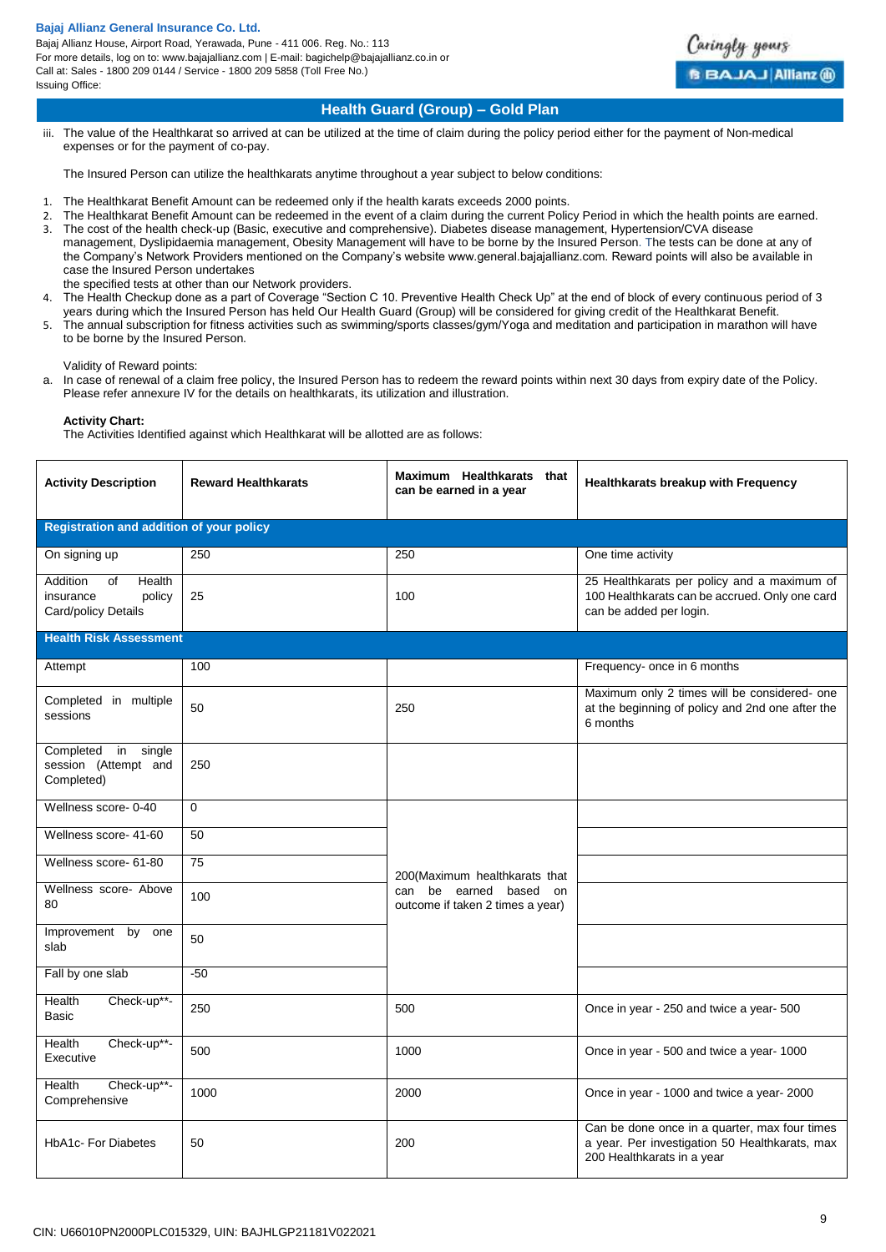Bajaj Allianz House, Airport Road, Yerawada, Pune - 411 006. Reg. No.: 113 For more details, log on to: www.bajajallianz.com | E-mail: bagichelp@bajajallianz.co.in or Call at: Sales - 1800 209 0144 / Service - 1800 209 5858 (Toll Free No.) Issuing Office:



## **Health Guard (Group) – Gold Plan**

iii. The value of the Healthkarat so arrived at can be utilized at the time of claim during the policy period either for the payment of Non-medical expenses or for the payment of co-pay.

The Insured Person can utilize the healthkarats anytime throughout a year subject to below conditions:

- 1. The Healthkarat Benefit Amount can be redeemed only if the health karats exceeds 2000 points.
- 2. The Healthkarat Benefit Amount can be redeemed in the event of a claim during the current Policy Period in which the health points are earned. 3. The cost of the health check-up (Basic, executive and comprehensive). Diabetes disease management, Hypertension/CVA disease
- management, Dyslipidaemia management, Obesity Management will have to be borne by the Insured Person. The tests can be done at any of the Company's Network Providers mentioned on the Company's website www.general.bajajallianz.com. Reward points will also be available in case the Insured Person undertakes
- the specified tests at other than our Network providers.
- 4. The Health Checkup done as a part of Coverage "Section C 10. Preventive Health Check Up" at the end of block of every continuous period of 3
- years during which the Insured Person has held Our Health Guard (Group) will be considered for giving credit of the Healthkarat Benefit. 5. The annual subscription for fitness activities such as swimming/sports classes/gym/Yoga and meditation and participation in marathon will have to be borne by the Insured Person.

Validity of Reward points:

a. In case of renewal of a claim free policy, the Insured Person has to redeem the reward points within next 30 days from expiry date of the Policy. Please refer annexure IV for the details on healthkarats, its utilization and illustration.

**Activity Chart:**

The Activities Identified against which Healthkarat will be allotted are as follows:

| <b>Activity Description</b>                                            | <b>Reward Healthkarats</b> | Maximum Healthkarats that<br>can be earned in a year       | Healthkarats breakup with Frequency                                                                                           |  |  |
|------------------------------------------------------------------------|----------------------------|------------------------------------------------------------|-------------------------------------------------------------------------------------------------------------------------------|--|--|
| <b>Registration and addition of your policy</b>                        |                            |                                                            |                                                                                                                               |  |  |
| On signing up                                                          | 250                        | 250                                                        | One time activity                                                                                                             |  |  |
| Addition<br>of<br>Health<br>insurance<br>policy<br>Card/policy Details | 25                         | 100                                                        | 25 Healthkarats per policy and a maximum of<br>100 Healthkarats can be accrued. Only one card<br>can be added per login.      |  |  |
| <b>Health Risk Assessment</b>                                          |                            |                                                            |                                                                                                                               |  |  |
| Attempt                                                                | 100                        |                                                            | Frequency- once in 6 months                                                                                                   |  |  |
| Completed in multiple<br>sessions                                      | 50                         | 250                                                        | Maximum only 2 times will be considered- one<br>at the beginning of policy and 2nd one after the<br>6 months                  |  |  |
| Completed<br>in<br>single<br>session (Attempt and<br>Completed)        | 250                        |                                                            |                                                                                                                               |  |  |
| Wellness score-0-40                                                    | $\mathbf 0$                |                                                            |                                                                                                                               |  |  |
| Wellness score- 41-60                                                  | 50                         |                                                            |                                                                                                                               |  |  |
| Wellness score- 61-80                                                  | 75                         | 200 (Maximum healthkarats that                             |                                                                                                                               |  |  |
| Wellness score- Above<br>80                                            | 100                        | can be earned based on<br>outcome if taken 2 times a year) |                                                                                                                               |  |  |
| Improvement by one<br>slab                                             | 50                         |                                                            |                                                                                                                               |  |  |
| Fall by one slab                                                       | $-50$                      |                                                            |                                                                                                                               |  |  |
| Health<br>Check-up**-<br><b>Basic</b>                                  | 250                        | 500                                                        | Once in year - 250 and twice a year- 500                                                                                      |  |  |
| Health<br>Check-up**-<br>Executive                                     | 500                        | 1000                                                       | Once in year - 500 and twice a year- 1000                                                                                     |  |  |
| Check-up**-<br>Health<br>Comprehensive                                 | 1000                       | 2000                                                       | Once in year - 1000 and twice a year- 2000                                                                                    |  |  |
| <b>HbA1c-For Diabetes</b>                                              | 50                         | 200                                                        | Can be done once in a quarter, max four times<br>a year. Per investigation 50 Healthkarats, max<br>200 Healthkarats in a year |  |  |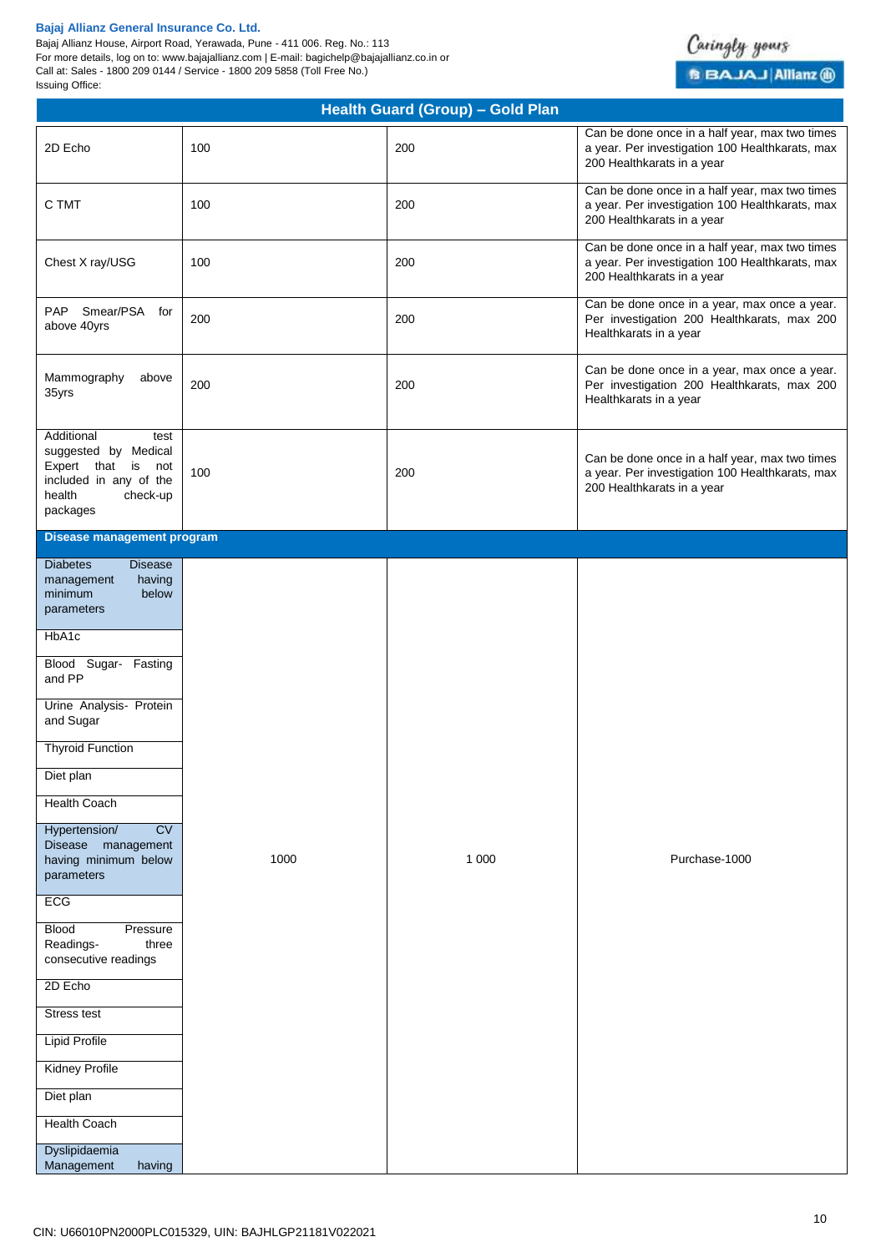Bajaj Allianz House, Airport Road, Yerawada, Pune - 411 006. Reg. No.: 113 For more details, log on to: www.bajajallianz.com | E-mail: bagichelp@bajajallianz.co.in or Call at: Sales - 1800 209 0144 / Service - 1800 209 5858 (Toll Free No.) Issuing Office:



| 2D Echo<br>100<br>C TMT<br>100<br>100<br>Chest X ray/USG                                                                                                                                                                                                                                                                                                                                                                                                                                                                                   |      | 200<br>200<br>200 | Can be done once in a half year, max two times<br>a year. Per investigation 100 Healthkarats, max<br>200 Healthkarats in a year<br>Can be done once in a half year, max two times<br>a year. Per investigation 100 Healthkarats, max<br>200 Healthkarats in a year<br>Can be done once in a half year, max two times<br>a year. Per investigation 100 Healthkarats, max |
|--------------------------------------------------------------------------------------------------------------------------------------------------------------------------------------------------------------------------------------------------------------------------------------------------------------------------------------------------------------------------------------------------------------------------------------------------------------------------------------------------------------------------------------------|------|-------------------|-------------------------------------------------------------------------------------------------------------------------------------------------------------------------------------------------------------------------------------------------------------------------------------------------------------------------------------------------------------------------|
|                                                                                                                                                                                                                                                                                                                                                                                                                                                                                                                                            |      |                   |                                                                                                                                                                                                                                                                                                                                                                         |
|                                                                                                                                                                                                                                                                                                                                                                                                                                                                                                                                            |      |                   |                                                                                                                                                                                                                                                                                                                                                                         |
|                                                                                                                                                                                                                                                                                                                                                                                                                                                                                                                                            |      |                   | 200 Healthkarats in a year                                                                                                                                                                                                                                                                                                                                              |
| PAP<br>Smear/PSA for<br>200<br>above 40yrs                                                                                                                                                                                                                                                                                                                                                                                                                                                                                                 |      | 200               | Can be done once in a year, max once a year.<br>Per investigation 200 Healthkarats, max 200<br>Healthkarats in a year                                                                                                                                                                                                                                                   |
| Mammography<br>above<br>200<br>35yrs                                                                                                                                                                                                                                                                                                                                                                                                                                                                                                       |      | 200               | Can be done once in a year, max once a year.<br>Per investigation 200 Healthkarats, max 200<br>Healthkarats in a year                                                                                                                                                                                                                                                   |
| Additional<br>test<br>suggested by Medical<br>Expert that is not<br>100<br>included in any of the<br>health<br>check-up<br>packages                                                                                                                                                                                                                                                                                                                                                                                                        |      | 200               | Can be done once in a half year, max two times<br>a year. Per investigation 100 Healthkarats, max<br>200 Healthkarats in a year                                                                                                                                                                                                                                         |
| <b>Disease management program</b>                                                                                                                                                                                                                                                                                                                                                                                                                                                                                                          |      |                   |                                                                                                                                                                                                                                                                                                                                                                         |
| <b>Diabetes</b><br><b>Disease</b><br>having<br>management<br>minimum<br>below<br>parameters<br>HbA1c<br>Blood Sugar- Fasting<br>and PP<br>Urine Analysis- Protein<br>and Sugar<br><b>Thyroid Function</b><br>Diet plan<br>Health Coach<br>CV<br>Hypertension/<br>Disease management<br>having minimum below<br>parameters<br>ECG<br><b>Blood</b><br>Pressure<br>Readings-<br>three<br>consecutive readings<br>2D Echo<br>Stress test<br><b>Lipid Profile</b><br><b>Kidney Profile</b><br>Diet plan<br><b>Health Coach</b><br>Dyslipidaemia | 1000 | 1 0 0 0           | Purchase-1000                                                                                                                                                                                                                                                                                                                                                           |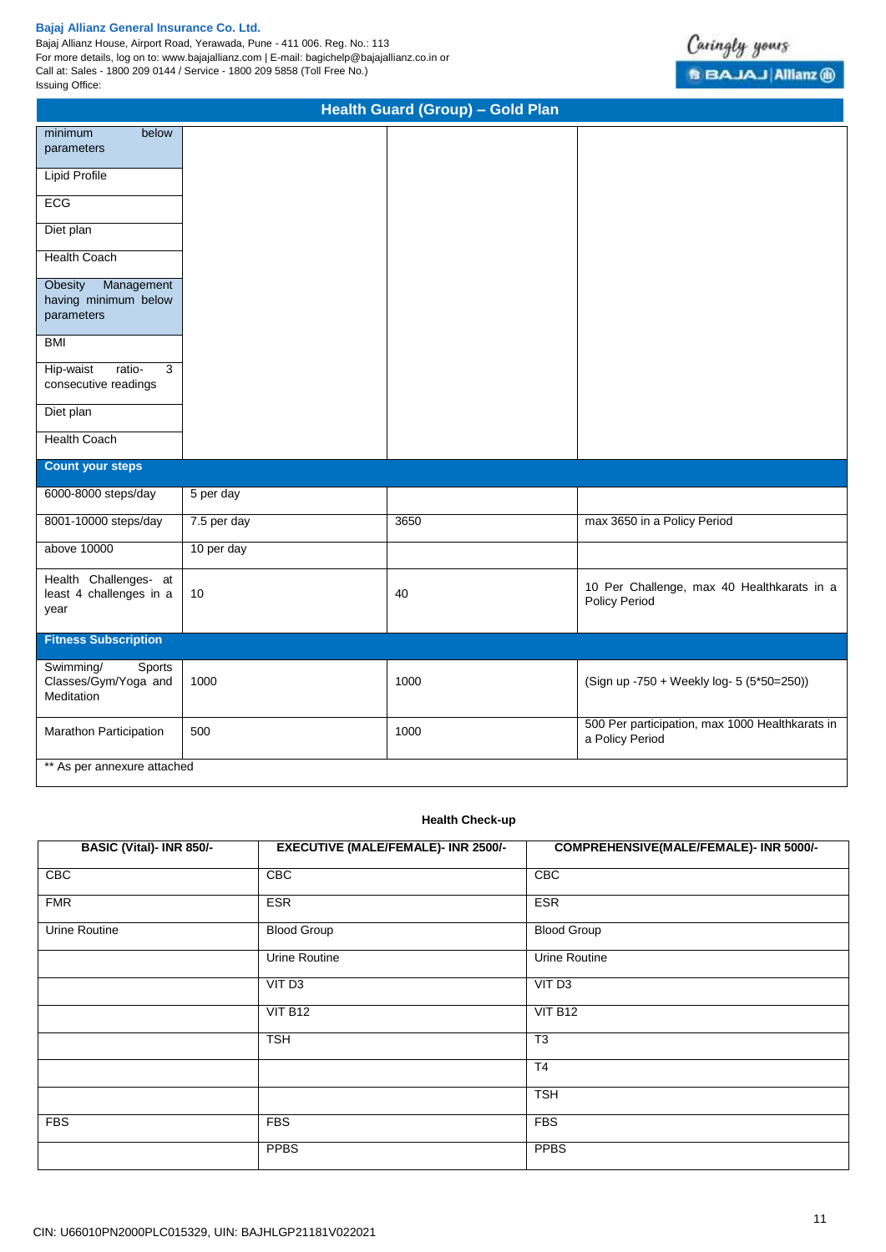Bajaj Allianz House, Airport Road, Yerawada, Pune - 411 006. Reg. No.: 113 For more details, log on to: www.bajajallianz.com | E-mail: bagichelp@bajajallianz.co.in or Call at: Sales - 1800 209 0144 / Service - 1800 209 5858 (Toll Free No.) Issuing Office:

| <b>Health Guard (Group) - Gold Plan</b>                     |             |      |                                                                    |  |  |
|-------------------------------------------------------------|-------------|------|--------------------------------------------------------------------|--|--|
| minimum<br>below<br>parameters                              |             |      |                                                                    |  |  |
| <b>Lipid Profile</b>                                        |             |      |                                                                    |  |  |
| ECG                                                         |             |      |                                                                    |  |  |
| Diet plan                                                   |             |      |                                                                    |  |  |
| <b>Health Coach</b>                                         |             |      |                                                                    |  |  |
| Obesity<br>Management<br>having minimum below<br>parameters |             |      |                                                                    |  |  |
| <b>BMI</b>                                                  |             |      |                                                                    |  |  |
| ratio-<br>3<br>Hip-waist<br>consecutive readings            |             |      |                                                                    |  |  |
| Diet plan                                                   |             |      |                                                                    |  |  |
| <b>Health Coach</b>                                         |             |      |                                                                    |  |  |
| <b>Count your steps</b>                                     |             |      |                                                                    |  |  |
| 6000-8000 steps/day                                         | 5 per day   |      |                                                                    |  |  |
| 8001-10000 steps/day                                        | 7.5 per day | 3650 | max 3650 in a Policy Period                                        |  |  |
| above 10000                                                 | 10 per day  |      |                                                                    |  |  |
| Health Challenges- at<br>least 4 challenges in a<br>year    | 10          | 40   | 10 Per Challenge, max 40 Healthkarats in a<br><b>Policy Period</b> |  |  |
| <b>Fitness Subscription</b>                                 |             |      |                                                                    |  |  |
| Sports<br>Swimming/<br>Classes/Gym/Yoga and<br>Meditation   | 1000        | 1000 | (Sign up -750 + Weekly log- 5 (5*50=250))                          |  |  |
| Marathon Participation                                      | 500         | 1000 | 500 Per participation, max 1000 Healthkarats in<br>a Policy Period |  |  |
| ** As per annexure attached                                 |             |      |                                                                    |  |  |

## **Health Check-up**

| BASIC (Vital)- INR 850/- | <b>EXECUTIVE (MALE/FEMALE)- INR 2500/-</b> | COMPREHENSIVE(MALE/FEMALE)- INR 5000/- |
|--------------------------|--------------------------------------------|----------------------------------------|
| CBC                      | <b>CBC</b>                                 | CBC                                    |
| <b>FMR</b>               | <b>ESR</b>                                 | <b>ESR</b>                             |
| Urine Routine            | <b>Blood Group</b>                         | <b>Blood Group</b>                     |
|                          | Urine Routine                              | <b>Urine Routine</b>                   |
|                          | VIT <sub>D3</sub>                          | VIT <sub>D3</sub>                      |
|                          | VIT B12                                    | VIT B12                                |
|                          | <b>TSH</b>                                 | T <sub>3</sub>                         |
|                          |                                            | T <sub>4</sub>                         |
|                          |                                            | <b>TSH</b>                             |
| <b>FBS</b>               | <b>FBS</b>                                 | <b>FBS</b>                             |
|                          | <b>PPBS</b>                                | <b>PPBS</b>                            |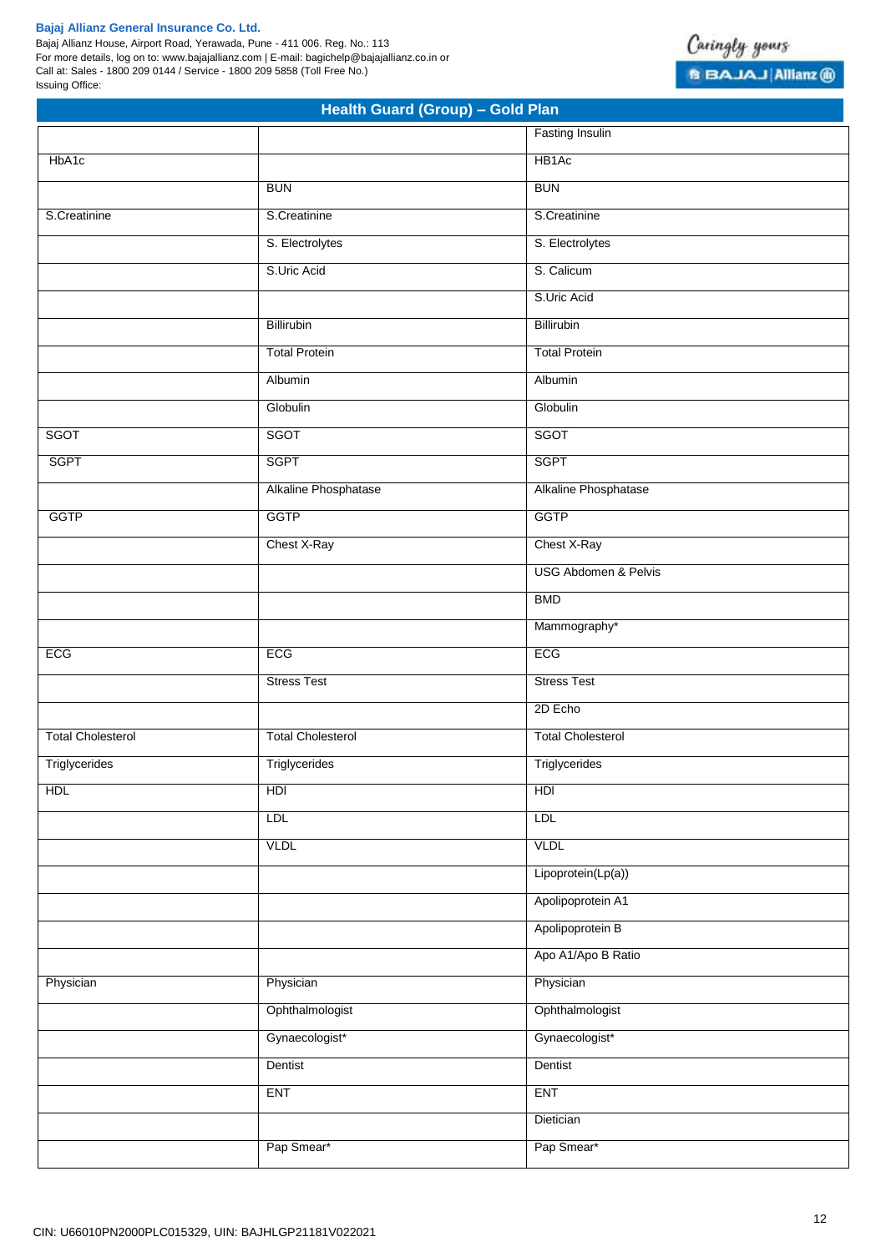Bajaj Allianz House, Airport Road, Yerawada, Pune - 411 006. Reg. No.: 113 For more details, log on to: www.bajajallianz.com | E-mail: bagichelp@bajajallianz.co.in or Call at: Sales - 1800 209 0144 / Service - 1800 209 5858 (Toll Free No.) Issuing Office:



| Health Guard (Group) - Gold Plan |                          |                                 |  |
|----------------------------------|--------------------------|---------------------------------|--|
|                                  |                          | <b>Fasting Insulin</b>          |  |
| HbA1c                            |                          | HB <sub>1</sub> Ac              |  |
|                                  | <b>BUN</b>               | <b>BUN</b>                      |  |
| S.Creatinine                     | S.Creatinine             | S.Creatinine                    |  |
|                                  | S. Electrolytes          | S. Electrolytes                 |  |
|                                  | S.Uric Acid              | S. Calicum                      |  |
|                                  |                          | S.Uric Acid                     |  |
|                                  | Billirubin               | Billirubin                      |  |
|                                  | <b>Total Protein</b>     | <b>Total Protein</b>            |  |
|                                  | Albumin                  | Albumin                         |  |
|                                  | Globulin                 | Globulin                        |  |
| SGOT                             | <b>SGOT</b>              | SGOT                            |  |
| <b>SGPT</b>                      | <b>SGPT</b>              | <b>SGPT</b>                     |  |
|                                  | Alkaline Phosphatase     | Alkaline Phosphatase            |  |
| <b>GGTP</b>                      | <b>GGTP</b>              | <b>GGTP</b>                     |  |
|                                  | Chest X-Ray              | Chest X-Ray                     |  |
|                                  |                          | <b>USG Abdomen &amp; Pelvis</b> |  |
|                                  |                          | <b>BMD</b>                      |  |
|                                  |                          | Mammography*                    |  |
| ECG                              | ECG                      | ECG                             |  |
|                                  | <b>Stress Test</b>       | <b>Stress Test</b>              |  |
|                                  |                          | 2D Echo                         |  |
| <b>Total Cholesterol</b>         | <b>Total Cholesterol</b> | <b>Total Cholesterol</b>        |  |
| Triglycerides                    | Triglycerides            | Triglycerides                   |  |
| HDL                              | HDI                      | H <sub>D</sub>                  |  |
|                                  | <b>LDL</b>               | <b>LDL</b>                      |  |
|                                  | <b>VLDL</b>              | <b>VLDL</b>                     |  |
|                                  |                          | Lipoprotein(Lp(a))              |  |
|                                  |                          | Apolipoprotein A1               |  |
|                                  |                          | Apolipoprotein B                |  |
|                                  |                          | Apo A1/Apo B Ratio              |  |
| Physician                        | Physician                | Physician                       |  |
|                                  | Ophthalmologist          | Ophthalmologist                 |  |
|                                  | Gynaecologist*           | Gynaecologist*                  |  |
|                                  | Dentist                  | Dentist                         |  |
|                                  | <b>ENT</b>               | <b>ENT</b>                      |  |
|                                  |                          | Dietician                       |  |
|                                  | Pap Smear*               | Pap Smear*                      |  |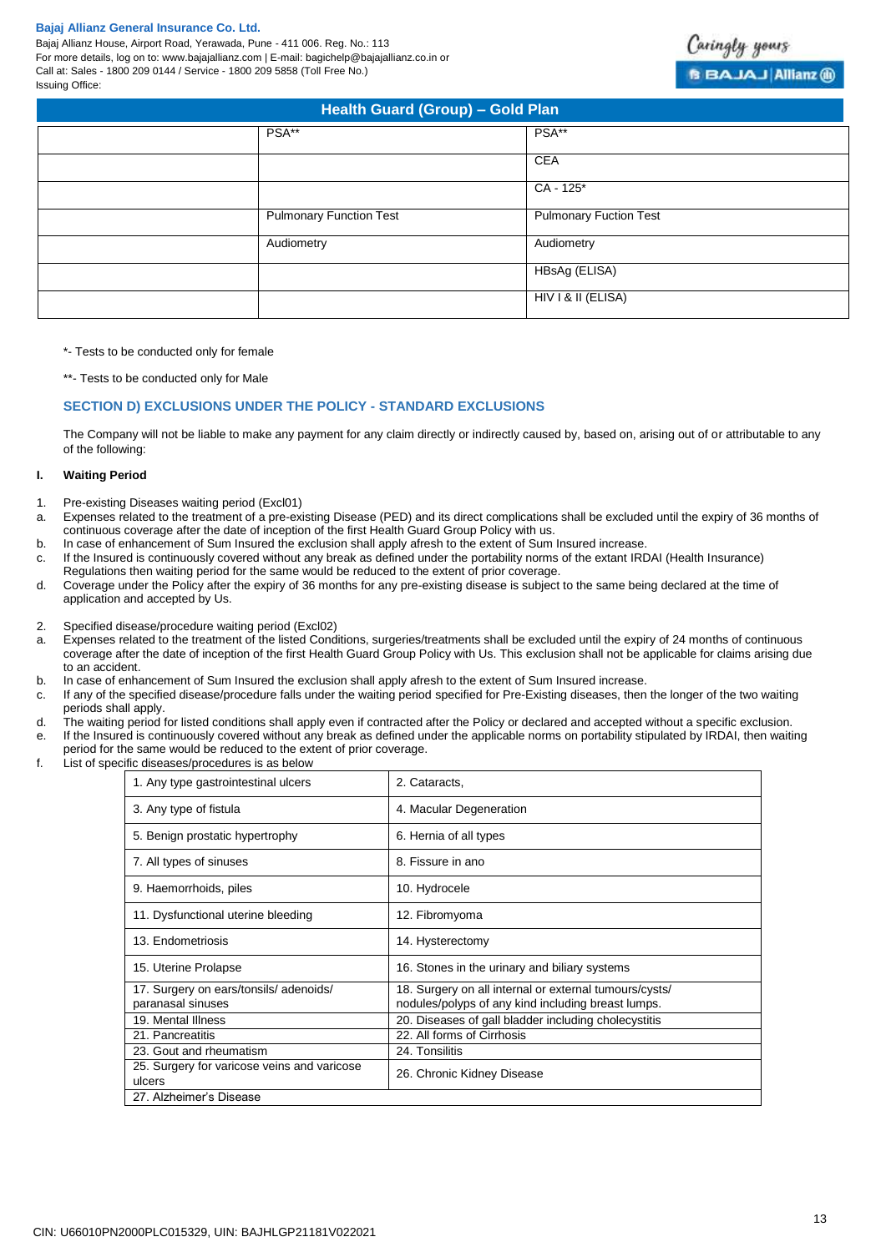Bajaj Allianz House, Airport Road, Yerawada, Pune - 411 006. Reg. No.: 113 For more details, log on to: www.bajajallianz.com | E-mail: bagichelp@bajajallianz.co.in or Call at: Sales - 1800 209 0144 / Service - 1800 209 5858 (Toll Free No.) Issuing Office:

| Health Guard (Group) - Gold Plan |                                |                               |  |
|----------------------------------|--------------------------------|-------------------------------|--|
|                                  | PSA**                          | PSA**                         |  |
|                                  |                                | CEA                           |  |
|                                  |                                | $CA - 125*$                   |  |
|                                  | <b>Pulmonary Function Test</b> | <b>Pulmonary Fuction Test</b> |  |
|                                  | Audiometry                     | Audiometry                    |  |
|                                  |                                | HBsAg (ELISA)                 |  |
|                                  |                                | HIV I & II (ELISA)            |  |

\*- Tests to be conducted only for female

\*\*- Tests to be conducted only for Male

## **SECTION D) EXCLUSIONS UNDER THE POLICY - STANDARD EXCLUSIONS**

The Company will not be liable to make any payment for any claim directly or indirectly caused by, based on, arising out of or attributable to any of the following:

#### **I. Waiting Period**

- 1. Pre-existing Diseases waiting period (Excl01)
- a. Expenses related to the treatment of a pre-existing Disease (PED) and its direct complications shall be excluded until the expiry of 36 months of continuous coverage after the date of inception of the first Health Guard Group Policy with us.
- b. In case of enhancement of Sum Insured the exclusion shall apply afresh to the extent of Sum Insured increase.
- c. If the Insured is continuously covered without any break as defined under the portability norms of the extant IRDAI (Health Insurance)
- Regulations then waiting period for the same would be reduced to the extent of prior coverage.
- d. Coverage under the Policy after the expiry of 36 months for any pre-existing disease is subject to the same being declared at the time of application and accepted by Us.
- 2. Specified disease/procedure waiting period (Excl02)
- a. Expenses related to the treatment of the listed Conditions, surgeries/treatments shall be excluded until the expiry of 24 months of continuous coverage after the date of inception of the first Health Guard Group Policy with Us. This exclusion shall not be applicable for claims arising due to an accident.
- b. In case of enhancement of Sum Insured the exclusion shall apply afresh to the extent of Sum Insured increase.
- c. If any of the specified disease/procedure falls under the waiting period specified for Pre-Existing diseases, then the longer of the two waiting periods shall apply.
- d. The waiting period for listed conditions shall apply even if contracted after the Policy or declared and accepted without a specific exclusion. e. If the Insured is continuously covered without any break as defined under the applicable norms on portability stipulated by IRDAI, then waiting period for the same would be reduced to the extent of prior coverage.
- f. List of specific diseases/procedures is as below

| 1. Any type gastrointestinal ulcers                   | 2. Cataracts,                                          |  |
|-------------------------------------------------------|--------------------------------------------------------|--|
| 3. Any type of fistula                                | 4. Macular Degeneration                                |  |
| 5. Benign prostatic hypertrophy                       | 6. Hernia of all types                                 |  |
| 7. All types of sinuses                               | 8. Fissure in ano                                      |  |
| 9. Haemorrhoids, piles                                | 10. Hydrocele                                          |  |
| 11. Dysfunctional uterine bleeding                    | 12. Fibromyoma                                         |  |
| 13. Endometriosis                                     | 14. Hysterectomy                                       |  |
| 15. Uterine Prolapse                                  | 16. Stones in the urinary and biliary systems          |  |
| 17. Surgery on ears/tonsils/ adenoids/                | 18. Surgery on all internal or external tumours/cysts/ |  |
| paranasal sinuses                                     | nodules/polyps of any kind including breast lumps.     |  |
| 19. Mental Illness                                    | 20. Diseases of gall bladder including cholecystitis   |  |
| 21. Pancreatitis                                      | 22. All forms of Cirrhosis                             |  |
| 23. Gout and rheumatism                               | 24. Tonsilitis                                         |  |
| 25. Surgery for varicose veins and varicose<br>ulcers | 26. Chronic Kidney Disease                             |  |
| 27. Alzheimer's Disease                               |                                                        |  |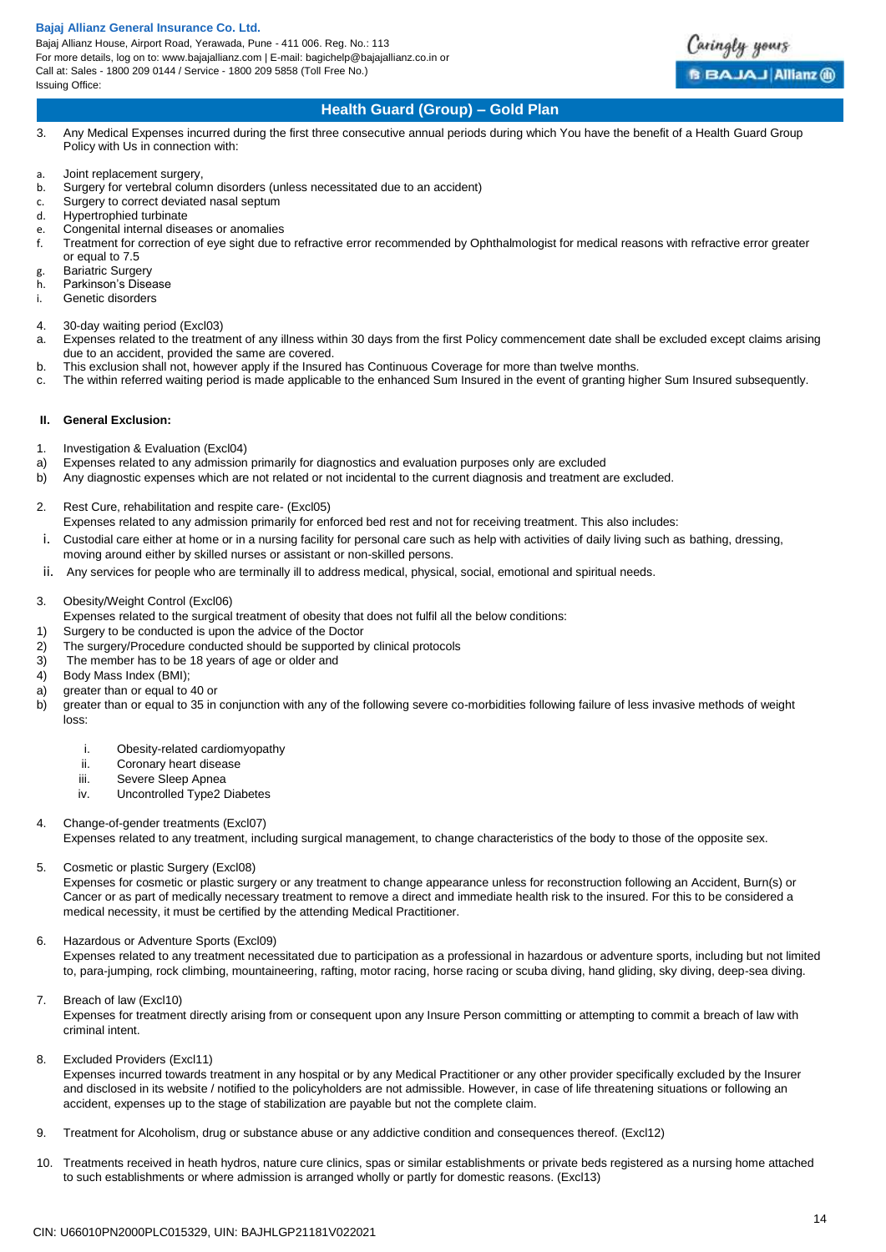Bajaj Allianz House, Airport Road, Yerawada, Pune - 411 006. Reg. No.: 113 For more details, log on to: www.bajajallianz.com | E-mail: bagichelp@bajajallianz.co.in or Call at: Sales - 1800 209 0144 / Service - 1800 209 5858 (Toll Free No.) Issuing Office:



## **Health Guard (Group) – Gold Plan**

- 3. Any Medical Expenses incurred during the first three consecutive annual periods during which You have the benefit of a Health Guard Group Policy with Us in connection with:
- a. Joint replacement surgery,<br>b. Surgery for vertebral colum
- Surgery for vertebral column disorders (unless necessitated due to an accident)
- c. Surgery to correct deviated nasal septum
- d. Hypertrophied turbinate
- e. Congenital internal diseases or anomalies
- f. Treatment for correction of eye sight due to refractive error recommended by Ophthalmologist for medical reasons with refractive error greater or equal to 7.5
- g. Bariatric Surgery
- h. Parkinson's Disease
- i. Genetic disorders
- 4. 30-day waiting period (Excl03)
- a. Expenses related to the treatment of any illness within 30 days from the first Policy commencement date shall be excluded except claims arising due to an accident, provided the same are covered.
- b. This exclusion shall not, however apply if the Insured has Continuous Coverage for more than twelve months.
- c. The within referred waiting period is made applicable to the enhanced Sum Insured in the event of granting higher Sum Insured subsequently.

#### **II. General Exclusion:**

- 1. Investigation & Evaluation (Excl04)
- a) Expenses related to any admission primarily for diagnostics and evaluation purposes only are excluded
- b) Any diagnostic expenses which are not related or not incidental to the current diagnosis and treatment are excluded.
- 2. Rest Cure, rehabilitation and respite care- (Excl05)
- Expenses related to any admission primarily for enforced bed rest and not for receiving treatment. This also includes:
- i. Custodial care either at home or in a nursing facility for personal care such as help with activities of daily living such as bathing, dressing, moving around either by skilled nurses or assistant or non-skilled persons.
- ii. Any services for people who are terminally ill to address medical, physical, social, emotional and spiritual needs.
- 3. Obesity/Weight Control (Excl06)
- Expenses related to the surgical treatment of obesity that does not fulfil all the below conditions:
- 1) Surgery to be conducted is upon the advice of the Doctor
- 2) The surgery/Procedure conducted should be supported by clinical protocols<br>3) The member has to be 18 years of age or older and
- The member has to be 18 years of age or older and
- 4) Body Mass Index (BMI);
- a) greater than or equal to 40 or
- b) greater than or equal to 35 in conjunction with any of the following severe co-morbidities following failure of less invasive methods of weight loss:
	- i. Obesity-related cardiomyopathy
	- ii. Coronary heart disease
	- iii. Severe Sleep Apnea
	- iv. Uncontrolled Type2 Diabetes
- 4. Change-of-gender treatments (Excl07)

Expenses related to any treatment, including surgical management, to change characteristics of the body to those of the opposite sex.

## 5. Cosmetic or plastic Surgery (Excl08)

Expenses for cosmetic or plastic surgery or any treatment to change appearance unless for reconstruction following an Accident, Burn(s) or Cancer or as part of medically necessary treatment to remove a direct and immediate health risk to the insured. For this to be considered a medical necessity, it must be certified by the attending Medical Practitioner.

6. Hazardous or Adventure Sports (Excl09)

Expenses related to any treatment necessitated due to participation as a professional in hazardous or adventure sports, including but not limited to, para-jumping, rock climbing, mountaineering, rafting, motor racing, horse racing or scuba diving, hand gliding, sky diving, deep-sea diving.

7. Breach of law (Excl10)

Expenses for treatment directly arising from or consequent upon any Insure Person committing or attempting to commit a breach of law with criminal intent.

8. Excluded Providers (Excl11)

Expenses incurred towards treatment in any hospital or by any Medical Practitioner or any other provider specifically excluded by the Insurer and disclosed in its website / notified to the policyholders are not admissible. However, in case of life threatening situations or following an accident, expenses up to the stage of stabilization are payable but not the complete claim.

- 9. Treatment for Alcoholism, drug or substance abuse or any addictive condition and consequences thereof. (Excl12)
- 10. Treatments received in heath hydros, nature cure clinics, spas or similar establishments or private beds registered as a nursing home attached to such establishments or where admission is arranged wholly or partly for domestic reasons. (Excl13)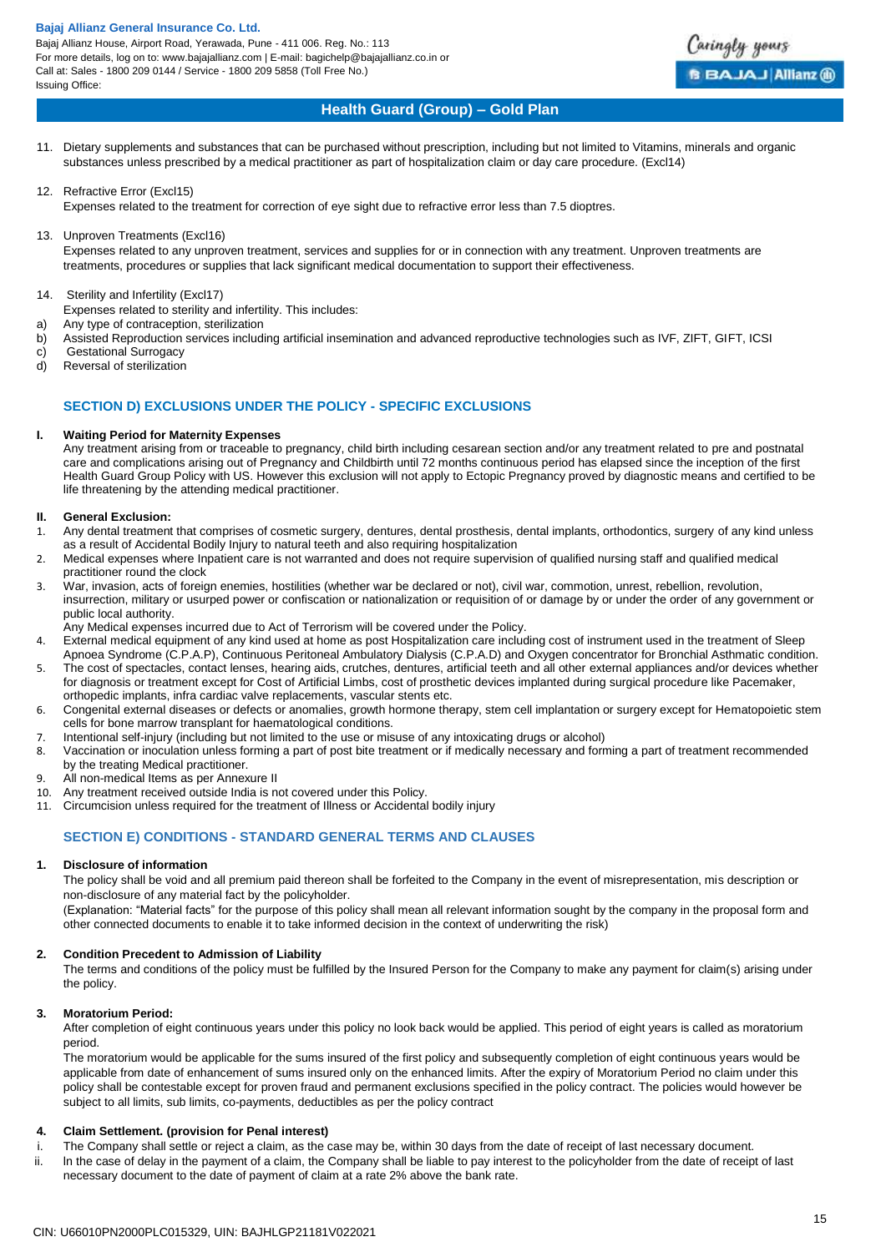Bajaj Allianz House, Airport Road, Yerawada, Pune - 411 006. Reg. No.: 113 For more details, log on to: www.bajajallianz.com | E-mail: bagichelp@bajajallianz.co.in or Call at: Sales - 1800 209 0144 / Service - 1800 209 5858 (Toll Free No.) Issuing Office:



## **Health Guard (Group) – Gold Plan**

- 11. Dietary supplements and substances that can be purchased without prescription, including but not limited to Vitamins, minerals and organic substances unless prescribed by a medical practitioner as part of hospitalization claim or day care procedure. (Excl14)
- 12. Refractive Error (Excl15)

Expenses related to the treatment for correction of eye sight due to refractive error less than 7.5 dioptres.

- 13. Unproven Treatments (Excl16)
	- Expenses related to any unproven treatment, services and supplies for or in connection with any treatment. Unproven treatments are treatments, procedures or supplies that lack significant medical documentation to support their effectiveness.
- 14. Sterility and Infertility (Excl17)
- Expenses related to sterility and infertility. This includes:
- a) Any type of contraception, sterilization
- b) Assisted Reproduction services including artificial insemination and advanced reproductive technologies such as IVF, ZIFT, GIFT, ICSI
- c) Gestational Surrogacy
- d) Reversal of sterilization

## **SECTION D) EXCLUSIONS UNDER THE POLICY - SPECIFIC EXCLUSIONS**

## **I. Waiting Period for Maternity Expenses**

Any treatment arising from or traceable to pregnancy, child birth including cesarean section and/or any treatment related to pre and postnatal care and complications arising out of Pregnancy and Childbirth until 72 months continuous period has elapsed since the inception of the first Health Guard Group Policy with US. However this exclusion will not apply to Ectopic Pregnancy proved by diagnostic means and certified to be life threatening by the attending medical practitioner.

## **II. General Exclusion:**

- 1. Any dental treatment that comprises of cosmetic surgery, dentures, dental prosthesis, dental implants, orthodontics, surgery of any kind unless as a result of Accidental Bodily Injury to natural teeth and also requiring hospitalization
- 2. Medical expenses where Inpatient care is not warranted and does not require supervision of qualified nursing staff and qualified medical practitioner round the clock
- 3. War, invasion, acts of foreign enemies, hostilities (whether war be declared or not), civil war, commotion, unrest, rebellion, revolution, insurrection, military or usurped power or confiscation or nationalization or requisition of or damage by or under the order of any government or public local authority.
- Any Medical expenses incurred due to Act of Terrorism will be covered under the Policy.
- 4. External medical equipment of any kind used at home as post Hospitalization care including cost of instrument used in the treatment of Sleep Apnoea Syndrome (C.P.A.P), Continuous Peritoneal Ambulatory Dialysis (C.P.A.D) and Oxygen concentrator for Bronchial Asthmatic condition.
- 5. The cost of spectacles, contact lenses, hearing aids, crutches, dentures, artificial teeth and all other external appliances and/or devices whether for diagnosis or treatment except for Cost of Artificial Limbs, cost of prosthetic devices implanted during surgical procedure like Pacemaker, orthopedic implants, infra cardiac valve replacements, vascular stents etc.
- 6. Congenital external diseases or defects or anomalies, growth hormone therapy, stem cell implantation or surgery except for Hematopoietic stem cells for bone marrow transplant for haematological conditions.
- 7. Intentional self-injury (including but not limited to the use or misuse of any intoxicating drugs or alcohol)
- 8. Vaccination or inoculation unless forming a part of post bite treatment or if medically necessary and forming a part of treatment recommended by the treating Medical practitioner.
- 9. All non-medical Items as per Annexure II
- 10. Any treatment received outside India is not covered under this Policy.
- 11. Circumcision unless required for the treatment of Illness or Accidental bodily injury

## **SECTION E) CONDITIONS - STANDARD GENERAL TERMS AND CLAUSES**

## **1. Disclosure of information**

The policy shall be void and all premium paid thereon shall be forfeited to the Company in the event of misrepresentation, mis description or non-disclosure of any material fact by the policyholder.

(Explanation: "Material facts" for the purpose of this policy shall mean all relevant information sought by the company in the proposal form and other connected documents to enable it to take informed decision in the context of underwriting the risk)

## **2. Condition Precedent to Admission of Liability**

The terms and conditions of the policy must be fulfilled by the Insured Person for the Company to make any payment for claim(s) arising under the policy.

## **3. Moratorium Period:**

After completion of eight continuous years under this policy no look back would be applied. This period of eight years is called as moratorium period.

The moratorium would be applicable for the sums insured of the first policy and subsequently completion of eight continuous years would be applicable from date of enhancement of sums insured only on the enhanced limits. After the expiry of Moratorium Period no claim under this policy shall be contestable except for proven fraud and permanent exclusions specified in the policy contract. The policies would however be subject to all limits, sub limits, co-payments, deductibles as per the policy contract

## **4. Claim Settlement. (provision for Penal interest)**

- i. The Company shall settle or reject a claim, as the case may be, within 30 days from the date of receipt of last necessary document.
- ii. ln the case of delay in the payment of a claim, the Company shall be liable to pay interest to the policyholder from the date of receipt of last necessary document to the date of payment of claim at a rate 2% above the bank rate.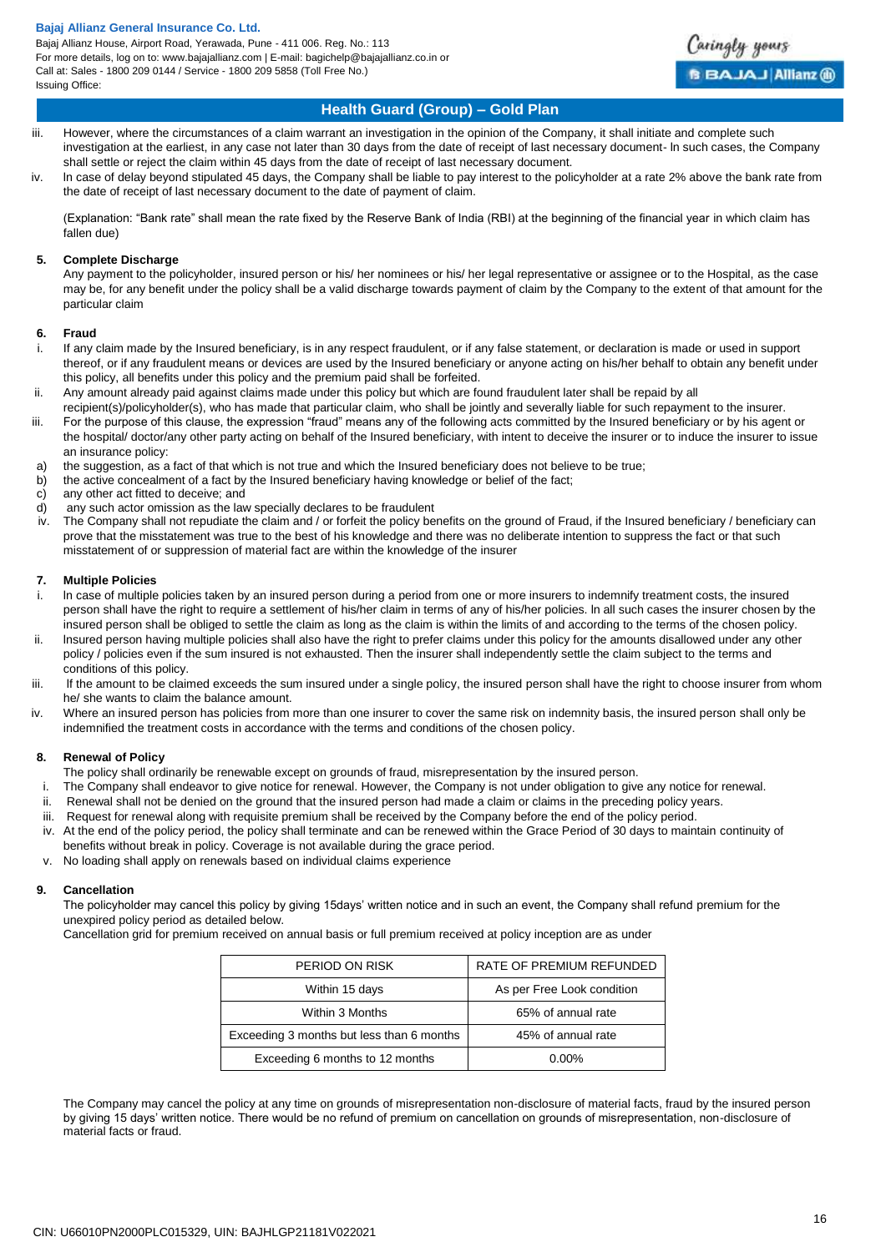Bajaj Allianz House, Airport Road, Yerawada, Pune - 411 006. Reg. No.: 113 For more details, log on to: www.bajajallianz.com | E-mail: bagichelp@bajajallianz.co.in or Call at: Sales - 1800 209 0144 / Service - 1800 209 5858 (Toll Free No.) Issuing Office:



## **Health Guard (Group) – Gold Plan**

- iii. However, where the circumstances of a claim warrant an investigation in the opinion of the Company, it shall initiate and complete such investigation at the earliest, in any case not later than 30 days from the date of receipt of last necessary document- ln such cases, the Company shall settle or reject the claim within 45 days from the date of receipt of last necessary document.
- iv. ln case of delay beyond stipulated 45 days, the Company shall be liable to pay interest to the policyholder at a rate 2% above the bank rate from the date of receipt of last necessary document to the date of payment of claim.

(Explanation: "Bank rate" shall mean the rate fixed by the Reserve Bank of India (RBI) at the beginning of the financial year in which claim has fallen due)

#### **5. Complete Discharge**

Any payment to the policyholder, insured person or his/ her nominees or his/ her legal representative or assignee or to the Hospital, as the case may be, for any benefit under the policy shall be a valid discharge towards payment of claim by the Company to the extent of that amount for the particular claim

#### **6. Fraud**

- i. If any claim made by the Insured beneficiary, is in any respect fraudulent, or if any false statement, or declaration is made or used in support thereof, or if any fraudulent means or devices are used by the Insured beneficiary or anyone acting on his/her behalf to obtain any benefit under this policy, all benefits under this policy and the premium paid shall be forfeited.
- ii. Any amount already paid against claims made under this policy but which are found fraudulent later shall be repaid by all recipient(s)/policyholder(s), who has made that particular claim, who shall be jointly and severally liable for such repayment to the insurer.
- iii. For the purpose of this clause, the expression "fraud" means any of the following acts committed by the Insured beneficiary or by his agent or the hospital/ doctor/any other party acting on behalf of the Insured beneficiary, with intent to deceive the insurer or to induce the insurer to issue an insurance policy:
- a) the suggestion, as a fact of that which is not true and which the Insured beneficiary does not believe to be true;<br>b) the active concealment of a fact by the Insured beneficiary having knowledge or belief of the fact:
- the active concealment of a fact by the Insured beneficiary having knowledge or belief of the fact;
- c) any other act fitted to deceive; and
- d) any such actor omission as the law specially declares to be fraudulent
- The Company shall not repudiate the claim and / or forfeit the policy benefits on the ground of Fraud, if the Insured beneficiary / beneficiary can prove that the misstatement was true to the best of his knowledge and there was no deliberate intention to suppress the fact or that such misstatement of or suppression of material fact are within the knowledge of the insurer

## **7. Multiple Policies**

- i. ln case of multiple policies taken by an insured person during a period from one or more insurers to indemnify treatment costs, the insured person shall have the right to require a settlement of his/her claim in terms of any of his/her policies. ln all such cases the insurer chosen by the insured person shall be obliged to settle the claim as long as the claim is within the limits of and according to the terms of the chosen policy.
- ii. lnsured person having multiple policies shall also have the right to prefer claims under this policy for the amounts disallowed under any other policy / policies even if the sum insured is not exhausted. Then the insurer shall independently settle the claim subject to the terms and conditions of this policy.
- iii. If the amount to be claimed exceeds the sum insured under a single policy, the insured person shall have the right to choose insurer from whom he/ she wants to claim the balance amount.
- iv. Where an insured person has policies from more than one insurer to cover the same risk on indemnity basis, the insured person shall only be indemnified the treatment costs in accordance with the terms and conditions of the chosen policy.

## **8. Renewal of Policy**

- The policy shall ordinarily be renewable except on grounds of fraud, misrepresentation by the insured person.
- i. The Company shall endeavor to give notice for renewal. However, the Company is not under obligation to give any notice for renewal.
- ii. Renewal shall not be denied on the ground that the insured person had made a claim or claims in the preceding policy years.
- iii. Request for renewal along with requisite premium shall be received by the Company before the end of the policy period.
- iv. At the end of the policy period, the policy shall terminate and can be renewed within the Grace Period of 30 days to maintain continuity of
- benefits without break in policy. Coverage is not available during the grace period.
- v. No loading shall apply on renewals based on individual claims experience

## **9. Cancellation**

The policyholder may cancel this policy by giving 15days' written notice and in such an event, the Company shall refund premium for the unexpired policy period as detailed below.

Cancellation grid for premium received on annual basis or full premium received at policy inception are as under

| PERIOD ON RISK                            | RATE OF PREMIUM REFUNDED   |
|-------------------------------------------|----------------------------|
| Within 15 days                            | As per Free Look condition |
| Within 3 Months                           | 65% of annual rate         |
| Exceeding 3 months but less than 6 months | 45% of annual rate         |
| Exceeding 6 months to 12 months           | $0.00\%$                   |

The Company may cancel the policy at any time on grounds of misrepresentation non-disclosure of material facts, fraud by the insured person by giving 15 days' written notice. There would be no refund of premium on cancellation on grounds of misrepresentation, non-disclosure of material facts or fraud.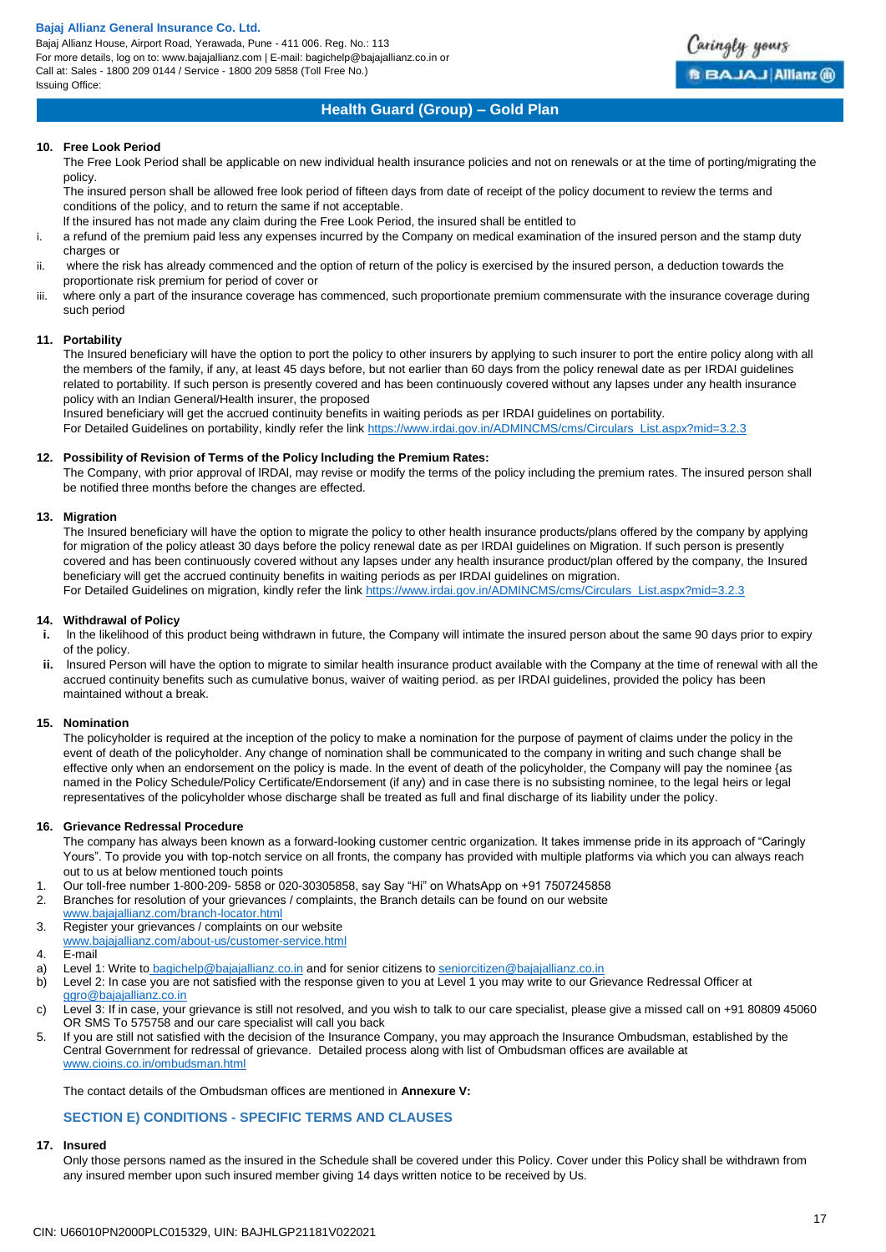Bajaj Allianz House, Airport Road, Yerawada, Pune - 411 006. Reg. No.: 113 For more details, log on to: www.bajajallianz.com | E-mail: bagichelp@bajajallianz.co.in or Call at: Sales - 1800 209 0144 / Service - 1800 209 5858 (Toll Free No.) Issuing Office:



## **Health Guard (Group) – Gold Plan**

## **10. Free Look Period**

The Free Look Period shall be applicable on new individual health insurance policies and not on renewals or at the time of porting/migrating the policy.

The insured person shall be allowed free look period of fifteen days from date of receipt of the policy document to review the terms and conditions of the policy, and to return the same if not acceptable.

lf the insured has not made any claim during the Free Look Period, the insured shall be entitled to

- i. a refund of the premium paid less any expenses incurred by the Company on medical examination of the insured person and the stamp duty charges or
- ii. where the risk has already commenced and the option of return of the policy is exercised by the insured person, a deduction towards the proportionate risk premium for period of cover or
- iii. where only a part of the insurance coverage has commenced, such proportionate premium commensurate with the insurance coverage during such period

## **11. Portability**

The Insured beneficiary will have the option to port the policy to other insurers by applying to such insurer to port the entire policy along with all the members of the family, if any, at least 45 days before, but not earlier than 60 days from the policy renewal date as per IRDAI guidelines related to portability. If such person is presently covered and has been continuously covered without any lapses under any health insurance policy with an Indian General/Health insurer, the proposed

Insured beneficiary will get the accrued continuity benefits in waiting periods as per IRDAI guidelines on portability.

For Detailed Guidelines on portability, kindly refer the link [https://www.irdai.gov.in/ADMINCMS/cms/Circulars\\_List.aspx?mid=3.2.3](https://www.irdai.gov.in/ADMINCMS/cms/Circulars_List.aspx?mid=3.2.3)

#### **12. Possibility of Revision of Terms of the Policy lncluding the Premium Rates:**

The Company, with prior approval of lRDAl, may revise or modify the terms of the policy including the premium rates. The insured person shall be notified three months before the changes are effected.

#### **13. Migration**

The Insured beneficiary will have the option to migrate the policy to other health insurance products/plans offered by the company by applying for migration of the policy atleast 30 days before the policy renewal date as per IRDAI guidelines on Migration. If such person is presently covered and has been continuously covered without any lapses under any health insurance product/plan offered by the company, the Insured beneficiary will get the accrued continuity benefits in waiting periods as per IRDAI guidelines on migration. For Detailed Guidelines on migration, kindly refer the link [https://www.irdai.gov.in/ADMINCMS/cms/Circulars\\_List.aspx?mid=3.2.3](https://www.irdai.gov.in/ADMINCMS/cms/Circulars_List.aspx?mid=3.2.3)

**14. Withdrawal of Policy**

- **i.** In the likelihood of this product being withdrawn in future, the Company will intimate the insured person about the same 90 days prior to expiry of the policy.
- **ii.** Insured Person will have the option to migrate to similar health insurance product available with the Company at the time of renewal with all the accrued continuity benefits such as cumulative bonus, waiver of waiting period. as per IRDAI guidelines, provided the policy has been maintained without a break.

## **15. Nomination**

The policyholder is required at the inception of the policy to make a nomination for the purpose of payment of claims under the policy in the event of death of the policyholder. Any change of nomination shall be communicated to the company in writing and such change shall be effective only when an endorsement on the policy is made. ln the event of death of the policyholder, the Company will pay the nominee {as named in the Policy Schedule/Policy Certificate/Endorsement (if any) and in case there is no subsisting nominee, to the legal heirs or legal representatives of the policyholder whose discharge shall be treated as full and final discharge of its liability under the policy.

#### **16. Grievance Redressal Procedure**

The company has always been known as a forward-looking customer centric organization. It takes immense pride in its approach of "Caringly Yours". To provide you with top-notch service on all fronts, the company has provided with multiple platforms via which you can always reach out to us at below mentioned touch points

- 1. Our toll-free number 1-800-209- 5858 or 020-30305858, say Say "Hi" on WhatsApp on +91 7507245858
- 2. Branches for resolution of your grievances / complaints, the Branch details can be found on our website
- [www.bajajallianz.com/branch-locator.html](http://www.bajajallianz.com/branch-locator.html)
- 3. Register your grievances / complaints on our website
- [www.bajajallianz.com/about-us/customer-service.html](http://www.bajajallianz.com/about-us/customer-service.html)
- 4. E-mail
- a) Level 1: Write to **[bagichelp@bajajallianz.co.in](mailto:bagichelp@bajajallianz.co.in)** and for senior citizens to <u>seniorcitizen@bajajallianz.co.in</u><br>b) Level 2: In case you are not satisfied with the response given to you at Level 1 you may write to our Gri
- Level 2: In case you are not satisfied with the response given to you at Level 1 you may write to our Grievance Redressal Officer at [ggro@bajajallianz.co.in](mailto:ggro@bajajallianz.co.in)
- c) Level 3: If in case, your grievance is still not resolved, and you wish to talk to our care specialist, please give a missed call on +91 80809 45060 OR SMS To 575758 and our care specialist will call you back
- 5. If you are still not satisfied with the decision of the Insurance Company, you may approach the Insurance Ombudsman, established by the Central Government for redressal of grievance. Detailed process along with list of Ombudsman offices are available at [www.cioins.co.in/ombudsman.html](http://www.cioins.co.in/ombudsman.html)

The contact details of the Ombudsman offices are mentioned in **Annexure V:**

## **SECTION E) CONDITIONS - SPECIFIC TERMS AND CLAUSES**

## **17. Insured**

Only those persons named as the insured in the Schedule shall be covered under this Policy. Cover under this Policy shall be withdrawn from any insured member upon such insured member giving 14 days written notice to be received by Us.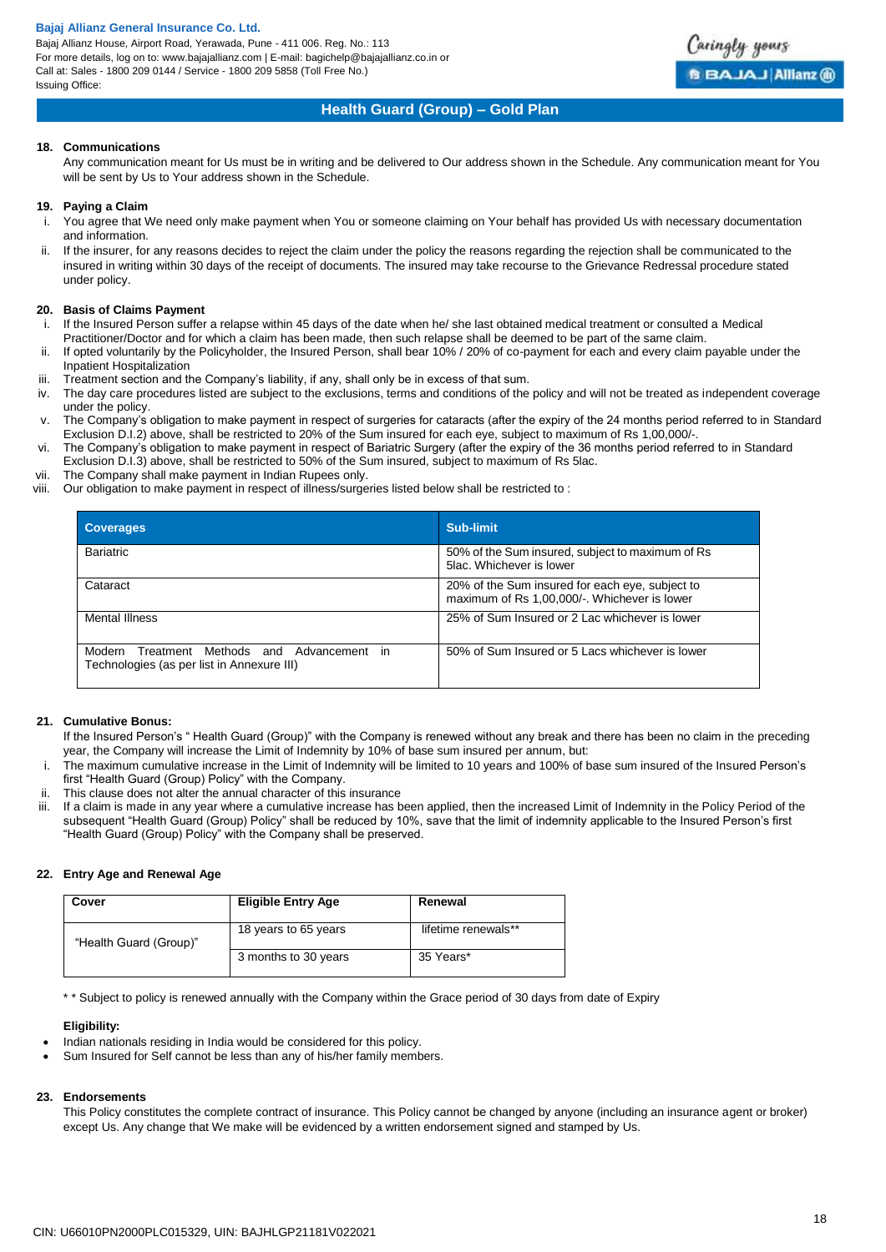Bajaj Allianz House, Airport Road, Yerawada, Pune - 411 006. Reg. No.: 113 For more details, log on to: www.bajajallianz.com | E-mail: bagichelp@bajajallianz.co.in or Call at: Sales - 1800 209 0144 / Service - 1800 209 5858 (Toll Free No.) Issuing Office:



## **Health Guard (Group) – Gold Plan**

### **18. Communications**

Any communication meant for Us must be in writing and be delivered to Our address shown in the Schedule. Any communication meant for You will be sent by Us to Your address shown in the Schedule.

#### **19. Paying a Claim**

- i. You agree that We need only make payment when You or someone claiming on Your behalf has provided Us with necessary documentation and information.
- ii. If the insurer, for any reasons decides to reject the claim under the policy the reasons regarding the rejection shall be communicated to the insured in writing within 30 days of the receipt of documents. The insured may take recourse to the Grievance Redressal procedure stated under policy.

#### **20. Basis of Claims Payment**

- i. If the Insured Person suffer a relapse within 45 days of the date when he/ she last obtained medical treatment or consulted a Medical Practitioner/Doctor and for which a claim has been made, then such relapse shall be deemed to be part of the same claim.
- ii. If opted voluntarily by the Policyholder, the Insured Person, shall bear 10% / 20% of co-payment for each and every claim payable under the
- Inpatient Hospitalization
- iii. Treatment section and the Company's liability, if any, shall only be in excess of that sum.
- iv. The day care procedures listed are subject to the exclusions, terms and conditions of the policy and will not be treated as independent coverage under the policy.
- v. The Company's obligation to make payment in respect of surgeries for cataracts (after the expiry of the 24 months period referred to in Standard Exclusion D.I.2) above, shall be restricted to 20% of the Sum insured for each eye, subject to maximum of Rs 1,00,000/-.
- vi. The Company's obligation to make payment in respect of Bariatric Surgery (after the expiry of the 36 months period referred to in Standard Exclusion D.I.3) above, shall be restricted to 50% of the Sum insured, subject to maximum of Rs 5lac.
- vii. The Company shall make payment in Indian Rupees only.<br>viii. Our obligation to make payment in respect of illness/surge
- Our obligation to make payment in respect of illness/surgeries listed below shall be restricted to :

| <b>Coverages</b>                                                                                      | Sub-limit                                                                                       |
|-------------------------------------------------------------------------------------------------------|-------------------------------------------------------------------------------------------------|
| <b>Bariatric</b>                                                                                      | 50% of the Sum insured, subject to maximum of Rs<br>5lac. Whichever is lower                    |
| Cataract                                                                                              | 20% of the Sum insured for each eye, subject to<br>maximum of Rs 1,00,000/-. Whichever is lower |
| Mental Illness                                                                                        | 25% of Sum Insured or 2 Lac whichever is lower                                                  |
| Modern<br>Methods and<br>Treatment<br>Advancement<br>in<br>Technologies (as per list in Annexure III) | 50% of Sum Insured or 5 Lacs whichever is lower                                                 |

## **21. Cumulative Bonus:**

If the Insured Person's " Health Guard (Group)" with the Company is renewed without any break and there has been no claim in the preceding year, the Company will increase the Limit of Indemnity by 10% of base sum insured per annum, but:

- i. The maximum cumulative increase in the Limit of Indemnity will be limited to 10 years and 100% of base sum insured of the Insured Person's first "Health Guard (Group) Policy" with the Company.
- ii. This clause does not alter the annual character of this insurance
- If a claim is made in any year where a cumulative increase has been applied, then the increased Limit of Indemnity in the Policy Period of the subsequent "Health Guard (Group) Policy" shall be reduced by 10%, save that the limit of indemnity applicable to the Insured Person's first "Health Guard (Group) Policy" with the Company shall be preserved.

## **22. Entry Age and Renewal Age**

| Cover                  |  | <b>Eligible Entry Age</b> | Renewal             |
|------------------------|--|---------------------------|---------------------|
| "Health Guard (Group)" |  | 18 years to 65 years      | lifetime renewals** |
|                        |  | 3 months to 30 years      | 35 Years*           |

\* \* Subject to policy is renewed annually with the Company within the Grace period of 30 days from date of Expiry

#### **Eligibility:**

- Indian nationals residing in India would be considered for this policy.
- Sum Insured for Self cannot be less than any of his/her family members.

## **23. Endorsements**

This Policy constitutes the complete contract of insurance. This Policy cannot be changed by anyone (including an insurance agent or broker) except Us. Any change that We make will be evidenced by a written endorsement signed and stamped by Us.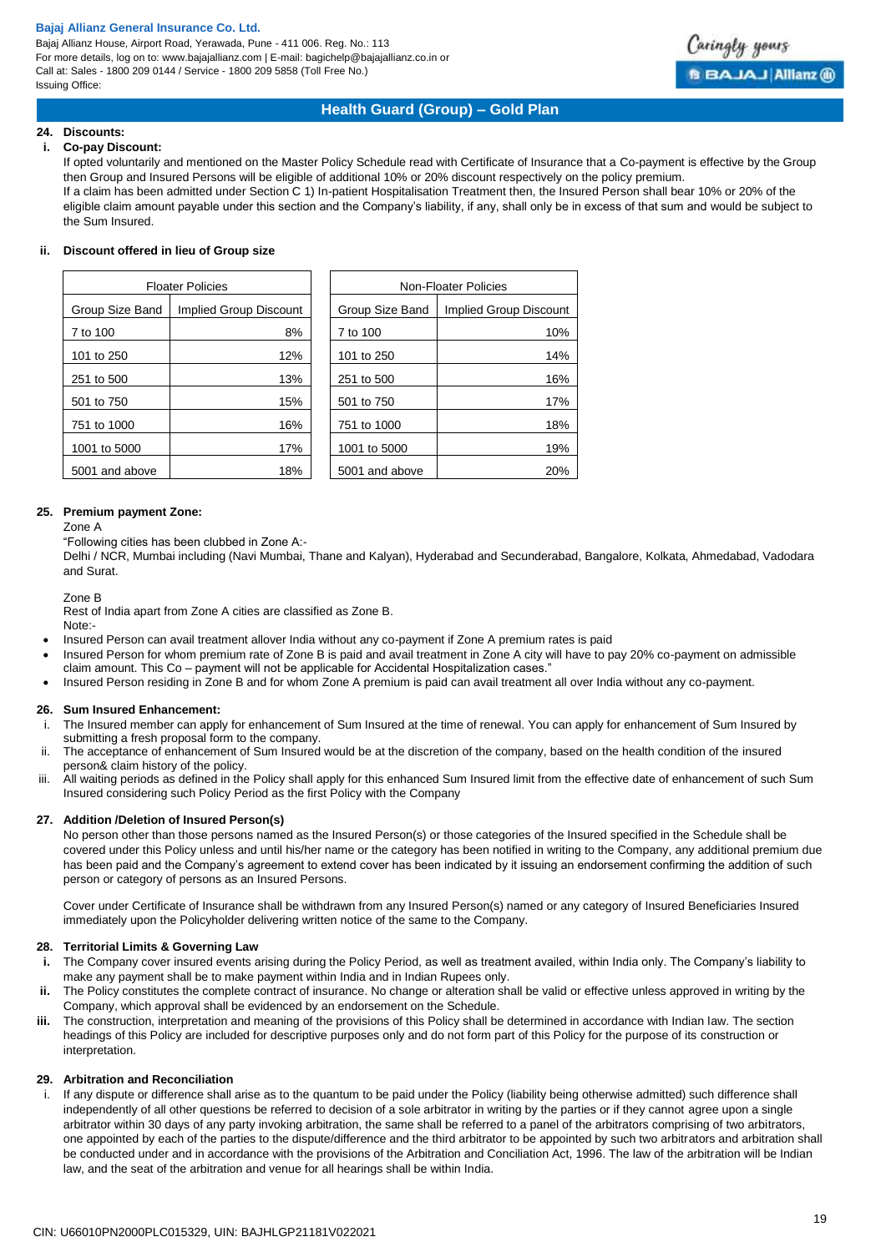Bajaj Allianz House, Airport Road, Yerawada, Pune - 411 006. Reg. No.: 113 For more details, log on to: www.bajajallianz.com | E-mail: bagichelp@bajajallianz.co.in or Call at: Sales - 1800 209 0144 / Service - 1800 209 5858 (Toll Free No.) Issuing Office:



## **Health Guard (Group) – Gold Plan**

## **24. Discounts:**

#### **i. Co-pay Discount:**

If opted voluntarily and mentioned on the Master Policy Schedule read with Certificate of Insurance that a Co-payment is effective by the Group then Group and Insured Persons will be eligible of additional 10% or 20% discount respectively on the policy premium. If a claim has been admitted under Section C 1) In-patient Hospitalisation Treatment then, the Insured Person shall bear 10% or 20% of the eligible claim amount payable under this section and the Company's liability, if any, shall only be in excess of that sum and would be subject to the Sum Insured.

#### **ii. Discount offered in lieu of Group size**

| <b>Floater Policies</b> |                        | Non-Floater Policies |                        |
|-------------------------|------------------------|----------------------|------------------------|
| Group Size Band         | Implied Group Discount | Group Size Band      | Implied Group Discount |
| 7 to 100                | 8%                     | 7 to 100             | 10%                    |
| 101 to 250              | 12%                    | 101 to 250           | 14%                    |
| 251 to 500              | 13%                    | 251 to 500           | 16%                    |
| 501 to 750              | 15%                    | 501 to 750           | 17%                    |
| 751 to 1000             | 16%                    | 751 to 1000          | 18%                    |
| 1001 to 5000            | 17%                    | 1001 to 5000         | 19%                    |
| 5001 and above          | 18%                    | 5001 and above       | 20%                    |

## **25. Premium payment Zone:**

#### Zone A

"Following cities has been clubbed in Zone A:-

Delhi / NCR, Mumbai including (Navi Mumbai, Thane and Kalyan), Hyderabad and Secunderabad, Bangalore, Kolkata, Ahmedabad, Vadodara and Surat.

#### Zone B

Rest of India apart from Zone A cities are classified as Zone B. Note:-

- Insured Person can avail treatment allover India without any co-payment if Zone A premium rates is paid
- Insured Person for whom premium rate of Zone B is paid and avail treatment in Zone A city will have to pay 20% co-payment on admissible claim amount. This Co – payment will not be applicable for Accidental Hospitalization cases."
- Insured Person residing in Zone B and for whom Zone A premium is paid can avail treatment all over India without any co-payment.

### **26. Sum Insured Enhancement:**

- i. The Insured member can apply for enhancement of Sum Insured at the time of renewal. You can apply for enhancement of Sum Insured by submitting a fresh proposal form to the company.
- ii. The acceptance of enhancement of Sum Insured would be at the discretion of the company, based on the health condition of the insured person& claim history of the policy.
- iii. All waiting periods as defined in the Policy shall apply for this enhanced Sum Insured limit from the effective date of enhancement of such Sum Insured considering such Policy Period as the first Policy with the Company

## **27. Addition /Deletion of Insured Person(s)**

No person other than those persons named as the Insured Person(s) or those categories of the Insured specified in the Schedule shall be covered under this Policy unless and until his/her name or the category has been notified in writing to the Company, any additional premium due has been paid and the Company's agreement to extend cover has been indicated by it issuing an endorsement confirming the addition of such person or category of persons as an Insured Persons.

Cover under Certificate of Insurance shall be withdrawn from any Insured Person(s) named or any category of Insured Beneficiaries Insured immediately upon the Policyholder delivering written notice of the same to the Company.

### **28. Territorial Limits & Governing Law**

- **i.** The Company cover insured events arising during the Policy Period, as well as treatment availed, within India only. The Company's liability to make any payment shall be to make payment within India and in Indian Rupees only.
- **ii.** The Policy constitutes the complete contract of insurance. No change or alteration shall be valid or effective unless approved in writing by the Company, which approval shall be evidenced by an endorsement on the Schedule.
- **iii.** The construction, interpretation and meaning of the provisions of this Policy shall be determined in accordance with Indian law. The section headings of this Policy are included for descriptive purposes only and do not form part of this Policy for the purpose of its construction or interpretation.

## **29. Arbitration and Reconciliation**

i. If any dispute or difference shall arise as to the quantum to be paid under the Policy (liability being otherwise admitted) such difference shall independently of all other questions be referred to decision of a sole arbitrator in writing by the parties or if they cannot agree upon a single arbitrator within 30 days of any party invoking arbitration, the same shall be referred to a panel of the arbitrators comprising of two arbitrators, one appointed by each of the parties to the dispute/difference and the third arbitrator to be appointed by such two arbitrators and arbitration shall be conducted under and in accordance with the provisions of the Arbitration and Conciliation Act, 1996. The law of the arbitration will be Indian law, and the seat of the arbitration and venue for all hearings shall be within India.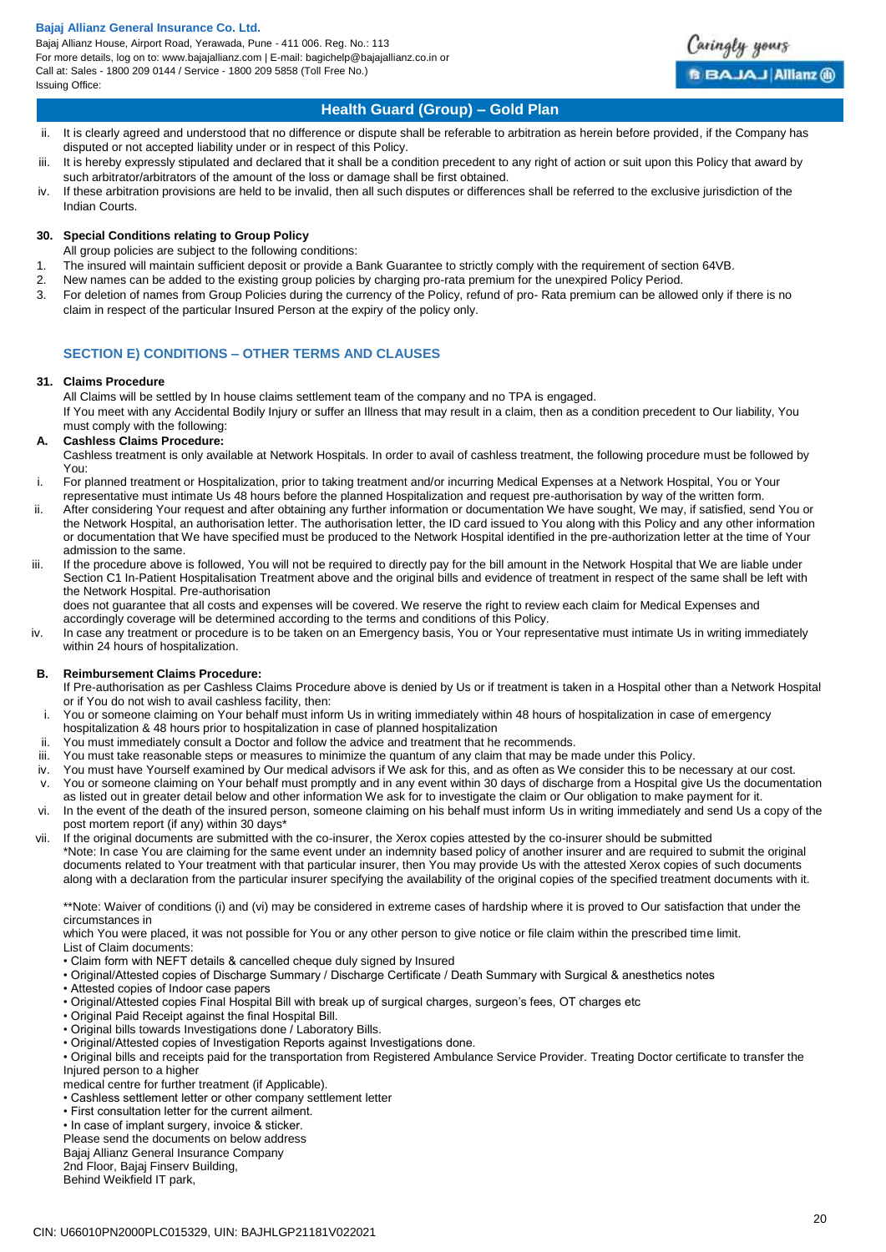Bajaj Allianz House, Airport Road, Yerawada, Pune - 411 006. Reg. No.: 113 For more details, log on to: www.bajajallianz.com | E-mail: bagichelp@bajajallianz.co.in or Call at: Sales - 1800 209 0144 / Service - 1800 209 5858 (Toll Free No.) Issuing Office:



## **Health Guard (Group) – Gold Plan**

- ii. It is clearly agreed and understood that no difference or dispute shall be referable to arbitration as herein before provided, if the Company has disputed or not accepted liability under or in respect of this Policy.
- iii. It is hereby expressly stipulated and declared that it shall be a condition precedent to any right of action or suit upon this Policy that award by such arbitrator/arbitrators of the amount of the loss or damage shall be first obtained.
- iv. If these arbitration provisions are held to be invalid, then all such disputes or differences shall be referred to the exclusive jurisdiction of the Indian Courts.

## **30. Special Conditions relating to Group Policy**

- All group policies are subject to the following conditions:
- 1. The insured will maintain sufficient deposit or provide a Bank Guarantee to strictly comply with the requirement of section 64VB.
- 2. New names can be added to the existing group policies by charging pro-rata premium for the unexpired Policy Period.
- 3. For deletion of names from Group Policies during the currency of the Policy, refund of pro- Rata premium can be allowed only if there is no claim in respect of the particular Insured Person at the expiry of the policy only.

## **SECTION E) CONDITIONS – OTHER TERMS AND CLAUSES**

## **31. Claims Procedure**

All Claims will be settled by In house claims settlement team of the company and no TPA is engaged.

If You meet with any Accidental Bodily Injury or suffer an Illness that may result in a claim, then as a condition precedent to Our liability, You must comply with the following:

## **A. Cashless Claims Procedure:**

Cashless treatment is only available at Network Hospitals. In order to avail of cashless treatment, the following procedure must be followed by You:

- i. For planned treatment or Hospitalization, prior to taking treatment and/or incurring Medical Expenses at a Network Hospital, You or Your
- representative must intimate Us 48 hours before the planned Hospitalization and request pre-authorisation by way of the written form. ii. After considering Your request and after obtaining any further information or documentation We have sought, We may, if satisfied, send You or the Network Hospital, an authorisation letter. The authorisation letter, the ID card issued to You along with this Policy and any other information or documentation that We have specified must be produced to the Network Hospital identified in the pre-authorization letter at the time of Your admission to the same.
- iii. If the procedure above is followed, You will not be required to directly pay for the bill amount in the Network Hospital that We are liable under Section C1 In-Patient Hospitalisation Treatment above and the original bills and evidence of treatment in respect of the same shall be left with the Network Hospital. Pre-authorisation

does not guarantee that all costs and expenses will be covered. We reserve the right to review each claim for Medical Expenses and accordingly coverage will be determined according to the terms and conditions of this Policy.

iv. In case any treatment or procedure is to be taken on an Emergency basis, You or Your representative must intimate Us in writing immediately within 24 hours of hospitalization.

## **B. Reimbursement Claims Procedure:**

If Pre-authorisation as per Cashless Claims Procedure above is denied by Us or if treatment is taken in a Hospital other than a Network Hospital or if You do not wish to avail cashless facility, then:

- i. You or someone claiming on Your behalf must inform Us in writing immediately within 48 hours of hospitalization in case of emergency hospitalization & 48 hours prior to hospitalization in case of planned hospitalization
- ii. You must immediately consult a Doctor and follow the advice and treatment that he recommends.
- iii. You must take reasonable steps or measures to minimize the quantum of any claim that may be made under this Policy.
- iv. You must have Yourself examined by Our medical advisors if We ask for this, and as often as We consider this to be necessary at our cost.
- v. You or someone claiming on Your behalf must promptly and in any event within 30 days of discharge from a Hospital give Us the documentation as listed out in greater detail below and other information We ask for to investigate the claim or Our obligation to make payment for it.
- vi. In the event of the death of the insured person, someone claiming on his behalf must inform Us in writing immediately and send Us a copy of the post mortem report (if any) within 30 days\*
- vii. If the original documents are submitted with the co-insurer, the Xerox copies attested by the co-insurer should be submitted \*Note: In case You are claiming for the same event under an indemnity based policy of another insurer and are required to submit the original documents related to Your treatment with that particular insurer, then You may provide Us with the attested Xerox copies of such documents along with a declaration from the particular insurer specifying the availability of the original copies of the specified treatment documents with it.

\*\*Note: Waiver of conditions (i) and (vi) may be considered in extreme cases of hardship where it is proved to Our satisfaction that under the circumstances in

which You were placed, it was not possible for You or any other person to give notice or file claim within the prescribed time limit.

- List of Claim documents:
- Claim form with NEFT details & cancelled cheque duly signed by Insured
- Original/Attested copies of Discharge Summary / Discharge Certificate / Death Summary with Surgical & anesthetics notes
- Attested copies of Indoor case papers
- Original/Attested copies Final Hospital Bill with break up of surgical charges, surgeon's fees, OT charges etc
- Original Paid Receipt against the final Hospital Bill.
- Original bills towards Investigations done / Laboratory Bills.
- Original/Attested copies of Investigation Reports against Investigations done.
- Original bills and receipts paid for the transportation from Registered Ambulance Service Provider. Treating Doctor certificate to transfer the Injured person to a higher
- medical centre for further treatment (if Applicable).
- Cashless settlement letter or other company settlement letter
- First consultation letter for the current ailment.
- In case of implant surgery, invoice & sticker.
- Please send the documents on below address

Bajaj Allianz General Insurance Company

2nd Floor, Bajaj Finserv Building, Behind Weikfield IT park,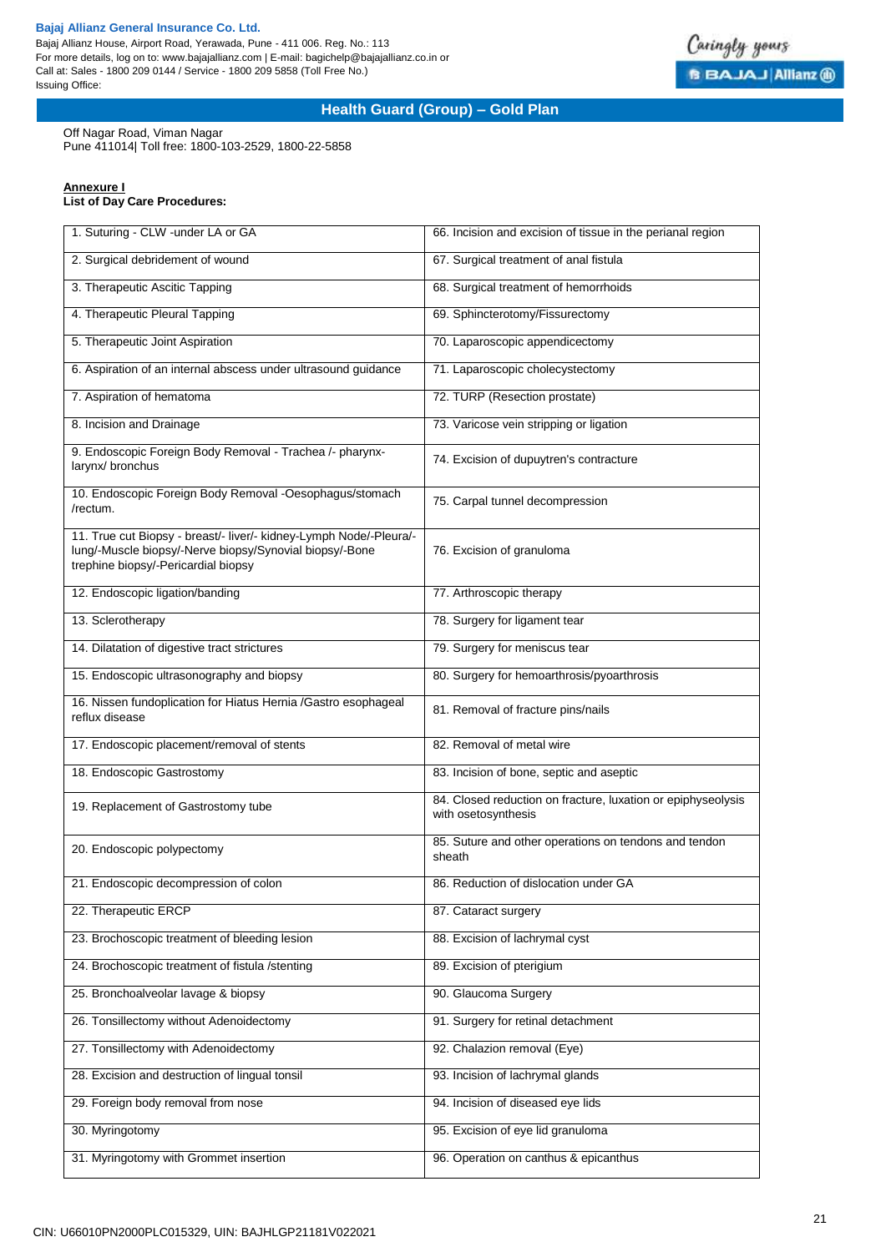Bajaj Allianz House, Airport Road, Yerawada, Pune - 411 006. Reg. No.: 113 For more details, log on to: www.bajajallianz.com | E-mail: bagichelp@bajajallianz.co.in or Call at: Sales - 1800 209 0144 / Service - 1800 209 5858 (Toll Free No.) Issuing Office:



## **Health Guard (Group) – Gold Plan**

Off Nagar Road, Viman Nagar

Pune 411014| Toll free: 1800-103-2529, 1800-22-5858

## **Annexure I**

**List of Day Care Procedures:**

| 1. Suturing - CLW -under LA or GA                                                                                                                                    | 66. Incision and excision of tissue in the perianal region                          |  |
|----------------------------------------------------------------------------------------------------------------------------------------------------------------------|-------------------------------------------------------------------------------------|--|
| 2. Surgical debridement of wound                                                                                                                                     | 67. Surgical treatment of anal fistula                                              |  |
| 3. Therapeutic Ascitic Tapping                                                                                                                                       | 68. Surgical treatment of hemorrhoids                                               |  |
| 4. Therapeutic Pleural Tapping                                                                                                                                       | 69. Sphincterotomy/Fissurectomy                                                     |  |
| 5. Therapeutic Joint Aspiration                                                                                                                                      | 70. Laparoscopic appendicectomy                                                     |  |
| 6. Aspiration of an internal abscess under ultrasound guidance                                                                                                       | 71. Laparoscopic cholecystectomy                                                    |  |
| 7. Aspiration of hematoma                                                                                                                                            | 72. TURP (Resection prostate)                                                       |  |
| 8. Incision and Drainage                                                                                                                                             | 73. Varicose vein stripping or ligation                                             |  |
| 9. Endoscopic Foreign Body Removal - Trachea /- pharynx-<br>larynx/ bronchus                                                                                         | 74. Excision of dupuytren's contracture                                             |  |
| 10. Endoscopic Foreign Body Removal -Oesophagus/stomach<br>/rectum.                                                                                                  | 75. Carpal tunnel decompression                                                     |  |
| 11. True cut Biopsy - breast/- liver/- kidney-Lymph Node/-Pleura/-<br>lung/-Muscle biopsy/-Nerve biopsy/Synovial biopsy/-Bone<br>trephine biopsy/-Pericardial biopsy | 76. Excision of granuloma                                                           |  |
| 12. Endoscopic ligation/banding                                                                                                                                      | 77. Arthroscopic therapy                                                            |  |
| 13. Sclerotherapy                                                                                                                                                    | 78. Surgery for ligament tear                                                       |  |
| 14. Dilatation of digestive tract strictures                                                                                                                         | 79. Surgery for meniscus tear                                                       |  |
| 15. Endoscopic ultrasonography and biopsy                                                                                                                            | 80. Surgery for hemoarthrosis/pyoarthrosis                                          |  |
| 16. Nissen fundoplication for Hiatus Hernia /Gastro esophageal<br>reflux disease                                                                                     | 81. Removal of fracture pins/nails                                                  |  |
| 17. Endoscopic placement/removal of stents                                                                                                                           | 82. Removal of metal wire                                                           |  |
| 18. Endoscopic Gastrostomy                                                                                                                                           | 83. Incision of bone, septic and aseptic                                            |  |
| 19. Replacement of Gastrostomy tube                                                                                                                                  | 84. Closed reduction on fracture, luxation or epiphyseolysis<br>with osetosynthesis |  |
| 20. Endoscopic polypectomy                                                                                                                                           | 85. Suture and other operations on tendons and tendon<br>sheath                     |  |
| 21. Endoscopic decompression of colon                                                                                                                                | 86. Reduction of dislocation under GA                                               |  |
| 22. Therapeutic ERCP                                                                                                                                                 | 87. Cataract surgery                                                                |  |
| 23. Brochoscopic treatment of bleeding lesion                                                                                                                        | 88. Excision of lachrymal cyst                                                      |  |
| 24. Brochoscopic treatment of fistula /stenting                                                                                                                      | 89. Excision of pterigium                                                           |  |
| 25. Bronchoalveolar lavage & biopsy                                                                                                                                  | 90. Glaucoma Surgery                                                                |  |
| 26. Tonsillectomy without Adenoidectomy                                                                                                                              | 91. Surgery for retinal detachment                                                  |  |
| 27. Tonsillectomy with Adenoidectomy                                                                                                                                 | 92. Chalazion removal (Eye)                                                         |  |
| 28. Excision and destruction of lingual tonsil                                                                                                                       | 93. Incision of lachrymal glands                                                    |  |
| 29. Foreign body removal from nose                                                                                                                                   | 94. Incision of diseased eye lids                                                   |  |
| 30. Myringotomy                                                                                                                                                      | 95. Excision of eye lid granuloma                                                   |  |
| 31. Myringotomy with Grommet insertion                                                                                                                               | 96. Operation on canthus & epicanthus                                               |  |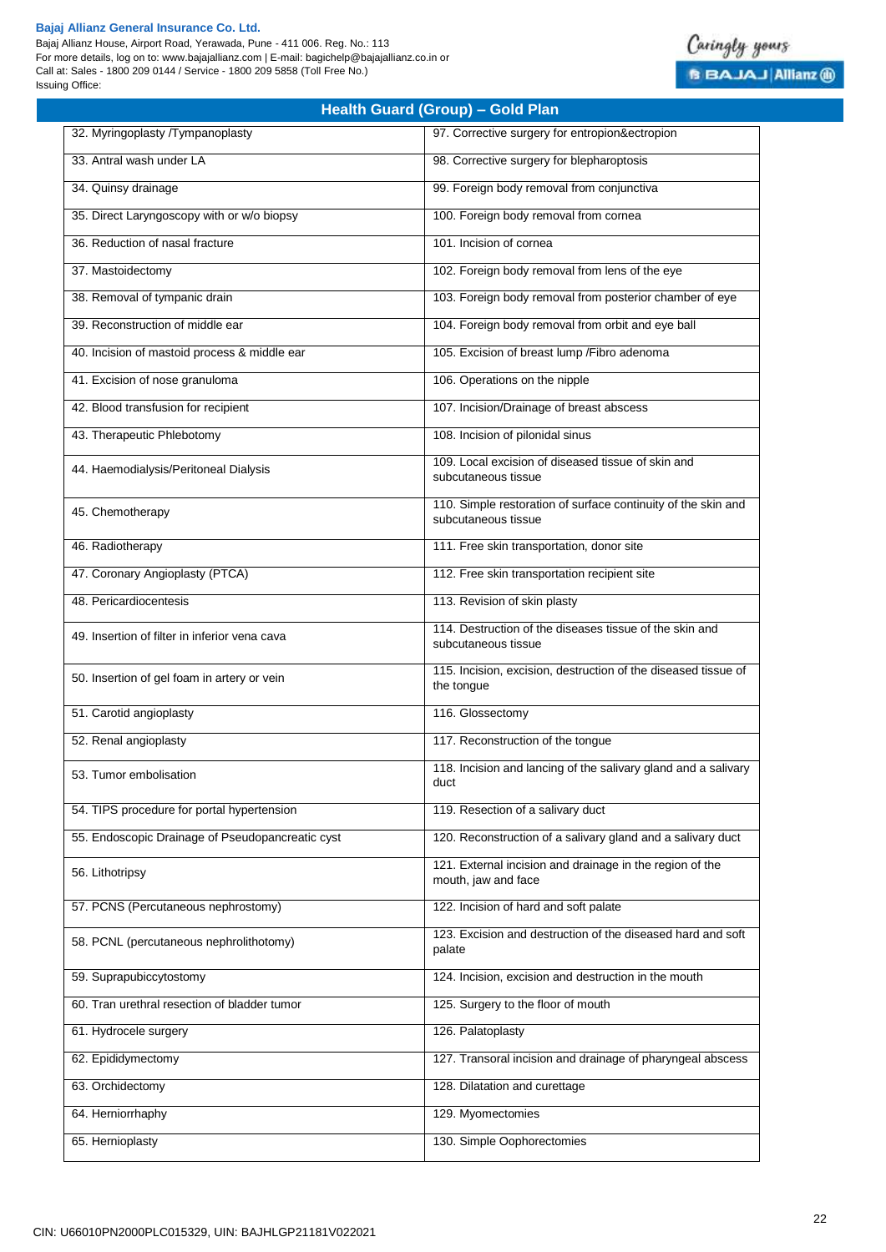Bajaj Allianz House, Airport Road, Yerawada, Pune - 411 006. Reg. No.: 113 For more details, log on to: www.bajajallianz.com | E-mail: bagichelp@bajajallianz.co.in or Call at: Sales - 1800 209 0144 / Service - 1800 209 5858 (Toll Free No.) Issuing Office:



# 32. Myringoplasty /Tympanoplasty 97. Corrective surgery for entropion&ectropion 33. Antral wash under LA 98. Corrective surgery for blepharoptosis 34. Quinsy drainage 99. Foreign body removal from conjunctiva 35. Direct Laryngoscopy with or w/o biopsy 100. Foreign body removal from cornea 36. Reduction of nasal fracture 101. Incision of cornea 37. Mastoidectomy 102. Foreign body removal from lens of the eye 38. Removal of tympanic drain 103. Foreign body removal from posterior chamber of eye 39. Reconstruction of middle ear 104. Foreign body removal from orbit and eye ball 40. Incision of mastoid process & middle ear 105. Excision of breast lump /Fibro adenoma 41. Excision of nose granuloma 106. Operations on the nipple 42. Blood transfusion for recipient 107. Incision/Drainage of breast abscess 43. Therapeutic Phlebotomy 108. Incision of pilonidal sinus 44. Haemodialysis/Peritoneal Dialysis 109. Local excision of diseased tissue of skin and subcutaneous tissue 45. Chemotherapy 110. Simple restoration of surface continuity of the skin and subset frace continuity of the skin and subcutaneous tissue 46. Radiotherapy 111. Free skin transportation, donor site 47. Coronary Angioplasty (PTCA) 112. Free skin transportation recipient site 48. Pericardiocentesis 113. Revision of skin plasty 49. Insertion of filter in inferior vena cava 114. Destruction of the diseases tissue of the skin and subcutaneous tissue 50. Insertion of gel foam in artery or vein 115. Incision, excision, destruction of the diseased tissue of the tongue 51. Carotid angioplasty **116. Glossectomy** 52. Renal angioplasty 117. Reconstruction of the tongue 53. Tumor embolisation 118. Incision and lancing of the salivary gland and a salivary duct 54. TIPS procedure for portal hypertension 119. Resection of a salivary duct 55. Endoscopic Drainage of Pseudopancreatic cyst 120. Reconstruction of a salivary gland and a salivary duct 56. Lithotripsy 121. External incision and drainage in the region of the mouth, jaw and face 57. PCNS (Percutaneous nephrostomy) 122. Incision of hard and soft palate 58. PCNL (percutaneous nephrolithotomy) 123. Excision and destruction of the diseased hard and soft palate 59. Suprapubiccytostomy 124. Incision, excision and destruction in the mouth 60. Tran urethral resection of bladder tumor 125. Surgery to the floor of mouth 61. Hydrocele surgery 126. Palatoplasty 62. Epididymectomy 127. Transoral incision and drainage of pharyngeal abscess 63. Orchidectomy 128. Dilatation and curettage 64. Herniorrhaphy 129. Myomectomies 65. Hernioplasty **130. Simple Oophorectomies**

**Health Guard (Group) – Gold Plan**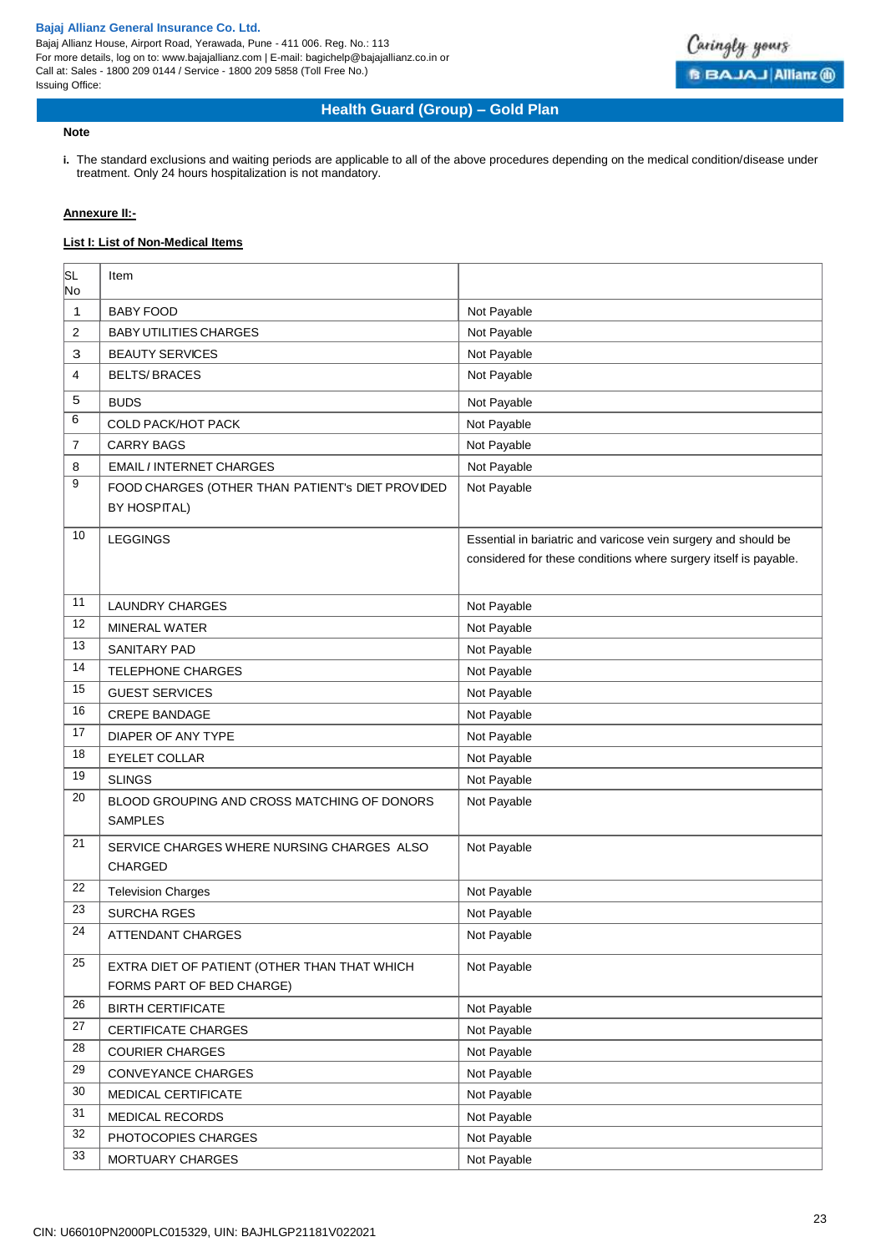Bajaj Allianz House, Airport Road, Yerawada, Pune - 411 006. Reg. No.: 113 For more details, log on to: www.bajajallianz.com | E-mail: bagichelp@bajajallianz.co.in or Call at: Sales - 1800 209 0144 / Service - 1800 209 5858 (Toll Free No.) Issuing Office:



## **Health Guard (Group) – Gold Plan**

### **Note**

**i.** The standard exclusions and waiting periods are applicable to all of the above procedures depending on the medical condition/disease under treatment. Only 24 hours hospitalization is not mandatory.

## **Annexure II:-**

## **List I: List of Non-Medical Items**

| SL<br>No | Item                                                                      |                                                                                                                                    |
|----------|---------------------------------------------------------------------------|------------------------------------------------------------------------------------------------------------------------------------|
| 1        | <b>BABY FOOD</b>                                                          | Not Payable                                                                                                                        |
| 2        | <b>BABY UTILITIES CHARGES</b>                                             | Not Payable                                                                                                                        |
| 3        | <b>BEAUTY SERVICES</b>                                                    | Not Payable                                                                                                                        |
| 4        | <b>BELTS/BRACES</b>                                                       | Not Payable                                                                                                                        |
| 5        | <b>BUDS</b>                                                               | Not Payable                                                                                                                        |
| 6        | <b>COLD PACK/HOT PACK</b>                                                 | Not Payable                                                                                                                        |
| 7        | <b>CARRY BAGS</b>                                                         | Not Payable                                                                                                                        |
| 8        | <b>EMAIL / INTERNET CHARGES</b>                                           | Not Payable                                                                                                                        |
| 9        | FOOD CHARGES (OTHER THAN PATIENT's DIET PROVIDED<br><b>BY HOSPITAL)</b>   | Not Payable                                                                                                                        |
| 10       | <b>LEGGINGS</b>                                                           | Essential in bariatric and varicose vein surgery and should be<br>considered for these conditions where surgery itself is payable. |
| 11       | <b>LAUNDRY CHARGES</b>                                                    | Not Payable                                                                                                                        |
| 12       | <b>MINERAL WATER</b>                                                      | Not Payable                                                                                                                        |
| 13       | <b>SANITARY PAD</b>                                                       | Not Payable                                                                                                                        |
| 14       | <b>TELEPHONE CHARGES</b>                                                  | Not Payable                                                                                                                        |
| 15       | <b>GUEST SERVICES</b>                                                     | Not Payable                                                                                                                        |
| 16       | <b>CREPE BANDAGE</b>                                                      | Not Payable                                                                                                                        |
| 17       | DIAPER OF ANY TYPE                                                        | Not Payable                                                                                                                        |
| 18       | <b>EYELET COLLAR</b>                                                      | Not Payable                                                                                                                        |
| 19       | <b>SLINGS</b>                                                             | Not Payable                                                                                                                        |
| 20       | BLOOD GROUPING AND CROSS MATCHING OF DONORS<br><b>SAMPLES</b>             | Not Payable                                                                                                                        |
| 21       | SERVICE CHARGES WHERE NURSING CHARGES ALSO<br>CHARGED                     | Not Payable                                                                                                                        |
| 22       | <b>Television Charges</b>                                                 | Not Payable                                                                                                                        |
| 23       | <b>SURCHA RGES</b>                                                        | Not Payable                                                                                                                        |
| 24       | ATTENDANT CHARGES                                                         | Not Payable                                                                                                                        |
| 25       | EXTRA DIET OF PATIENT (OTHER THAN THAT WHICH<br>FORMS PART OF BED CHARGE) | Not Payable                                                                                                                        |
| 26       | <b>BIRTH CERTIFICATE</b>                                                  | Not Payable                                                                                                                        |
| 27       | <b>CERTIFICATE CHARGES</b>                                                | Not Payable                                                                                                                        |
| 28       | <b>COURIER CHARGES</b>                                                    | Not Payable                                                                                                                        |
| 29       | CONVEYANCE CHARGES                                                        | Not Payable                                                                                                                        |
| 30       | MEDICAL CERTIFICATE                                                       | Not Payable                                                                                                                        |
| 31       | MEDICAL RECORDS                                                           | Not Payable                                                                                                                        |
| 32       | PHOTOCOPIES CHARGES                                                       | Not Payable                                                                                                                        |
| 33       | MORTUARY CHARGES                                                          | Not Payable                                                                                                                        |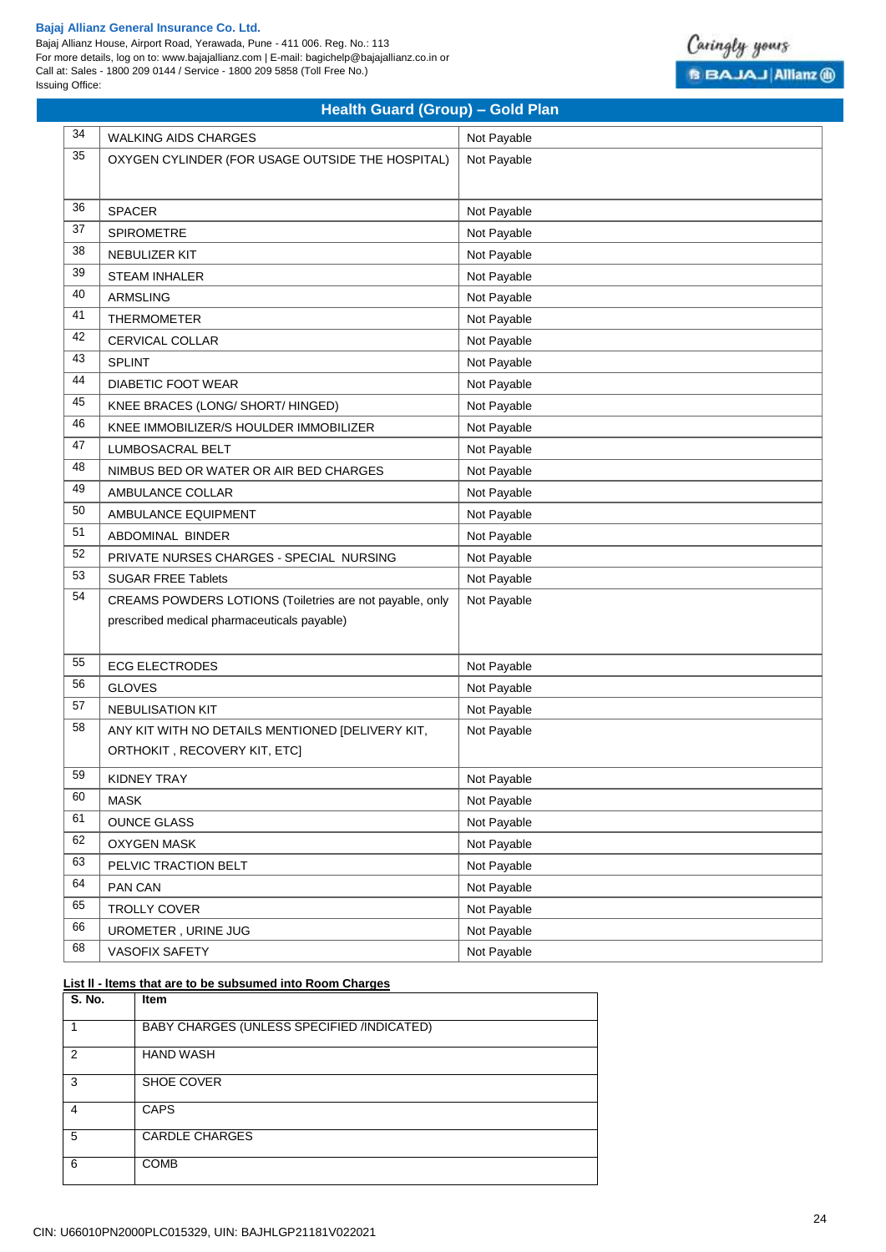Bajaj Allianz House, Airport Road, Yerawada, Pune - 411 006. Reg. No.: 113 For more details, log on to: www.bajajallianz.com | E-mail: bagichelp@bajajallianz.co.in or Call at: Sales - 1800 209 0144 / Service - 1800 209 5858 (Toll Free No.) Issuing Office:



|    | <b>Health Guard (Group) - Gold Plan</b>                  |             |  |  |
|----|----------------------------------------------------------|-------------|--|--|
| 34 | <b>WALKING AIDS CHARGES</b>                              | Not Payable |  |  |
| 35 | OXYGEN CYLINDER (FOR USAGE OUTSIDE THE HOSPITAL)         | Not Payable |  |  |
|    |                                                          |             |  |  |
| 36 | <b>SPACER</b>                                            | Not Payable |  |  |
| 37 | <b>SPIROMETRE</b>                                        | Not Payable |  |  |
| 38 | NEBULIZER KIT                                            | Not Payable |  |  |
| 39 | <b>STEAM INHALER</b>                                     | Not Payable |  |  |
| 40 | <b>ARMSLING</b>                                          | Not Payable |  |  |
| 41 | <b>THERMOMETER</b>                                       | Not Payable |  |  |
| 42 | <b>CERVICAL COLLAR</b>                                   | Not Payable |  |  |
| 43 | <b>SPLINT</b>                                            | Not Payable |  |  |
| 44 | <b>DIABETIC FOOT WEAR</b>                                | Not Payable |  |  |
| 45 | KNEE BRACES (LONG/ SHORT/ HINGED)                        | Not Payable |  |  |
| 46 | KNEE IMMOBILIZER/S HOULDER IMMOBILIZER                   | Not Payable |  |  |
| 47 | <b>LUMBOSACRAL BELT</b>                                  | Not Payable |  |  |
| 48 | NIMBUS BED OR WATER OR AIR BED CHARGES                   | Not Payable |  |  |
| 49 | AMBULANCE COLLAR                                         | Not Payable |  |  |
| 50 | AMBULANCE EQUIPMENT                                      | Not Payable |  |  |
| 51 | ABDOMINAL BINDER                                         | Not Payable |  |  |
| 52 | PRIVATE NURSES CHARGES - SPECIAL NURSING                 | Not Payable |  |  |
| 53 | <b>SUGAR FREE Tablets</b>                                | Not Payable |  |  |
| 54 | CREAMS POWDERS LOTIONS (Toiletries are not payable, only | Not Payable |  |  |
|    | prescribed medical pharmaceuticals payable)              |             |  |  |
|    |                                                          |             |  |  |
| 55 | <b>ECG ELECTRODES</b>                                    | Not Payable |  |  |
| 56 | <b>GLOVES</b>                                            | Not Payable |  |  |
| 57 | <b>NEBULISATION KIT</b>                                  | Not Payable |  |  |
| 58 | ANY KIT WITH NO DETAILS MENTIONED [DELIVERY KIT,         | Not Payable |  |  |
|    | ORTHOKIT, RECOVERY KIT, ETC]                             |             |  |  |
| 59 | KIDNEY TRAY                                              | Not Payable |  |  |
| 60 | <b>MASK</b>                                              | Not Payable |  |  |
| 61 | <b>OUNCE GLASS</b>                                       | Not Payable |  |  |
| 62 | OXYGEN MASK                                              | Not Payable |  |  |
| 63 | PELVIC TRACTION BELT                                     | Not Payable |  |  |
| 64 | PAN CAN                                                  | Not Payable |  |  |
| 65 | TROLLY COVER                                             | Not Payable |  |  |
| 66 | UROMETER, URINE JUG                                      | Not Payable |  |  |
| 68 | VASOFIX SAFETY                                           | Not Payable |  |  |

## **List ll - ltems that are to be subsumed into Room Charges**

| <b>S. No.</b> | <b>Item</b>                                |
|---------------|--------------------------------------------|
|               | BABY CHARGES (UNLESS SPECIFIED /INDICATED) |
| 2             | <b>HAND WASH</b>                           |
| 3             | <b>SHOE COVER</b>                          |
| 4             | <b>CAPS</b>                                |
| 5             | <b>CARDLE CHARGES</b>                      |
| 6             | <b>COMB</b>                                |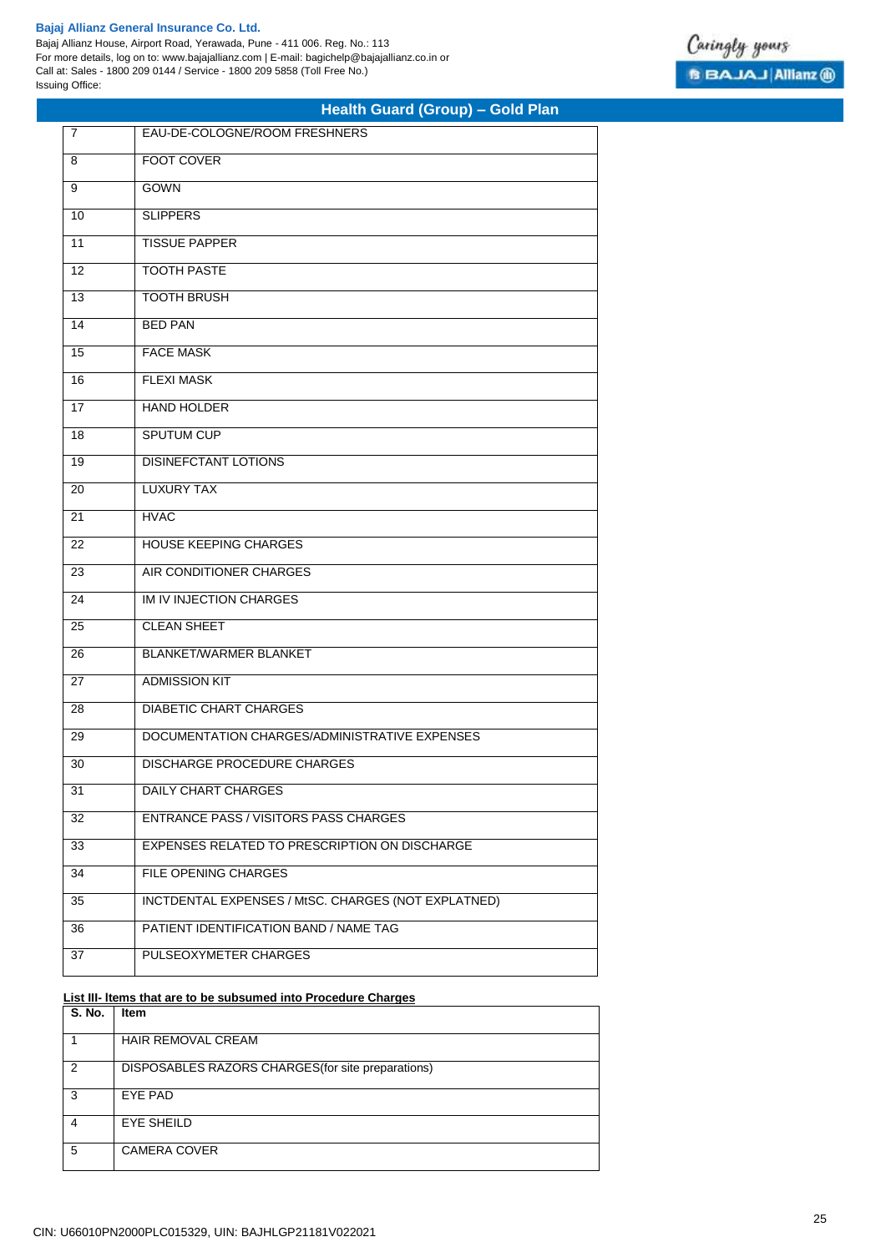Bajaj Allianz House, Airport Road, Yerawada, Pune - 411 006. Reg. No.: 113 For more details, log on to: www.bajajallianz.com | E-mail: bagichelp@bajajallianz.co.in or Call at: Sales - 1800 209 0144 / Service - 1800 209 5858 (Toll Free No.) Issuing Office:

|  | Health Guard (Group) - Gold Plan |  |  |
|--|----------------------------------|--|--|
|--|----------------------------------|--|--|

| $\overline{7}$ | EAU-DE-COLOGNE/ROOM FRESHNERS                       |
|----------------|-----------------------------------------------------|
| 8              | <b>FOOT COVER</b>                                   |
| 9              | <b>GOWN</b>                                         |
| 10             | <b>SLIPPERS</b>                                     |
| 11             | <b>TISSUE PAPPER</b>                                |
| 12             | <b>TOOTH PASTE</b>                                  |
| 13             | <b>TOOTH BRUSH</b>                                  |
| 14             | <b>BED PAN</b>                                      |
| 15             | <b>FACE MASK</b>                                    |
| 16             | <b>FLEXI MASK</b>                                   |
| 17             | <b>HAND HOLDER</b>                                  |
| 18             | SPUTUM CUP                                          |
| 19             | <b>DISINEFCTANT LOTIONS</b>                         |
| 20             | <b>LUXURY TAX</b>                                   |
| 21             | <b>HVAC</b>                                         |
| 22             | <b>HOUSE KEEPING CHARGES</b>                        |
| 23             | AIR CONDITIONER CHARGES                             |
| 24             | IM IV INJECTION CHARGES                             |
| 25             | <b>CLEAN SHEET</b>                                  |
| 26             | <b>BLANKET/WARMER BLANKET</b>                       |
| 27             | <b>ADMISSION KIT</b>                                |
| 28             | <b>DIABETIC CHART CHARGES</b>                       |
| 29             | DOCUMENTATION CHARGES/ADMINISTRATIVE EXPENSES       |
| 30             | <b>DISCHARGE PROCEDURE CHARGES</b>                  |
| 31             | <b>DAILY CHART CHARGES</b>                          |
| 32             | <b>ENTRANCE PASS / VISITORS PASS CHARGES</b>        |
| 33             | EXPENSES RELATED TO PRESCRIPTION ON DISCHARGE       |
| 34             | FILE OPENING CHARGES                                |
| 35             | INCTDENTAL EXPENSES / MtSC. CHARGES (NOT EXPLATNED) |
| 36             | PATIENT IDENTIFICATION BAND / NAME TAG              |
| 37             | PULSEOXYMETER CHARGES                               |

## **List III- ltems that are to be subsumed into Procedure Charges**

| S. No. | Item                                               |
|--------|----------------------------------------------------|
|        | HAIR REMOVAL CREAM                                 |
| 2      | DISPOSABLES RAZORS CHARGES (for site preparations) |
| 3      | EYE PAD                                            |
| 4      | <b>EYE SHEILD</b>                                  |
| 5      | <b>CAMERA COVER</b>                                |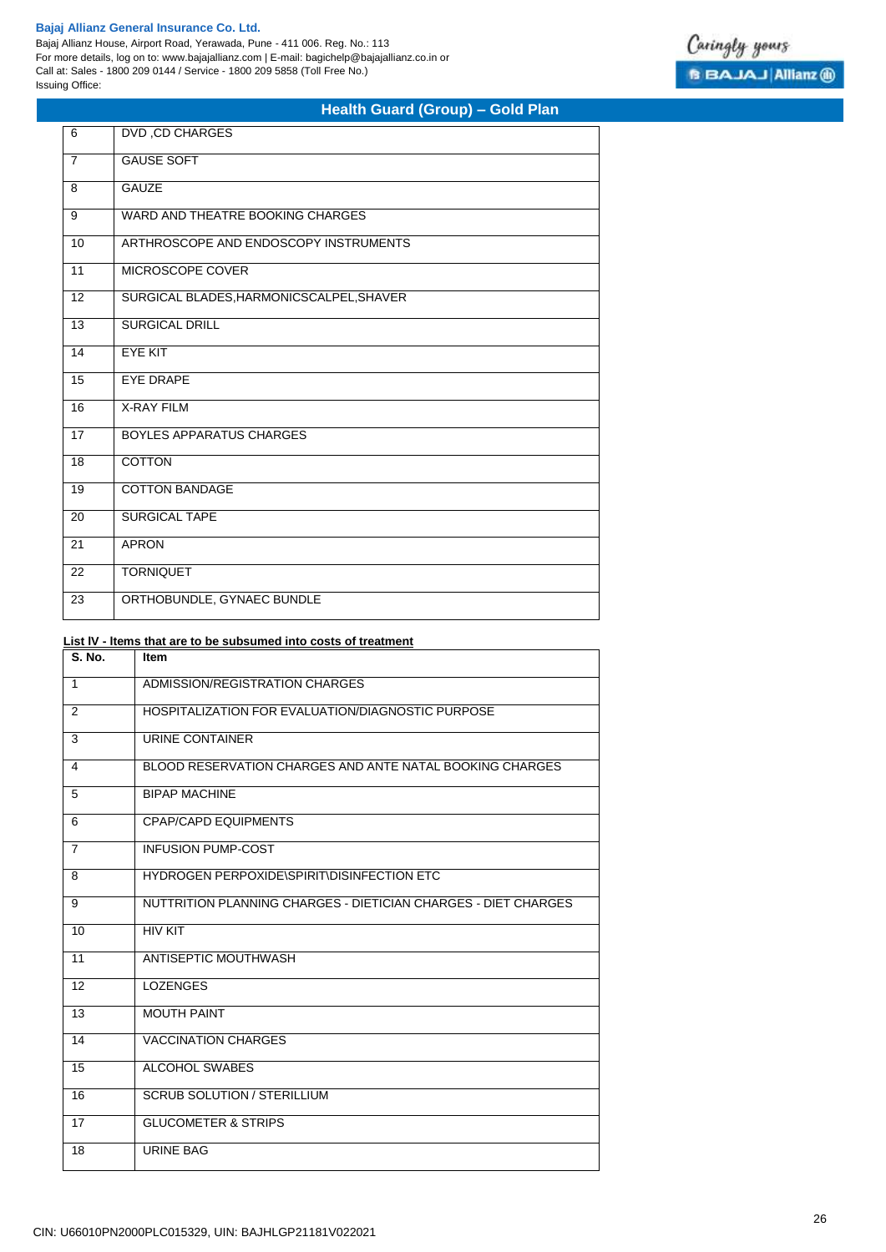Bajaj Allianz House, Airport Road, Yerawada, Pune - 411 006. Reg. No.: 113 For more details, log on to: www.bajajallianz.com | E-mail: bagichelp@bajajallianz.co.in or Call at: Sales - 1800 209 0144 / Service - 1800 209 5858 (Toll Free No.) Issuing Office:

## **Health Guard (Group) – Gold Plan**

| 6              | DVD, CD CHARGES                          |
|----------------|------------------------------------------|
| $\overline{7}$ | <b>GAUSE SOFT</b>                        |
| 8              | <b>GAUZE</b>                             |
| 9              | WARD AND THEATRE BOOKING CHARGES         |
| 10             | ARTHROSCOPE AND ENDOSCOPY INSTRUMENTS    |
| 11             | MICROSCOPE COVER                         |
| 12             | SURGICAL BLADES, HARMONICSCALPEL, SHAVER |
| 13             | <b>SURGICAL DRILL</b>                    |
| 14             | <b>EYE KIT</b>                           |
| 15             | <b>EYE DRAPE</b>                         |
| 16             | <b>X-RAY FILM</b>                        |
| 17             | <b>BOYLES APPARATUS CHARGES</b>          |
| 18             | <b>COTTON</b>                            |
| 19             | <b>COTTON BANDAGE</b>                    |
| 20             | <b>SURGICAL TAPE</b>                     |
| 21             | <b>APRON</b>                             |
| 22             | <b>TORNIQUET</b>                         |
| 23             | ORTHOBUNDLE, GYNAEC BUNDLE               |

## **List lV - ltems that are to be subsumed into costs of treatment**

| <b>S. No.</b>  | <b>Item</b>                                                    |
|----------------|----------------------------------------------------------------|
| $\mathbf{1}$   | ADMISSION/REGISTRATION CHARGES                                 |
| 2              | HOSPITALIZATION FOR EVALUATION/DIAGNOSTIC PURPOSE              |
| 3              | URINE CONTAINER                                                |
| 4              | BLOOD RESERVATION CHARGES AND ANTE NATAL BOOKING CHARGES       |
| 5              | <b>BIPAP MACHINE</b>                                           |
| 6              | <b>CPAP/CAPD EQUIPMENTS</b>                                    |
| $\overline{7}$ | <b>INFUSION PUMP-COST</b>                                      |
| 8              | HYDROGEN PERPOXIDE\SPIRIT\DISINFECTION ETC                     |
| 9              | NUTTRITION PLANNING CHARGES - DIETICIAN CHARGES - DIET CHARGES |
| 10             | <b>HIV KIT</b>                                                 |
| 11             | ANTISEPTIC MOUTHWASH                                           |
| 12             | <b>LOZENGES</b>                                                |
| 13             | <b>MOUTH PAINT</b>                                             |
| 14             | <b>VACCINATION CHARGES</b>                                     |
| 15             | ALCOHOL SWABES                                                 |
| 16             | <b>SCRUB SOLUTION / STERILLIUM</b>                             |
| 17             | <b>GLUCOMETER &amp; STRIPS</b>                                 |
| 18             | <b>URINE BAG</b>                                               |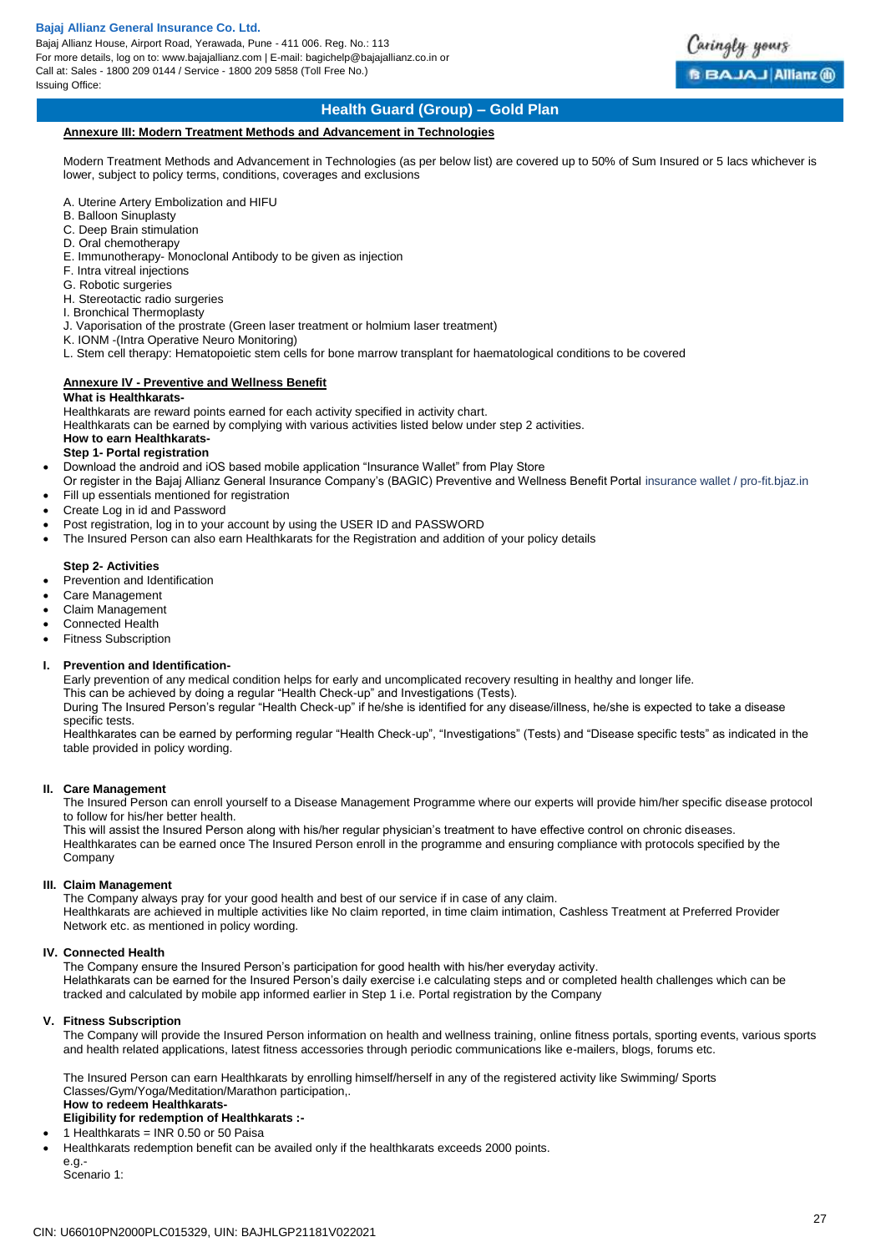Bajaj Allianz House, Airport Road, Yerawada, Pune - 411 006. Reg. No.: 113 For more details, log on to: www.bajajallianz.com | E-mail: bagichelp@bajajallianz.co.in or Call at: Sales - 1800 209 0144 / Service - 1800 209 5858 (Toll Free No.) Issuing Office:



## **Health Guard (Group) – Gold Plan**

#### **Annexure III: Modern Treatment Methods and Advancement in Technologies**

Modern Treatment Methods and Advancement in Technologies (as per below list) are covered up to 50% of Sum Insured or 5 lacs whichever is lower, subject to policy terms, conditions, coverages and exclusions

- A. Uterine Artery Embolization and HIFU
- B. Balloon Sinuplasty
- C. Deep Brain stimulation
- D. Oral chemotherapy
- E. Immunotherapy- Monoclonal Antibody to be given as injection
- F. Intra vitreal injections
- G. Robotic surgeries
- H. Stereotactic radio surgeries
- I. Bronchical Thermoplasty
- J. Vaporisation of the prostrate (Green laser treatment or holmium laser treatment)
- K. IONM -(Intra Operative Neuro Monitoring)
- L. Stem cell therapy: Hematopoietic stem cells for bone marrow transplant for haematological conditions to be covered

## **Annexure IV - Preventive and Wellness Benefit**

## **What is Healthkarats-**

Healthkarats are reward points earned for each activity specified in activity chart.

Healthkarats can be earned by complying with various activities listed below under step 2 activities.

## **How to earn Healthkarats-**

- **Step 1- Portal registration**
- Download the android and iOS based mobile application "Insurance Wallet" from Play Store
- Or register in the Bajaj Allianz General Insurance Company's (BAGIC) Preventive and Wellness Benefit Portal insurance wallet / pro-fit.bjaz.in Fill up essentials mentioned for registration
- Create Log in id and Password
- Post registration, log in to your account by using the USER ID and PASSWORD
- The Insured Person can also earn Healthkarats for the Registration and addition of your policy details

#### **Step 2- Activities**

- Prevention and Identification
- Care Management
- Claim Management
- Connected Health
- Fitness Subscription

## **I. Prevention and Identification-**

Early prevention of any medical condition helps for early and uncomplicated recovery resulting in healthy and longer life.

This can be achieved by doing a regular "Health Check-up" and Investigations (Tests).

During The Insured Person's regular "Health Check-up" if he/she is identified for any disease/illness, he/she is expected to take a disease specific tests.

Healthkarates can be earned by performing regular "Health Check-up", "Investigations" (Tests) and "Disease specific tests" as indicated in the table provided in policy wording.

## **II. Care Management**

The Insured Person can enroll yourself to a Disease Management Programme where our experts will provide him/her specific disease protocol to follow for his/her better health.

This will assist the Insured Person along with his/her regular physician's treatment to have effective control on chronic diseases. Healthkarates can be earned once The Insured Person enroll in the programme and ensuring compliance with protocols specified by the Company

## **III. Claim Management**

The Company always pray for your good health and best of our service if in case of any claim. Healthkarats are achieved in multiple activities like No claim reported, in time claim intimation, Cashless Treatment at Preferred Provider Network etc. as mentioned in policy wording.

## **IV. Connected Health**

The Company ensure the Insured Person's participation for good health with his/her everyday activity. Helathkarats can be earned for the Insured Person's daily exercise i.e calculating steps and or completed health challenges which can be tracked and calculated by mobile app informed earlier in Step 1 i.e. Portal registration by the Company

## **V. Fitness Subscription**

The Company will provide the Insured Person information on health and wellness training, online fitness portals, sporting events, various sports and health related applications, latest fitness accessories through periodic communications like e-mailers, blogs, forums etc.

The Insured Person can earn Healthkarats by enrolling himself/herself in any of the registered activity like Swimming/ Sports Classes/Gym/Yoga/Meditation/Marathon participation,. **How to redeem Healthkarats-**

## **Eligibility for redemption of Healthkarats :-**

1 Healthkarats = INR 0.50 or 50 Paisa

- 
- Healthkarats redemption benefit can be availed only if the healthkarats exceeds 2000 points.

e.g.- Scenario 1: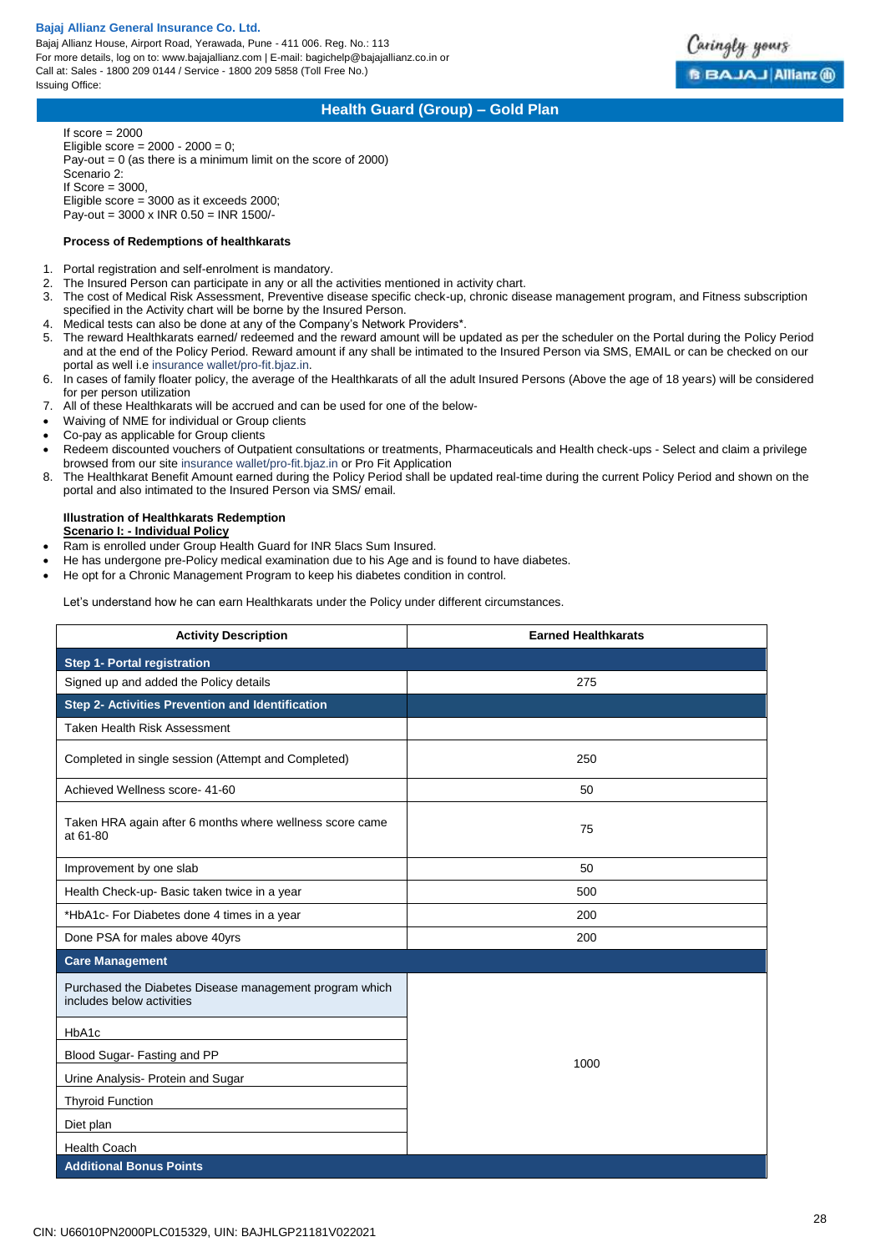Bajaj Allianz House, Airport Road, Yerawada, Pune - 411 006. Reg. No.: 113 For more details, log on to: www.bajajallianz.com | E-mail: bagichelp@bajajallianz.co.in or Call at: Sales - 1800 209 0144 / Service - 1800 209 5858 (Toll Free No.) Issuing Office:



## **Health Guard (Group) – Gold Plan**

If score  $= 2000$ Eligible score =  $2000 - 2000 = 0$ ; Pay-out = 0 (as there is a minimum limit on the score of 2000) Scenario 2: If  $Score = 3000$ , Eligible score = 3000 as it exceeds 2000; Pay-out = 3000 x INR 0.50 = INR 1500/-

#### **Process of Redemptions of healthkarats**

- 1. Portal registration and self-enrolment is mandatory.
- The Insured Person can participate in any or all the activities mentioned in activity chart.
- 3. The cost of Medical Risk Assessment, Preventive disease specific check-up, chronic disease management program, and Fitness subscription specified in the Activity chart will be borne by the Insured Person.
- 4. Medical tests can also be done at any of the Company's Network Providers\*.
- 5. The reward Healthkarats earned/ redeemed and the reward amount will be updated as per the scheduler on the Portal during the Policy Period and at the end of the Policy Period. Reward amount if any shall be intimated to the Insured Person via SMS, EMAIL or can be checked on our portal as well i.e insurance wallet/pro-fit.bjaz.in.
- 6. In cases of family floater policy, the average of the Healthkarats of all the adult Insured Persons (Above the age of 18 years) will be considered for per person utilization
- 7. All of these Healthkarats will be accrued and can be used for one of the below-
- Waiving of NME for individual or Group clients
- Co-pay as applicable for Group clients
- Redeem discounted vouchers of Outpatient consultations or treatments, Pharmaceuticals and Health check-ups Select and claim a privilege browsed from our site insurance wallet/pro-fit.bjaz.in or Pro Fit Application
- 8. The Healthkarat Benefit Amount earned during the Policy Period shall be updated real-time during the current Policy Period and shown on the portal and also intimated to the Insured Person via SMS/ email.

### **Illustration of Healthkarats Redemption Scenario I: - Individual Policy**

- Ram is enrolled under Group Health Guard for INR 5lacs Sum Insured.
- He has undergone pre-Policy medical examination due to his Age and is found to have diabetes.
- He opt for a Chronic Management Program to keep his diabetes condition in control.

Let's understand how he can earn Healthkarats under the Policy under different circumstances.

| <b>Activity Description</b>                                                          | <b>Earned Healthkarats</b> |  |
|--------------------------------------------------------------------------------------|----------------------------|--|
| <b>Step 1- Portal registration</b>                                                   |                            |  |
| Signed up and added the Policy details                                               | 275                        |  |
| Step 2- Activities Prevention and Identification                                     |                            |  |
| <b>Taken Health Risk Assessment</b>                                                  |                            |  |
| Completed in single session (Attempt and Completed)                                  | 250                        |  |
| Achieved Wellness score- 41-60                                                       | 50                         |  |
| Taken HRA again after 6 months where wellness score came<br>at 61-80                 | 75                         |  |
| Improvement by one slab                                                              | 50                         |  |
| Health Check-up- Basic taken twice in a year                                         | 500                        |  |
| *HbA1c- For Diabetes done 4 times in a year                                          | 200                        |  |
| Done PSA for males above 40yrs                                                       | 200                        |  |
| <b>Care Management</b>                                                               |                            |  |
| Purchased the Diabetes Disease management program which<br>includes below activities |                            |  |
| HbA1c                                                                                |                            |  |
| Blood Sugar-Fasting and PP                                                           | 1000                       |  |
| Urine Analysis- Protein and Sugar                                                    |                            |  |
| <b>Thyroid Function</b>                                                              |                            |  |
| Diet plan                                                                            |                            |  |
| <b>Health Coach</b>                                                                  |                            |  |
| <b>Additional Bonus Points</b>                                                       |                            |  |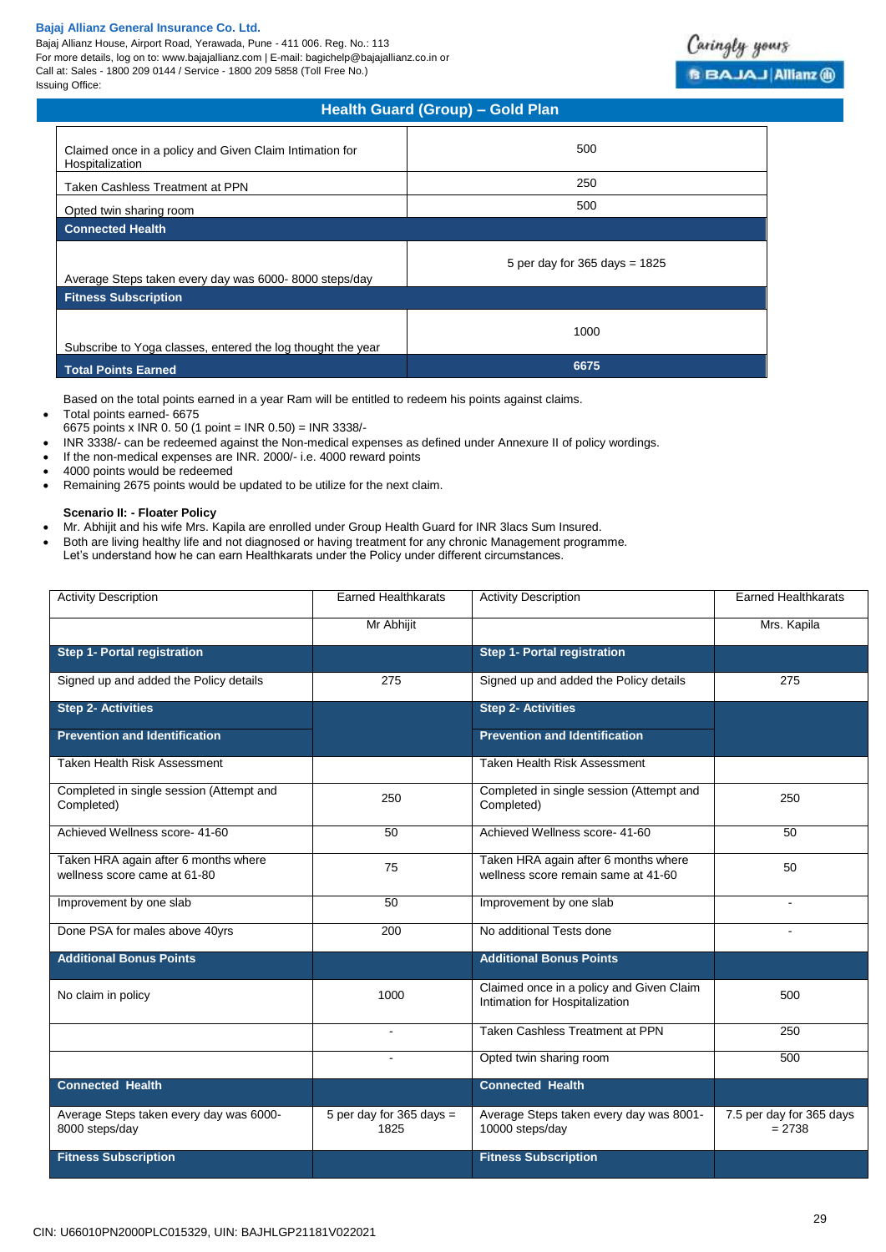Bajaj Allianz House, Airport Road, Yerawada, Pune - 411 006. Reg. No.: 113 For more details, log on to: www.bajajallianz.com | E-mail: bagichelp@bajajallianz.co.in or Call at: Sales - 1800 209 0144 / Service - 1800 209 5858 (Toll Free No.) Issuing Office:

| <b>Health Guard (Group) - Gold Plan</b>                                    |                                   |  |
|----------------------------------------------------------------------------|-----------------------------------|--|
| Claimed once in a policy and Given Claim Intimation for<br>Hospitalization | 500                               |  |
| Taken Cashless Treatment at PPN                                            | 250                               |  |
| Opted twin sharing room                                                    | 500                               |  |
| <b>Connected Health</b>                                                    |                                   |  |
| Average Steps taken every day was 6000-8000 steps/day                      | 5 per day for $365$ days = $1825$ |  |
| <b>Fitness Subscription</b>                                                |                                   |  |
| Subscribe to Yoga classes, entered the log thought the year                | 1000                              |  |
| <b>Total Points Earned</b>                                                 | 6675                              |  |

Based on the total points earned in a year Ram will be entitled to redeem his points against claims.

- Total points earned- 6675
- 6675 points x INR 0. 50 (1 point = INR 0.50) = INR 3338/-
- INR 3338/- can be redeemed against the Non-medical expenses as defined under Annexure II of policy wordings.
- If the non-medical expenses are INR. 2000/- i.e. 4000 reward points
- 4000 points would be redeemed
- Remaining 2675 points would be updated to be utilize for the next claim.

## **Scenario II: - Floater Policy**

- Mr. Abhijit and his wife Mrs. Kapila are enrolled under Group Health Guard for INR 3lacs Sum Insured.
- Both are living healthy life and not diagnosed or having treatment for any chronic Management programme.
- Let's understand how he can earn Healthkarats under the Policy under different circumstances.

| <b>Activity Description</b>                                          | <b>Earned Healthkarats</b>         | <b>Activity Description</b>                                                 | <b>Earned Healthkarats</b>           |
|----------------------------------------------------------------------|------------------------------------|-----------------------------------------------------------------------------|--------------------------------------|
|                                                                      | Mr Abhijit                         |                                                                             | Mrs. Kapila                          |
| <b>Step 1- Portal registration</b>                                   |                                    | <b>Step 1- Portal registration</b>                                          |                                      |
| Signed up and added the Policy details                               | 275                                | Signed up and added the Policy details                                      | 275                                  |
| <b>Step 2- Activities</b>                                            |                                    | <b>Step 2- Activities</b>                                                   |                                      |
| <b>Prevention and Identification</b>                                 |                                    | <b>Prevention and Identification</b>                                        |                                      |
| Taken Health Risk Assessment                                         |                                    | Taken Health Risk Assessment                                                |                                      |
| Completed in single session (Attempt and<br>Completed)               | 250                                | Completed in single session (Attempt and<br>Completed)                      | 250                                  |
| Achieved Wellness score- 41-60                                       | 50                                 | Achieved Wellness score- 41-60                                              | 50                                   |
| Taken HRA again after 6 months where<br>wellness score came at 61-80 | 75                                 | Taken HRA again after 6 months where<br>wellness score remain same at 41-60 | 50                                   |
| Improvement by one slab                                              | 50                                 | Improvement by one slab                                                     |                                      |
| Done PSA for males above 40yrs                                       | 200                                | No additional Tests done                                                    |                                      |
| <b>Additional Bonus Points</b>                                       |                                    | <b>Additional Bonus Points</b>                                              |                                      |
| No claim in policy                                                   | 1000                               | Claimed once in a policy and Given Claim<br>Intimation for Hospitalization  | 500                                  |
|                                                                      | $\blacksquare$                     | <b>Taken Cashless Treatment at PPN</b>                                      | 250                                  |
|                                                                      |                                    | Opted twin sharing room                                                     | 500                                  |
| <b>Connected Health</b>                                              |                                    | <b>Connected Health</b>                                                     |                                      |
| Average Steps taken every day was 6000-<br>8000 steps/day            | 5 per day for 365 days $=$<br>1825 | Average Steps taken every day was 8001-<br>10000 steps/day                  | 7.5 per day for 365 days<br>$= 2738$ |
| <b>Fitness Subscription</b>                                          |                                    | <b>Fitness Subscription</b>                                                 |                                      |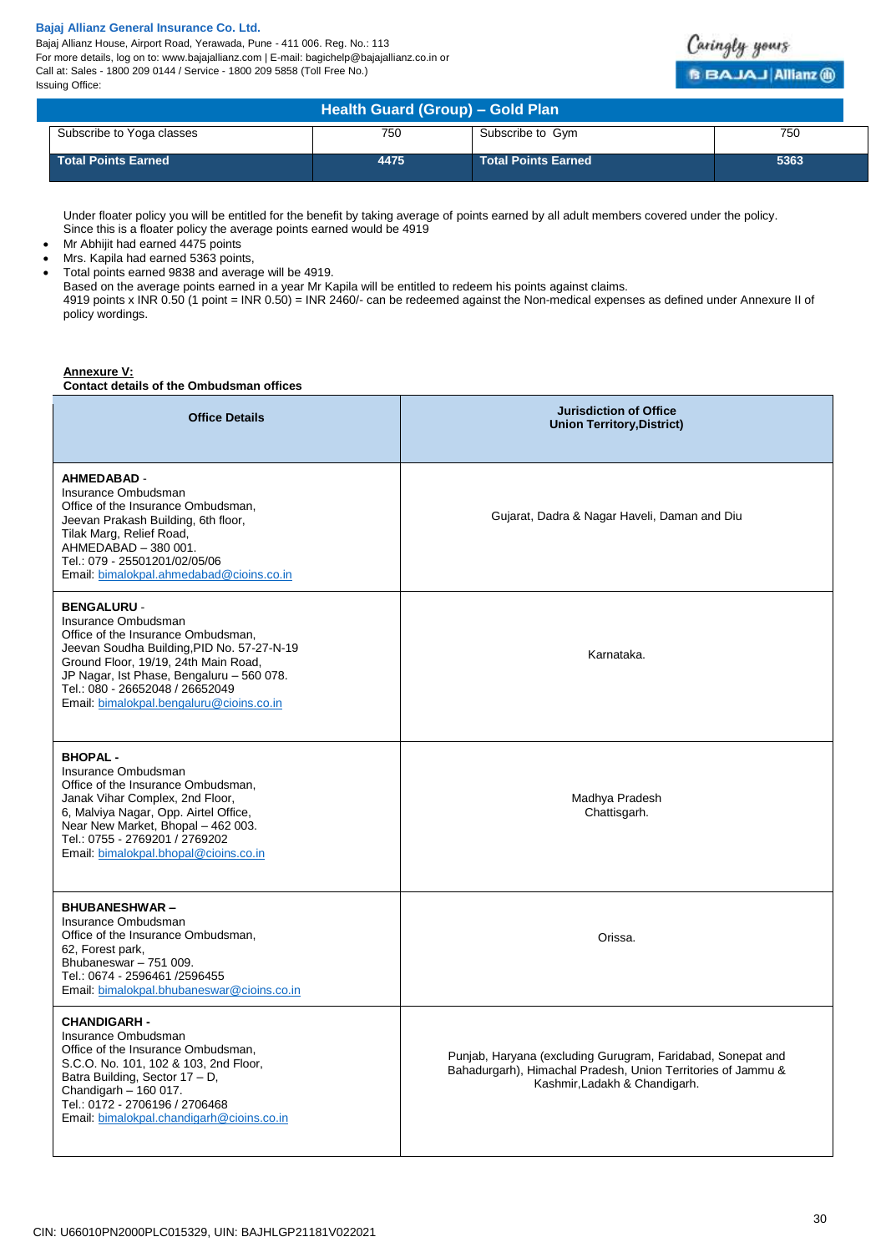Bajaj Allianz House, Airport Road, Yerawada, Pune - 411 006. Reg. No.: 113 For more details, log on to: www.bajajallianz.com | E-mail: bagichelp@bajajallianz.co.in or Call at: Sales - 1800 209 0144 / Service - 1800 209 5858 (Toll Free No.) Issuing Office:



| Health Guard (Group) - Gold Plan |      |                            |      |  |
|----------------------------------|------|----------------------------|------|--|
| Subscribe to Yoga classes        | 750  | Subscribe to Gym           | 750  |  |
| <b>Total Points Earned</b>       | 4475 | <b>Total Points Earned</b> | 5363 |  |

Under floater policy you will be entitled for the benefit by taking average of points earned by all adult members covered under the policy. Since this is a floater policy the average points earned would be 4919

- Mr Abhijit had earned 4475 points
- Mrs. Kapila had earned 5363 points,
- Total points earned 9838 and average will be 4919.

Based on the average points earned in a year Mr Kapila will be entitled to redeem his points against claims.

4919 points x INR 0.50 (1 point = INR 0.50) = INR 2460/- can be redeemed against the Non-medical expenses as defined under Annexure II of policy wordings.

## **Annexure V:**

**Contact details of the Ombudsman offices**

| <b>Office Details</b>                                                                                                                                                                                                                                                                             | <b>Jurisdiction of Office</b><br><b>Union Territory, District)</b>                                                                                           |
|---------------------------------------------------------------------------------------------------------------------------------------------------------------------------------------------------------------------------------------------------------------------------------------------------|--------------------------------------------------------------------------------------------------------------------------------------------------------------|
| <b>AHMEDABAD -</b><br>Insurance Ombudsman<br>Office of the Insurance Ombudsman,<br>Jeevan Prakash Building, 6th floor,<br>Tilak Marg, Relief Road,<br>AHMEDABAD - 380 001.<br>Tel.: 079 - 25501201/02/05/06<br>Email: bimalokpal.ahmedabad@cioins.co.in                                           | Gujarat, Dadra & Nagar Haveli, Daman and Diu                                                                                                                 |
| <b>BENGALURU -</b><br>Insurance Ombudsman<br>Office of the Insurance Ombudsman,<br>Jeevan Soudha Building, PID No. 57-27-N-19<br>Ground Floor, 19/19, 24th Main Road,<br>JP Nagar, Ist Phase, Bengaluru - 560 078.<br>Tel.: 080 - 26652048 / 26652049<br>Email: bimalokpal.bengaluru@cioins.co.in | Karnataka.                                                                                                                                                   |
| <b>BHOPAL-</b><br>Insurance Ombudsman<br>Office of the Insurance Ombudsman,<br>Janak Vihar Complex, 2nd Floor,<br>6, Malviya Nagar, Opp. Airtel Office,<br>Near New Market, Bhopal - 462 003.<br>Tel.: 0755 - 2769201 / 2769202<br>Email: bimalokpal.bhopal@cioins.co.in                          | Madhya Pradesh<br>Chattisgarh.                                                                                                                               |
| <b>BHUBANESHWAR-</b><br>Insurance Ombudsman<br>Office of the Insurance Ombudsman,<br>62, Forest park,<br>Bhubaneswar - 751 009.<br>Tel.: 0674 - 2596461 /2596455<br>Email: bimalokpal.bhubaneswar@cioins.co.in                                                                                    | Orissa.                                                                                                                                                      |
| <b>CHANDIGARH -</b><br>Insurance Ombudsman<br>Office of the Insurance Ombudsman.<br>S.C.O. No. 101, 102 & 103, 2nd Floor,<br>Batra Building, Sector 17 - D,<br>Chandigarh - 160 017.<br>Tel.: 0172 - 2706196 / 2706468<br>Email: bimalokpal.chandigarh@cioins.co.in                               | Punjab, Haryana (excluding Gurugram, Faridabad, Sonepat and<br>Bahadurgarh), Himachal Pradesh, Union Territories of Jammu &<br>Kashmir, Ladakh & Chandigarh. |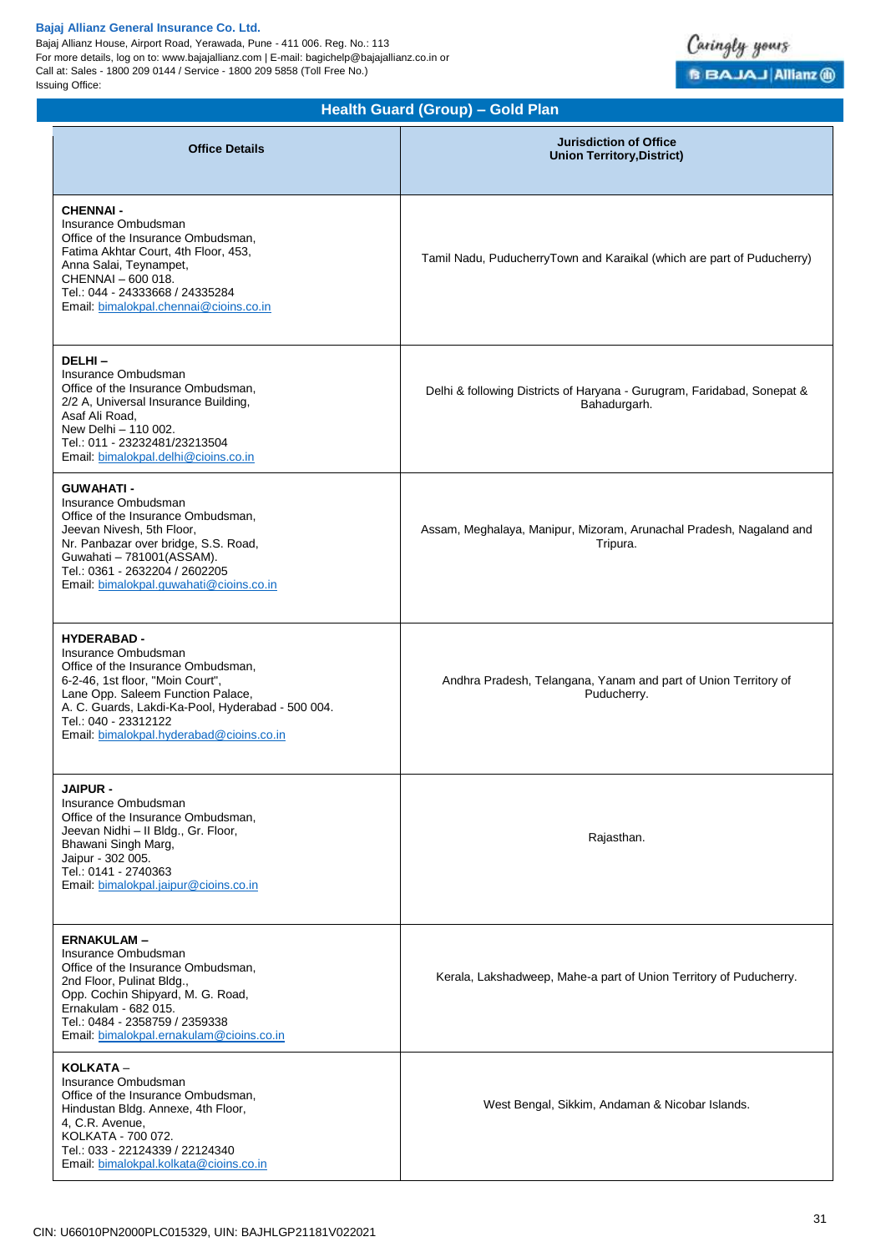Bajaj Allianz House, Airport Road, Yerawada, Pune - 411 006. Reg. No.: 113 For more details, log on to: www.bajajallianz.com | E-mail: bagichelp@bajajallianz.co.in or Call at: Sales - 1800 209 0144 / Service - 1800 209 5858 (Toll Free No.) Issuing Office:



## **Health Guard (Group) – Gold Plan**

| <b>Office Details</b>                                                                                                                                                                                                                                                             | <b>Jurisdiction of Office</b><br><b>Union Territory, District)</b>                      |
|-----------------------------------------------------------------------------------------------------------------------------------------------------------------------------------------------------------------------------------------------------------------------------------|-----------------------------------------------------------------------------------------|
| <b>CHENNAI -</b><br>Insurance Ombudsman<br>Office of the Insurance Ombudsman,<br>Fatima Akhtar Court, 4th Floor, 453,<br>Anna Salai, Teynampet,<br>CHENNAI - 600 018.<br>Tel.: 044 - 24333668 / 24335284<br>Email: bimalokpal.chennai@cioins.co.in                                | Tamil Nadu, PuducherryTown and Karaikal (which are part of Puducherry)                  |
| DELHI-<br>Insurance Ombudsman<br>Office of the Insurance Ombudsman,<br>2/2 A, Universal Insurance Building,<br>Asaf Ali Road,<br>New Delhi - 110 002.<br>Tel.: 011 - 23232481/23213504<br>Email: bimalokpal.delhi@cioins.co.in                                                    | Delhi & following Districts of Haryana - Gurugram, Faridabad, Sonepat &<br>Bahadurgarh. |
| <b>GUWAHATI-</b><br>Insurance Ombudsman<br>Office of the Insurance Ombudsman,<br>Jeevan Nivesh, 5th Floor,<br>Nr. Panbazar over bridge, S.S. Road,<br>Guwahati - 781001(ASSAM).<br>Tel.: 0361 - 2632204 / 2602205<br>Email: bimalokpal.guwahati@cioins.co.in                      | Assam, Meghalaya, Manipur, Mizoram, Arunachal Pradesh, Nagaland and<br>Tripura.         |
| <b>HYDERABAD -</b><br>Insurance Ombudsman<br>Office of the Insurance Ombudsman,<br>6-2-46, 1st floor, "Moin Court",<br>Lane Opp. Saleem Function Palace,<br>A. C. Guards, Lakdi-Ka-Pool, Hyderabad - 500 004.<br>Tel.: 040 - 23312122<br>Email: bimalokpal.hyderabad@cioins.co.in | Andhra Pradesh, Telangana, Yanam and part of Union Territory of<br>Puducherry.          |
| JAIPUR -<br>Insurance Ombudsman<br>Office of the Insurance Ombudsman,<br>Jeevan Nidhi - Il Bldg., Gr. Floor,<br>Bhawani Singh Marg,<br>Jaipur - 302 005.<br>Tel.: 0141 - 2740363<br>Email: bimalokpal.jaipur@cioins.co.in                                                         | Rajasthan.                                                                              |
| <b>ERNAKULAM-</b><br>Insurance Ombudsman<br>Office of the Insurance Ombudsman,<br>2nd Floor, Pulinat Bldg.,<br>Opp. Cochin Shipyard, M. G. Road,<br>Ernakulam - 682 015.<br>Tel.: 0484 - 2358759 / 2359338<br>Email: bimalokpal.ernakulam@cioins.co.in                            | Kerala, Lakshadweep, Mahe-a part of Union Territory of Puducherry.                      |
| KOLKATA -<br>Insurance Ombudsman<br>Office of the Insurance Ombudsman,<br>Hindustan Bldg. Annexe, 4th Floor,<br>4, C.R. Avenue,<br>KOLKATA - 700 072.<br>Tel.: 033 - 22124339 / 22124340<br>Email: bimalokpal.kolkata@cioins.co.in                                                | West Bengal, Sikkim, Andaman & Nicobar Islands.                                         |